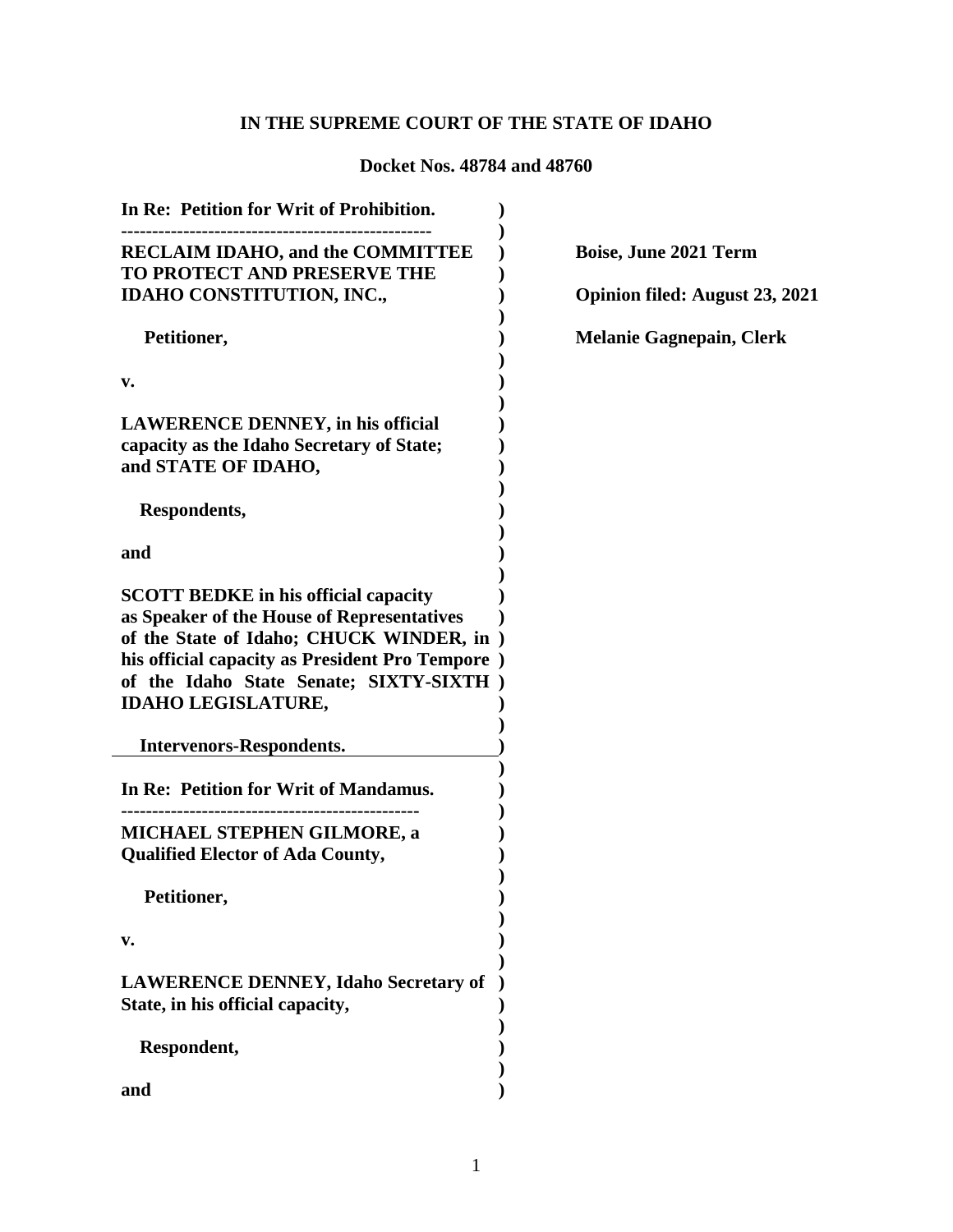# **IN THE SUPREME COURT OF THE STATE OF IDAHO**

# **Docket Nos. 48784 and 48760**

| In Re: Petition for Writ of Prohibition.                                                                                                                                                                                                                      |  |
|---------------------------------------------------------------------------------------------------------------------------------------------------------------------------------------------------------------------------------------------------------------|--|
| <b>RECLAIM IDAHO, and the COMMITTEE</b><br><b>TO PROTECT AND PRESERVE THE</b><br><b>IDAHO CONSTITUTION, INC.,</b>                                                                                                                                             |  |
| Petitioner,                                                                                                                                                                                                                                                   |  |
| v.                                                                                                                                                                                                                                                            |  |
| <b>LAWERENCE DENNEY, in his official</b><br>capacity as the Idaho Secretary of State;<br>and STATE OF IDAHO,                                                                                                                                                  |  |
| Respondents,                                                                                                                                                                                                                                                  |  |
| and                                                                                                                                                                                                                                                           |  |
| <b>SCOTT BEDKE in his official capacity</b><br>as Speaker of the House of Representatives<br>of the State of Idaho; CHUCK WINDER, in<br>his official capacity as President Pro Tempore<br>of the Idaho State Senate; SIXTY-SIXTH<br><b>IDAHO LEGISLATURE,</b> |  |
| <b>Intervenors-Respondents.</b>                                                                                                                                                                                                                               |  |
| In Re: Petition for Writ of Mandamus.                                                                                                                                                                                                                         |  |
| <b>MICHAEL STEPHEN GILMORE, a</b><br><b>Qualified Elector of Ada County,</b><br>Petitioner,                                                                                                                                                                   |  |
| v.                                                                                                                                                                                                                                                            |  |
| <b>LAWERENCE DENNEY, Idaho Secretary of</b><br>State, in his official capacity,                                                                                                                                                                               |  |
| Respondent,                                                                                                                                                                                                                                                   |  |
| and                                                                                                                                                                                                                                                           |  |

**Boise, June 2021 Term**

**Opinion filed: August 23, 2021**

**Melanie Gagnepain, Clerk**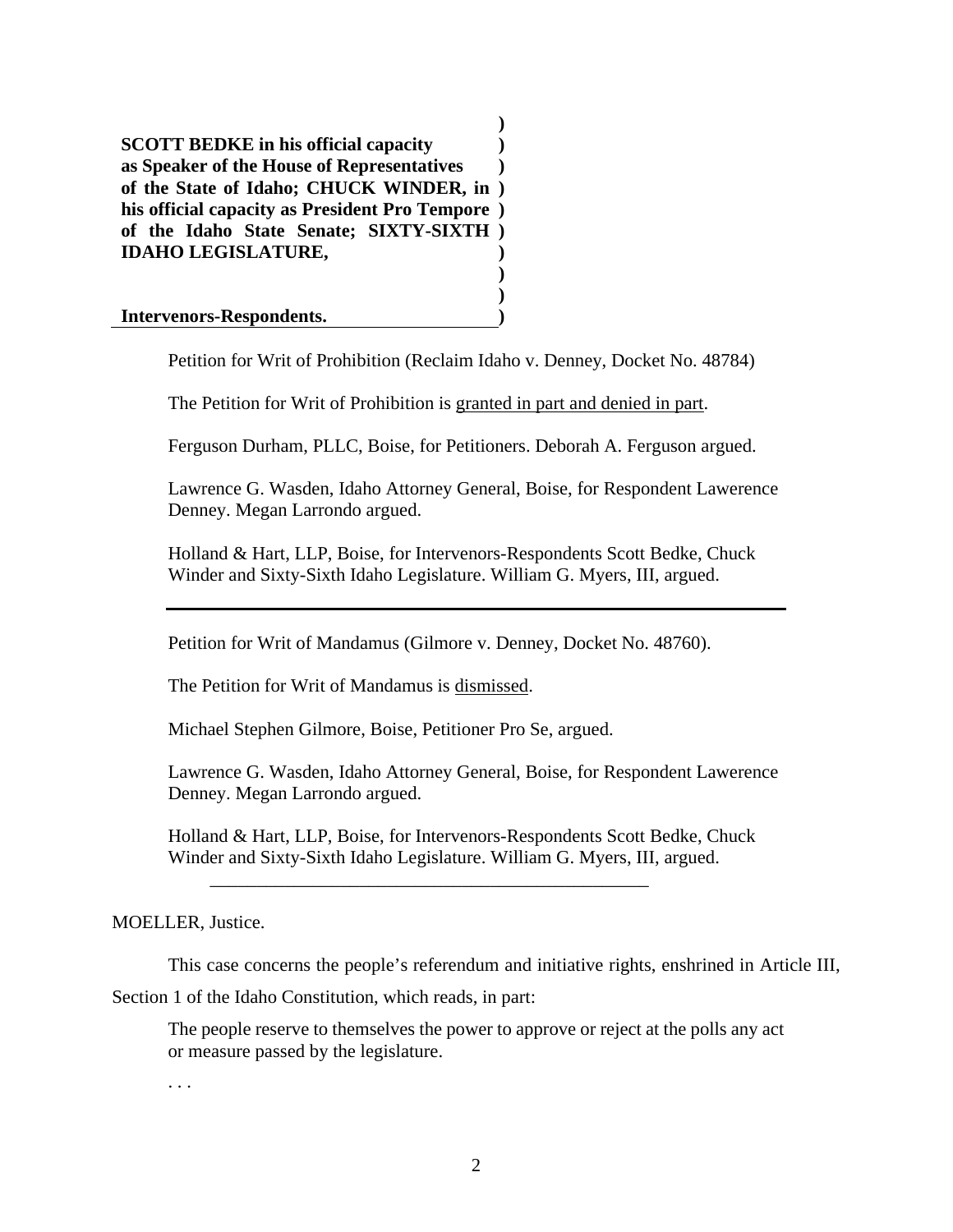**SCOTT BEDKE in his official capacity as Speaker of the House of Representatives of the State of Idaho; CHUCK WINDER, in ) his official capacity as President Pro Tempore ) of the Idaho State Senate; SIXTY-SIXTH ) IDAHO LEGISLATURE, ) ) ) ) ) )**

#### **Intervenors-Respondents. )**

Petition for Writ of Prohibition (Reclaim Idaho v. Denney, Docket No. 48784)

The Petition for Writ of Prohibition is granted in part and denied in part.

Ferguson Durham, PLLC, Boise, for Petitioners. Deborah A. Ferguson argued.

Lawrence G. Wasden, Idaho Attorney General, Boise, for Respondent Lawerence Denney. Megan Larrondo argued.

Holland & Hart, LLP, Boise, for Intervenors-Respondents Scott Bedke, Chuck Winder and Sixty-Sixth Idaho Legislature. William G. Myers, III, argued.

Petition for Writ of Mandamus (Gilmore v. Denney, Docket No. 48760).

The Petition for Writ of Mandamus is dismissed.

Michael Stephen Gilmore, Boise, Petitioner Pro Se, argued.

\_\_\_\_\_\_\_\_\_\_\_\_\_\_\_\_\_\_\_\_\_\_\_\_\_\_\_\_\_\_\_\_\_\_\_\_\_\_\_\_\_\_\_\_\_\_\_

Lawrence G. Wasden, Idaho Attorney General, Boise, for Respondent Lawerence Denney. Megan Larrondo argued.

Holland & Hart, LLP, Boise, for Intervenors-Respondents Scott Bedke, Chuck Winder and Sixty-Sixth Idaho Legislature. William G. Myers, III, argued.

#### MOELLER, Justice.

This case concerns the people's referendum and initiative rights, enshrined in Article III,

Section 1 of the Idaho Constitution, which reads, in part:

The people reserve to themselves the power to approve or reject at the polls any act or measure passed by the legislature.

. . .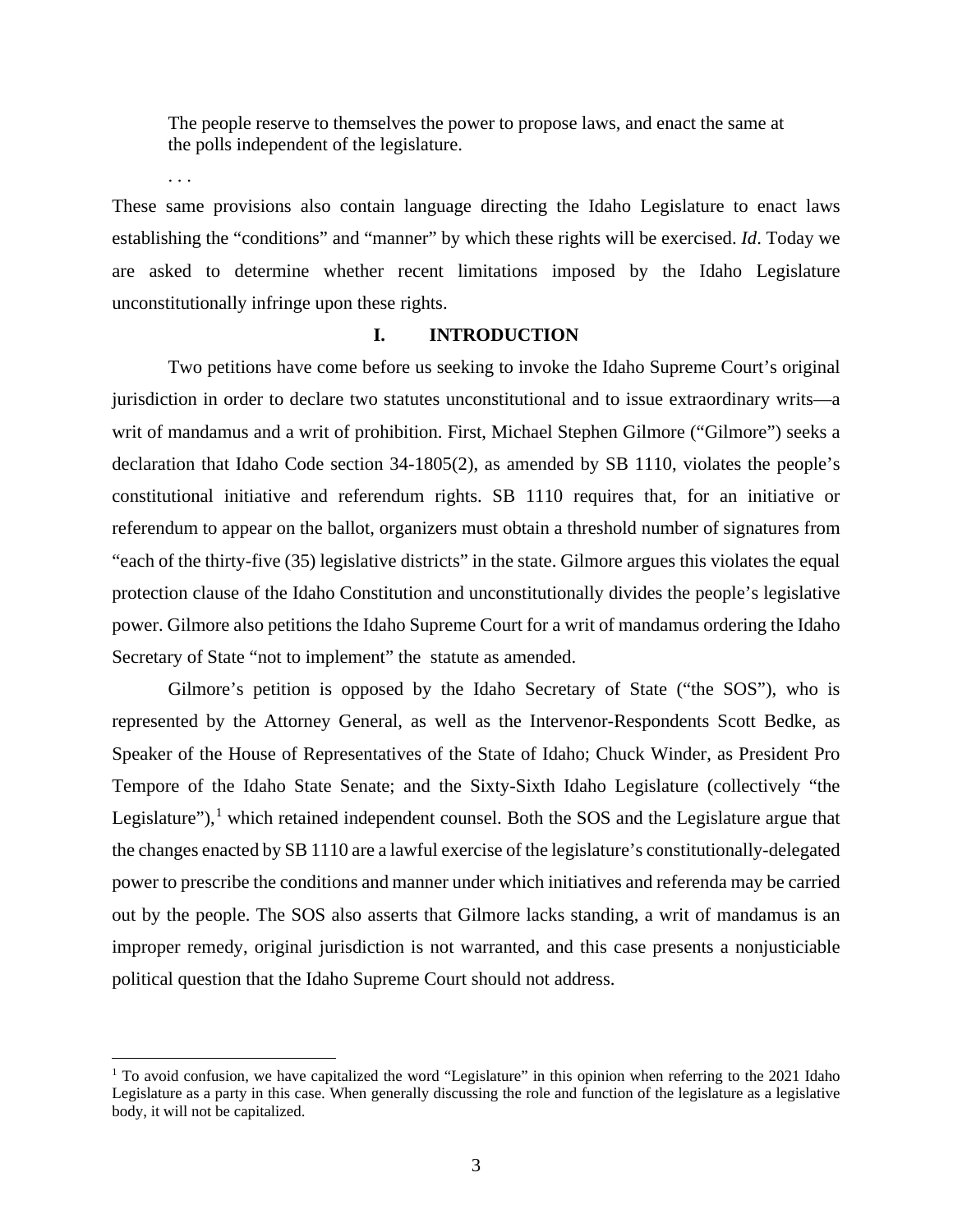The people reserve to themselves the power to propose laws, and enact the same at the polls independent of the legislature.

. . .

These same provisions also contain language directing the Idaho Legislature to enact laws establishing the "conditions" and "manner" by which these rights will be exercised. *Id*. Today we are asked to determine whether recent limitations imposed by the Idaho Legislature unconstitutionally infringe upon these rights.

### **I. INTRODUCTION**

Two petitions have come before us seeking to invoke the Idaho Supreme Court's original jurisdiction in order to declare two statutes unconstitutional and to issue extraordinary writs—a writ of mandamus and a writ of prohibition. First, Michael Stephen Gilmore ("Gilmore") seeks a declaration that Idaho Code section 34-1805(2), as amended by SB 1110, violates the people's constitutional initiative and referendum rights. SB 1110 requires that, for an initiative or referendum to appear on the ballot, organizers must obtain a threshold number of signatures from "each of the thirty-five (35) legislative districts" in the state. Gilmore argues this violates the equal protection clause of the Idaho Constitution and unconstitutionally divides the people's legislative power. Gilmore also petitions the Idaho Supreme Court for a writ of mandamus ordering the Idaho Secretary of State "not to implement" the statute as amended.

Gilmore's petition is opposed by the Idaho Secretary of State ("the SOS"), who is represented by the Attorney General, as well as the Intervenor-Respondents Scott Bedke, as Speaker of the House of Representatives of the State of Idaho; Chuck Winder, as President Pro Tempore of the Idaho State Senate; and the Sixty-Sixth Idaho Legislature (collectively "the Legislature"),<sup>[1](#page-2-0)</sup> which retained independent counsel. Both the SOS and the Legislature argue that the changes enacted by SB 1110 are a lawful exercise of the legislature's constitutionally-delegated power to prescribe the conditions and manner under which initiatives and referenda may be carried out by the people. The SOS also asserts that Gilmore lacks standing, a writ of mandamus is an improper remedy, original jurisdiction is not warranted, and this case presents a nonjusticiable political question that the Idaho Supreme Court should not address.

<span id="page-2-0"></span><sup>&</sup>lt;sup>1</sup> To avoid confusion, we have capitalized the word "Legislature" in this opinion when referring to the 2021 Idaho Legislature as a party in this case. When generally discussing the role and function of the legislature as a legislative body, it will not be capitalized.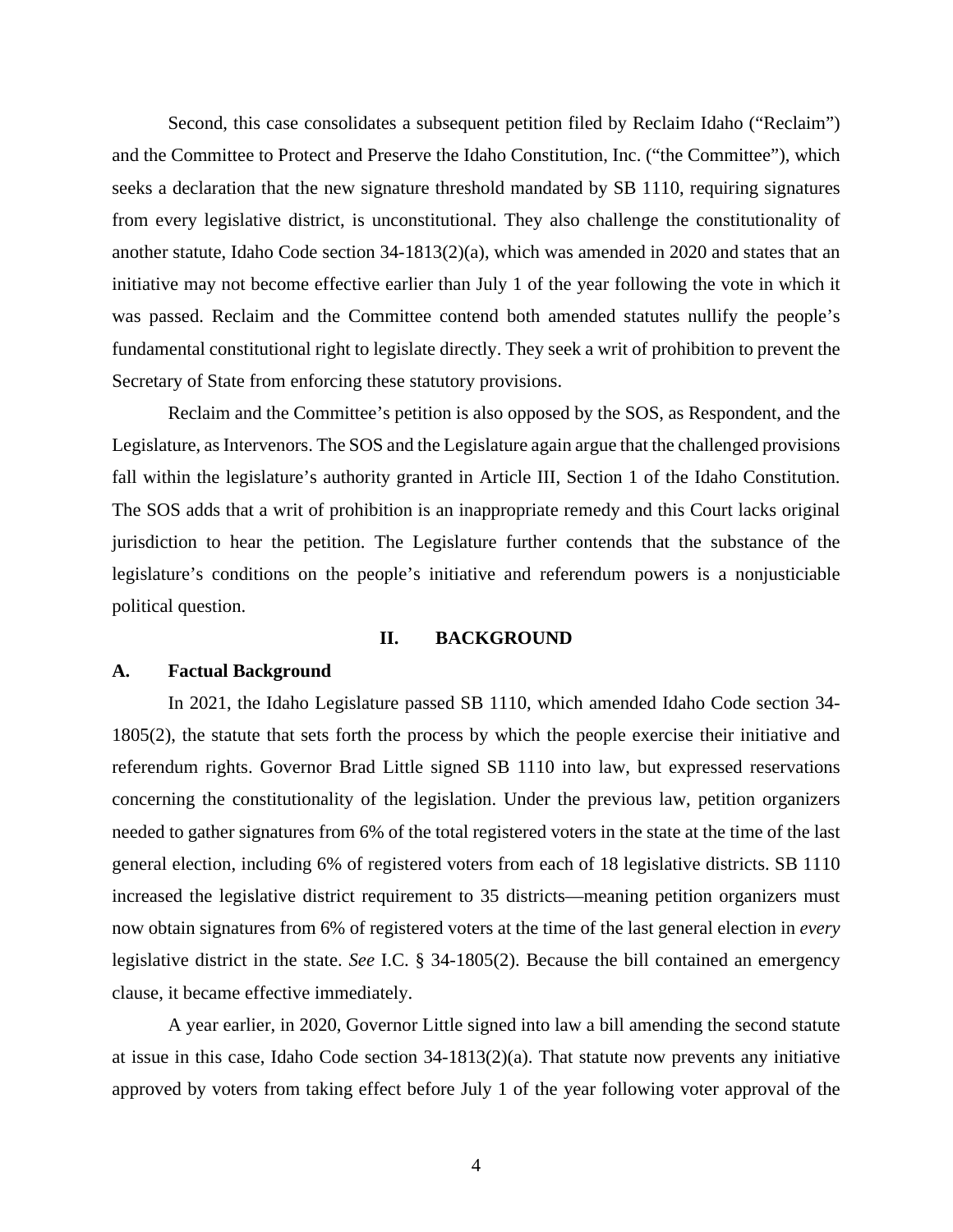Second, this case consolidates a subsequent petition filed by Reclaim Idaho ("Reclaim") and the Committee to Protect and Preserve the Idaho Constitution, Inc. ("the Committee"), which seeks a declaration that the new signature threshold mandated by SB 1110, requiring signatures from every legislative district, is unconstitutional. They also challenge the constitutionality of another statute, Idaho Code section 34-1813(2)(a), which was amended in 2020 and states that an initiative may not become effective earlier than July 1 of the year following the vote in which it was passed. Reclaim and the Committee contend both amended statutes nullify the people's fundamental constitutional right to legislate directly. They seek a writ of prohibition to prevent the Secretary of State from enforcing these statutory provisions.

Reclaim and the Committee's petition is also opposed by the SOS, as Respondent, and the Legislature, as Intervenors. The SOS and the Legislature again argue that the challenged provisions fall within the legislature's authority granted in Article III, Section 1 of the Idaho Constitution. The SOS adds that a writ of prohibition is an inappropriate remedy and this Court lacks original jurisdiction to hear the petition. The Legislature further contends that the substance of the legislature's conditions on the people's initiative and referendum powers is a nonjusticiable political question.

#### **II. BACKGROUND**

#### **A. Factual Background**

In 2021, the Idaho Legislature passed SB 1110, which amended Idaho Code section 34- 1805(2), the statute that sets forth the process by which the people exercise their initiative and referendum rights. Governor Brad Little signed SB 1110 into law, but expressed reservations concerning the constitutionality of the legislation. Under the previous law, petition organizers needed to gather signatures from 6% of the total registered voters in the state at the time of the last general election, including 6% of registered voters from each of 18 legislative districts. SB 1110 increased the legislative district requirement to 35 districts—meaning petition organizers must now obtain signatures from 6% of registered voters at the time of the last general election in *every* legislative district in the state. *See* I.C. § 34-1805(2). Because the bill contained an emergency clause, it became effective immediately.

A year earlier, in 2020, Governor Little signed into law a bill amending the second statute at issue in this case, Idaho Code section 34-1813(2)(a). That statute now prevents any initiative approved by voters from taking effect before July 1 of the year following voter approval of the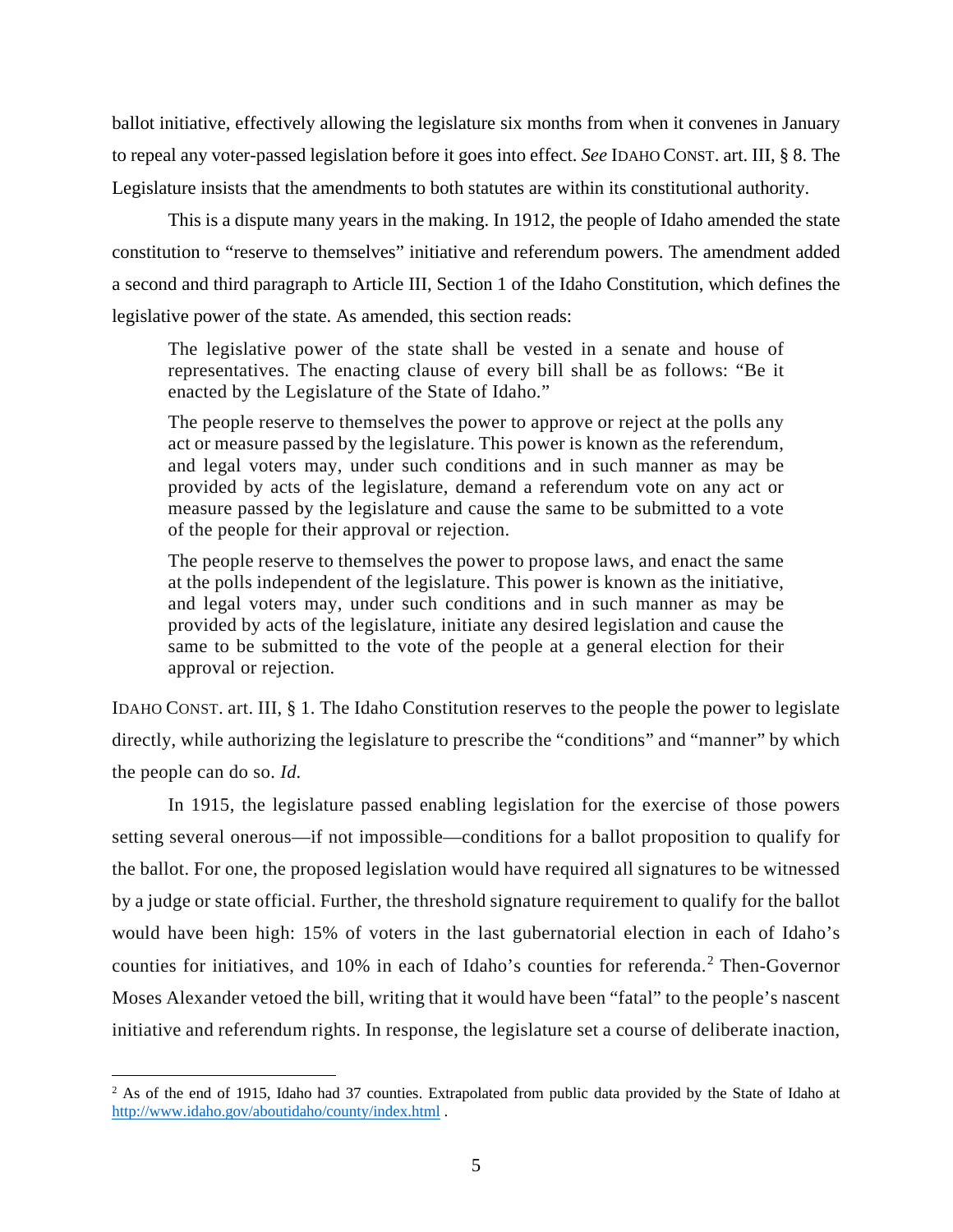ballot initiative, effectively allowing the legislature six months from when it convenes in January to repeal any voter-passed legislation before it goes into effect. *See* IDAHO CONST. art. III, § 8. The Legislature insists that the amendments to both statutes are within its constitutional authority.

This is a dispute many years in the making. In 1912, the people of Idaho amended the state constitution to "reserve to themselves" initiative and referendum powers. The amendment added a second and third paragraph to Article III, Section 1 of the Idaho Constitution, which defines the legislative power of the state. As amended, this section reads:

The legislative power of the state shall be vested in a senate and house of representatives. The enacting clause of every bill shall be as follows: "Be it enacted by the Legislature of the State of Idaho."

The people reserve to themselves the power to approve or reject at the polls any act or measure passed by the legislature. This power is known as the referendum, and legal voters may, under such conditions and in such manner as may be provided by acts of the legislature, demand a referendum vote on any act or measure passed by the legislature and cause the same to be submitted to a vote of the people for their approval or rejection.

The people reserve to themselves the power to propose laws, and enact the same at the polls independent of the legislature. This power is known as the initiative, and legal voters may, under such conditions and in such manner as may be provided by acts of the legislature, initiate any desired legislation and cause the same to be submitted to the vote of the people at a general election for their approval or rejection.

IDAHO CONST. art. III, § 1. The Idaho Constitution reserves to the people the power to legislate directly, while authorizing the legislature to prescribe the "conditions" and "manner" by which the people can do so. *Id.*

In 1915, the legislature passed enabling legislation for the exercise of those powers setting several onerous—if not impossible—conditions for a ballot proposition to qualify for the ballot. For one, the proposed legislation would have required all signatures to be witnessed by a judge or state official. Further, the threshold signature requirement to qualify for the ballot would have been high: 15% of voters in the last gubernatorial election in each of Idaho's counties for initiatives, and 10% in each of Idaho's counties for referenda. [2](#page-4-0) Then-Governor Moses Alexander vetoed the bill, writing that it would have been "fatal" to the people's nascent initiative and referendum rights. In response, the legislature set a course of deliberate inaction,

<span id="page-4-0"></span><sup>&</sup>lt;sup>2</sup> As of the end of 1915, Idaho had 37 counties. Extrapolated from public data provided by the State of Idaho at <http://www.idaho.gov/aboutidaho/county/index.html> .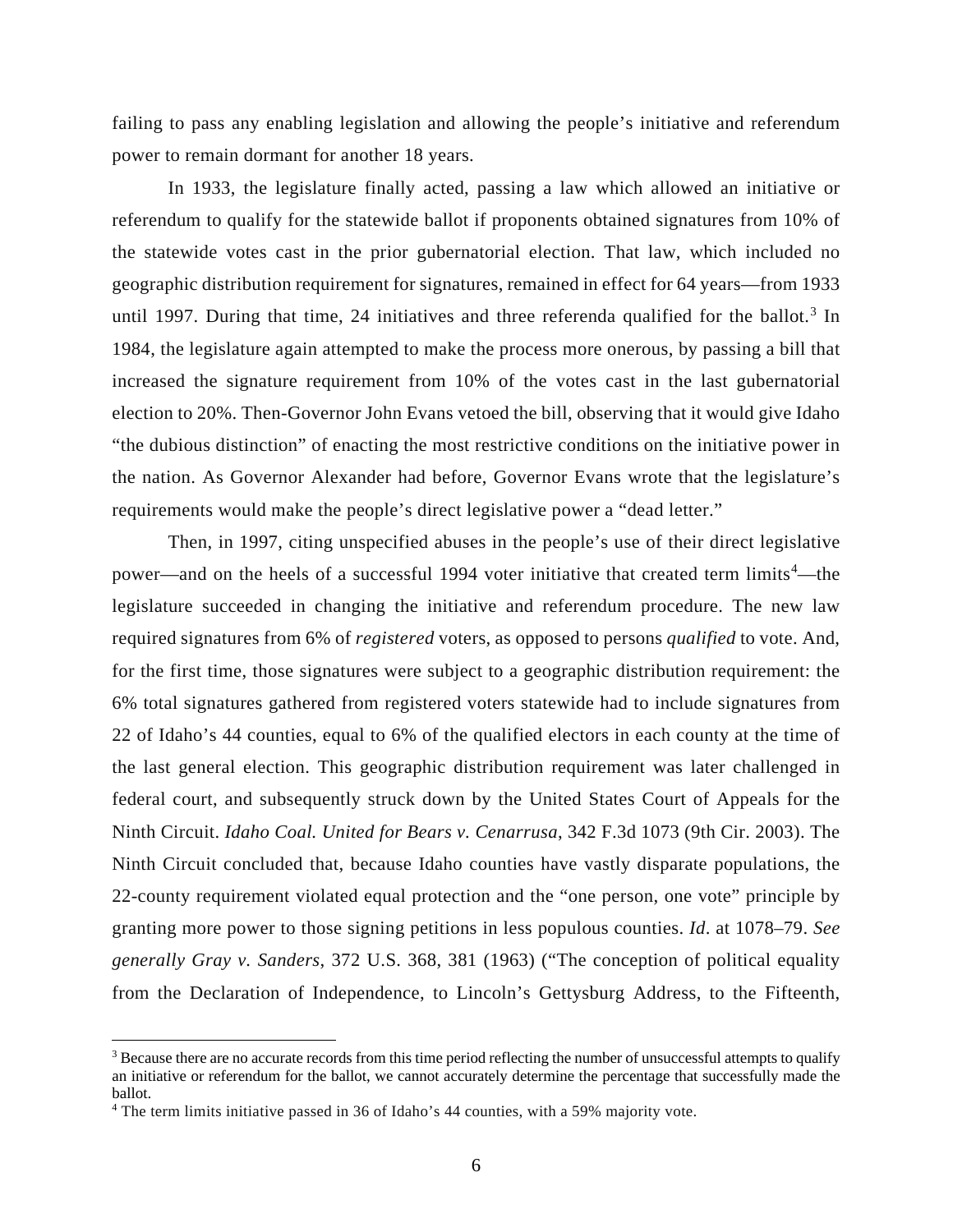failing to pass any enabling legislation and allowing the people's initiative and referendum power to remain dormant for another 18 years.

In 1933, the legislature finally acted, passing a law which allowed an initiative or referendum to qualify for the statewide ballot if proponents obtained signatures from 10% of the statewide votes cast in the prior gubernatorial election. That law, which included no geographic distribution requirement for signatures, remained in effect for 64 years—from 1933 until 1997. During that time, 24 initiatives and three referenda qualified for the ballot.<sup>[3](#page-5-0)</sup> In 1984, the legislature again attempted to make the process more onerous, by passing a bill that increased the signature requirement from 10% of the votes cast in the last gubernatorial election to 20%. Then-Governor John Evans vetoed the bill, observing that it would give Idaho "the dubious distinction" of enacting the most restrictive conditions on the initiative power in the nation. As Governor Alexander had before, Governor Evans wrote that the legislature's requirements would make the people's direct legislative power a "dead letter."

Then, in 1997, citing unspecified abuses in the people's use of their direct legislative power—and on the heels of a successful 199[4](#page-5-1) voter initiative that created term limits<sup>4</sup>—the legislature succeeded in changing the initiative and referendum procedure. The new law required signatures from 6% of *registered* voters, as opposed to persons *qualified* to vote. And, for the first time, those signatures were subject to a geographic distribution requirement: the 6% total signatures gathered from registered voters statewide had to include signatures from 22 of Idaho's 44 counties, equal to 6% of the qualified electors in each county at the time of the last general election. This geographic distribution requirement was later challenged in federal court, and subsequently struck down by the United States Court of Appeals for the Ninth Circuit. *Idaho Coal. United for Bears v. Cenarrusa*, 342 F.3d 1073 (9th Cir. 2003). The Ninth Circuit concluded that, because Idaho counties have vastly disparate populations, the 22-county requirement violated equal protection and the "one person, one vote" principle by granting more power to those signing petitions in less populous counties. *Id*. at 1078–79. *See generally Gray v. Sanders*, 372 U.S. 368, 381 (1963) ("The conception of political equality from the Declaration of Independence, to Lincoln's Gettysburg Address, to the Fifteenth,

<span id="page-5-0"></span><sup>&</sup>lt;sup>3</sup> Because there are no accurate records from this time period reflecting the number of unsuccessful attempts to qualify an initiative or referendum for the ballot, we cannot accurately determine the percentage that successfully made the ballot.

<span id="page-5-1"></span><sup>4</sup> The term limits initiative passed in 36 of Idaho's 44 counties, with a 59% majority vote.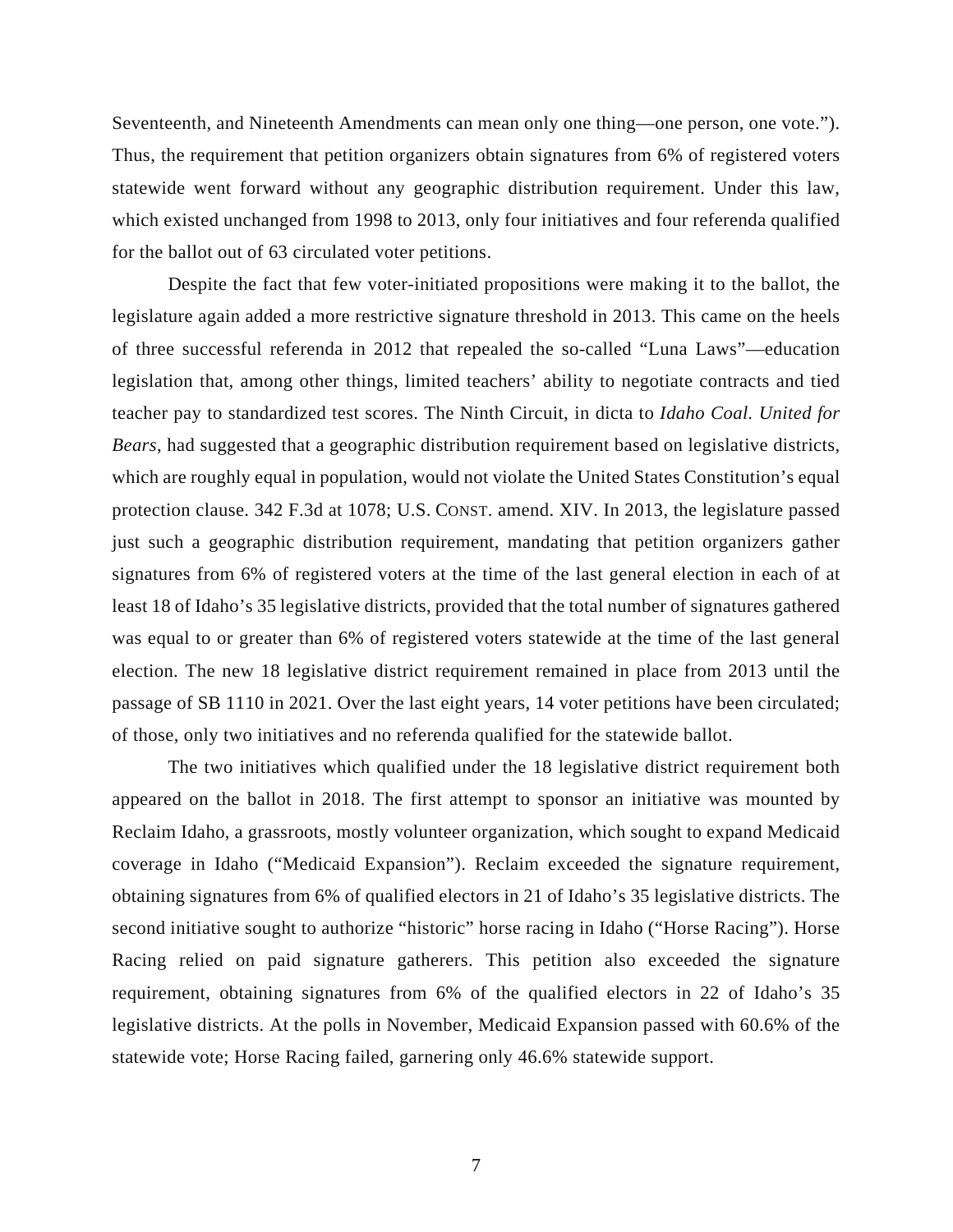Seventeenth, and Nineteenth Amendments can mean only one thing—one person, one vote."). Thus, the requirement that petition organizers obtain signatures from 6% of registered voters statewide went forward without any geographic distribution requirement. Under this law, which existed unchanged from 1998 to 2013, only four initiatives and four referenda qualified for the ballot out of 63 circulated voter petitions.

Despite the fact that few voter-initiated propositions were making it to the ballot, the legislature again added a more restrictive signature threshold in 2013. This came on the heels of three successful referenda in 2012 that repealed the so-called "Luna Laws"—education legislation that, among other things, limited teachers' ability to negotiate contracts and tied teacher pay to standardized test scores. The Ninth Circuit, in dicta to *Idaho Coal. United for Bears*, had suggested that a geographic distribution requirement based on legislative districts, which are roughly equal in population, would not violate the United States Constitution's equal protection clause. 342 F.3d at 1078; U.S. CONST. amend. XIV. In 2013, the legislature passed just such a geographic distribution requirement, mandating that petition organizers gather signatures from 6% of registered voters at the time of the last general election in each of at least 18 of Idaho's 35 legislative districts, provided that the total number of signatures gathered was equal to or greater than 6% of registered voters statewide at the time of the last general election. The new 18 legislative district requirement remained in place from 2013 until the passage of SB 1110 in 2021. Over the last eight years, 14 voter petitions have been circulated; of those, only two initiatives and no referenda qualified for the statewide ballot.

The two initiatives which qualified under the 18 legislative district requirement both appeared on the ballot in 2018. The first attempt to sponsor an initiative was mounted by Reclaim Idaho, a grassroots, mostly volunteer organization, which sought to expand Medicaid coverage in Idaho ("Medicaid Expansion"). Reclaim exceeded the signature requirement, obtaining signatures from 6% of qualified electors in 21 of Idaho's 35 legislative districts. The second initiative sought to authorize "historic" horse racing in Idaho ("Horse Racing"). Horse Racing relied on paid signature gatherers. This petition also exceeded the signature requirement, obtaining signatures from 6% of the qualified electors in 22 of Idaho's 35 legislative districts. At the polls in November, Medicaid Expansion passed with 60.6% of the statewide vote; Horse Racing failed, garnering only 46.6% statewide support.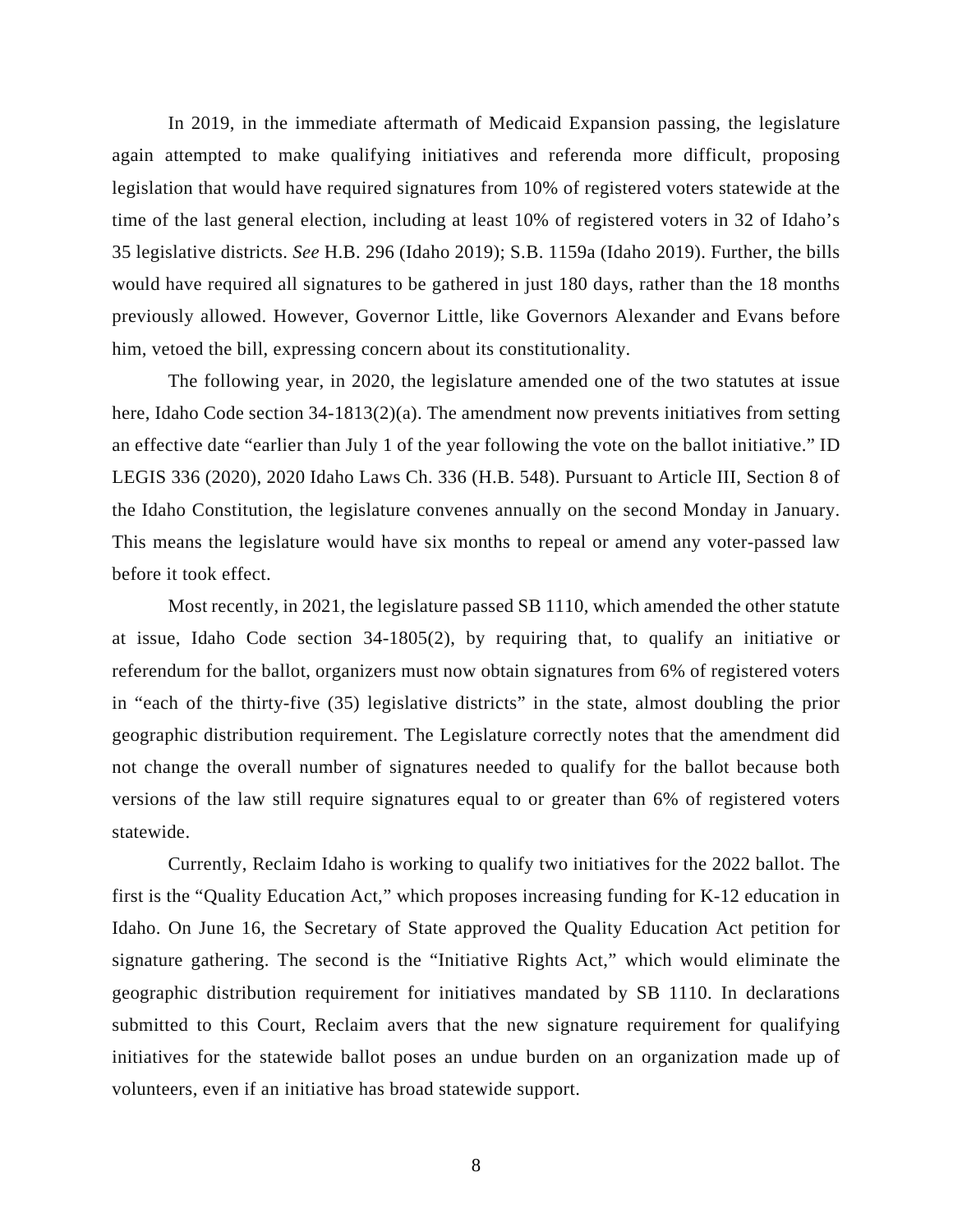In 2019, in the immediate aftermath of Medicaid Expansion passing, the legislature again attempted to make qualifying initiatives and referenda more difficult, proposing legislation that would have required signatures from 10% of registered voters statewide at the time of the last general election, including at least 10% of registered voters in 32 of Idaho's 35 legislative districts. *See* H.B. 296 (Idaho 2019); S.B. 1159a (Idaho 2019). Further, the bills would have required all signatures to be gathered in just 180 days, rather than the 18 months previously allowed. However, Governor Little, like Governors Alexander and Evans before him, vetoed the bill, expressing concern about its constitutionality.

The following year, in 2020, the legislature amended one of the two statutes at issue here, Idaho Code section 34-1813(2)(a). The amendment now prevents initiatives from setting an effective date "earlier than July 1 of the year following the vote on the ballot initiative." ID LEGIS 336 (2020), 2020 Idaho Laws Ch. 336 (H.B. 548). Pursuant to Article III, Section 8 of the Idaho Constitution, the legislature convenes annually on the second Monday in January. This means the legislature would have six months to repeal or amend any voter-passed law before it took effect.

Most recently, in 2021, the legislature passed SB 1110, which amended the other statute at issue, Idaho Code section 34-1805(2), by requiring that, to qualify an initiative or referendum for the ballot, organizers must now obtain signatures from 6% of registered voters in "each of the thirty-five (35) legislative districts" in the state, almost doubling the prior geographic distribution requirement. The Legislature correctly notes that the amendment did not change the overall number of signatures needed to qualify for the ballot because both versions of the law still require signatures equal to or greater than 6% of registered voters statewide.

Currently, Reclaim Idaho is working to qualify two initiatives for the 2022 ballot. The first is the "Quality Education Act," which proposes increasing funding for K-12 education in Idaho. On June 16, the Secretary of State approved the Quality Education Act petition for signature gathering. The second is the "Initiative Rights Act," which would eliminate the geographic distribution requirement for initiatives mandated by SB 1110. In declarations submitted to this Court, Reclaim avers that the new signature requirement for qualifying initiatives for the statewide ballot poses an undue burden on an organization made up of volunteers, even if an initiative has broad statewide support.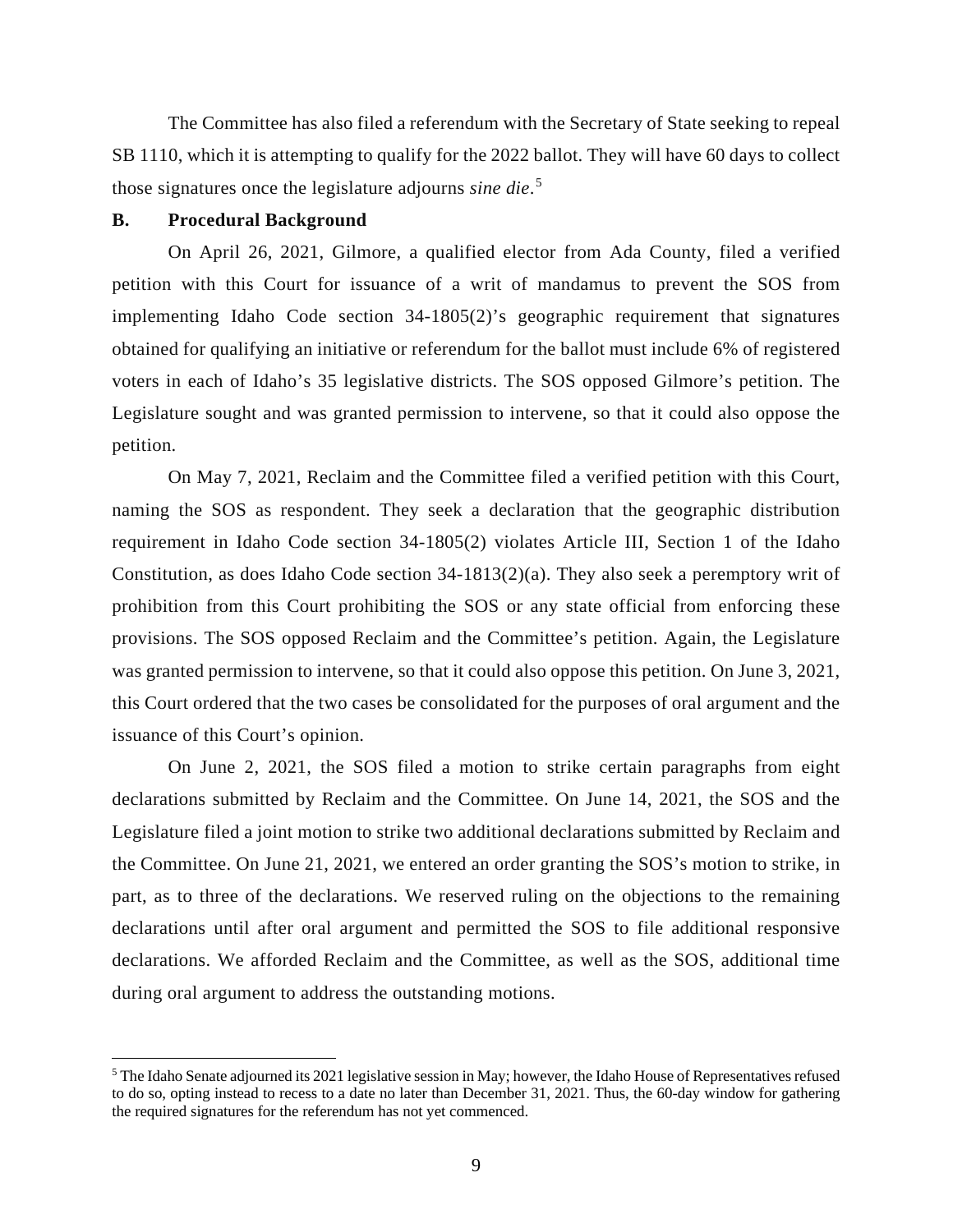The Committee has also filed a referendum with the Secretary of State seeking to repeal SB 1110, which it is attempting to qualify for the 2022 ballot. They will have 60 days to collect those signatures once the legislature adjourns *sine die*. [5](#page-8-0)

#### **B. Procedural Background**

On April 26, 2021, Gilmore, a qualified elector from Ada County, filed a verified petition with this Court for issuance of a writ of mandamus to prevent the SOS from implementing Idaho Code section 34-1805(2)'s geographic requirement that signatures obtained for qualifying an initiative or referendum for the ballot must include 6% of registered voters in each of Idaho's 35 legislative districts. The SOS opposed Gilmore's petition. The Legislature sought and was granted permission to intervene, so that it could also oppose the petition.

On May 7, 2021, Reclaim and the Committee filed a verified petition with this Court, naming the SOS as respondent. They seek a declaration that the geographic distribution requirement in Idaho Code section 34-1805(2) violates Article III, Section 1 of the Idaho Constitution, as does Idaho Code section 34-1813(2)(a). They also seek a peremptory writ of prohibition from this Court prohibiting the SOS or any state official from enforcing these provisions. The SOS opposed Reclaim and the Committee's petition. Again, the Legislature was granted permission to intervene, so that it could also oppose this petition. On June 3, 2021, this Court ordered that the two cases be consolidated for the purposes of oral argument and the issuance of this Court's opinion.

On June 2, 2021, the SOS filed a motion to strike certain paragraphs from eight declarations submitted by Reclaim and the Committee. On June 14, 2021, the SOS and the Legislature filed a joint motion to strike two additional declarations submitted by Reclaim and the Committee. On June 21, 2021, we entered an order granting the SOS's motion to strike, in part, as to three of the declarations. We reserved ruling on the objections to the remaining declarations until after oral argument and permitted the SOS to file additional responsive declarations. We afforded Reclaim and the Committee, as well as the SOS, additional time during oral argument to address the outstanding motions.

<span id="page-8-0"></span><sup>5</sup> The Idaho Senate adjourned its 2021 legislative session in May; however, the Idaho House of Representatives refused to do so, opting instead to recess to a date no later than December 31, 2021. Thus, the 60-day window for gathering the required signatures for the referendum has not yet commenced.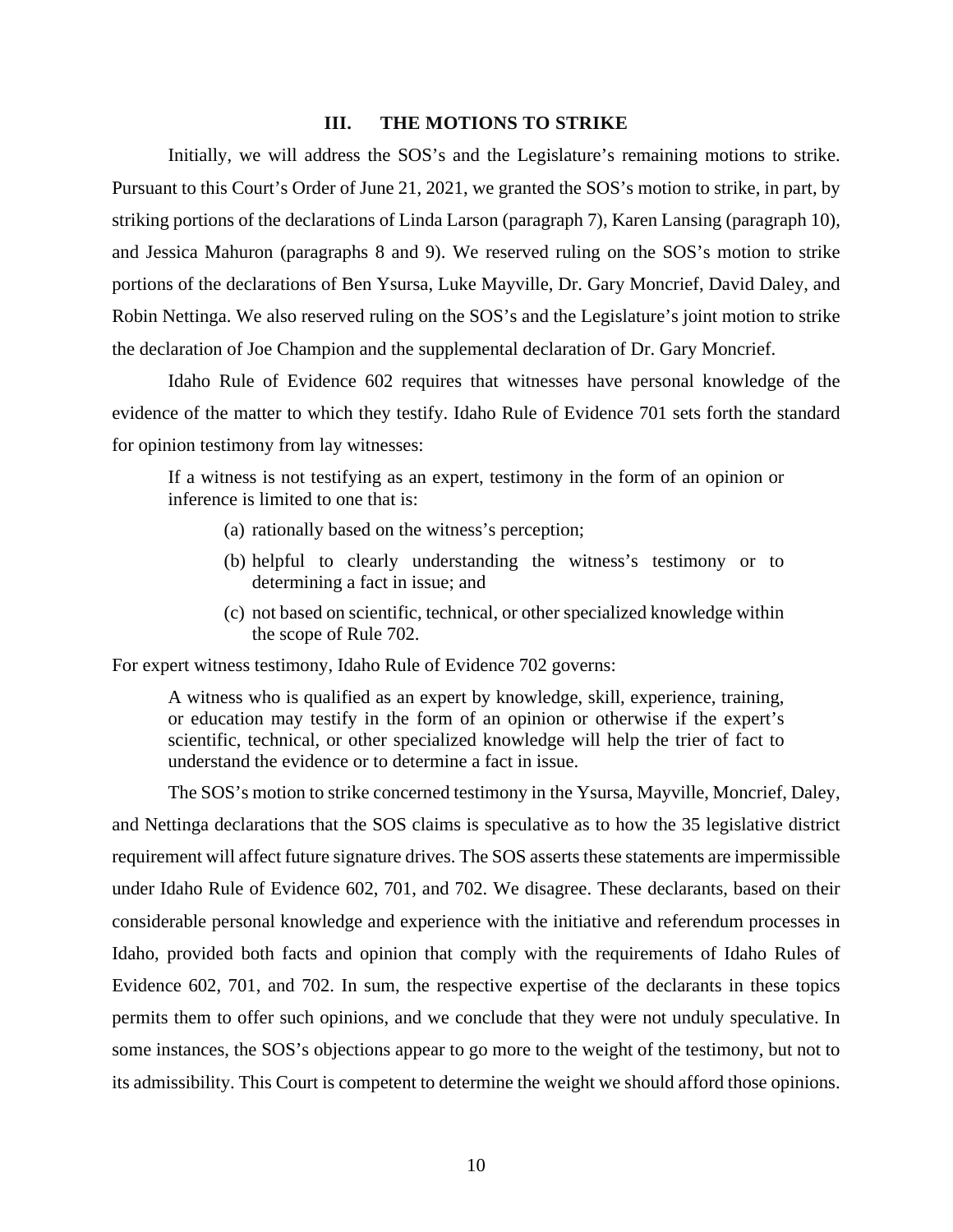## **III. THE MOTIONS TO STRIKE**

Initially, we will address the SOS's and the Legislature's remaining motions to strike. Pursuant to this Court's Order of June 21, 2021, we granted the SOS's motion to strike, in part, by striking portions of the declarations of Linda Larson (paragraph 7), Karen Lansing (paragraph 10), and Jessica Mahuron (paragraphs 8 and 9). We reserved ruling on the SOS's motion to strike portions of the declarations of Ben Ysursa, Luke Mayville, Dr. Gary Moncrief, David Daley, and Robin Nettinga. We also reserved ruling on the SOS's and the Legislature's joint motion to strike the declaration of Joe Champion and the supplemental declaration of Dr. Gary Moncrief.

Idaho Rule of Evidence 602 requires that witnesses have personal knowledge of the evidence of the matter to which they testify. Idaho Rule of Evidence 701 sets forth the standard for opinion testimony from lay witnesses:

If a witness is not testifying as an expert, testimony in the form of an opinion or inference is limited to one that is:

- (a) rationally based on the witness's perception;
- (b) helpful to clearly understanding the witness's testimony or to determining a fact in issue; and
- (c) not based on scientific, technical, or other specialized knowledge within the scope of Rule 702.

For expert witness testimony, Idaho Rule of Evidence 702 governs:

A witness who is qualified as an expert by knowledge, skill, experience, training, or education may testify in the form of an opinion or otherwise if the expert's scientific, technical, or other specialized knowledge will help the trier of fact to understand the evidence or to determine a fact in issue.

The SOS's motion to strike concerned testimony in the Ysursa, Mayville, Moncrief, Daley, and Nettinga declarations that the SOS claims is speculative as to how the 35 legislative district requirement will affect future signature drives. The SOS asserts these statements are impermissible under Idaho Rule of Evidence 602, 701, and 702. We disagree. These declarants, based on their considerable personal knowledge and experience with the initiative and referendum processes in Idaho, provided both facts and opinion that comply with the requirements of Idaho Rules of Evidence 602, 701, and 702. In sum, the respective expertise of the declarants in these topics permits them to offer such opinions, and we conclude that they were not unduly speculative. In some instances, the SOS's objections appear to go more to the weight of the testimony, but not to its admissibility. This Court is competent to determine the weight we should afford those opinions.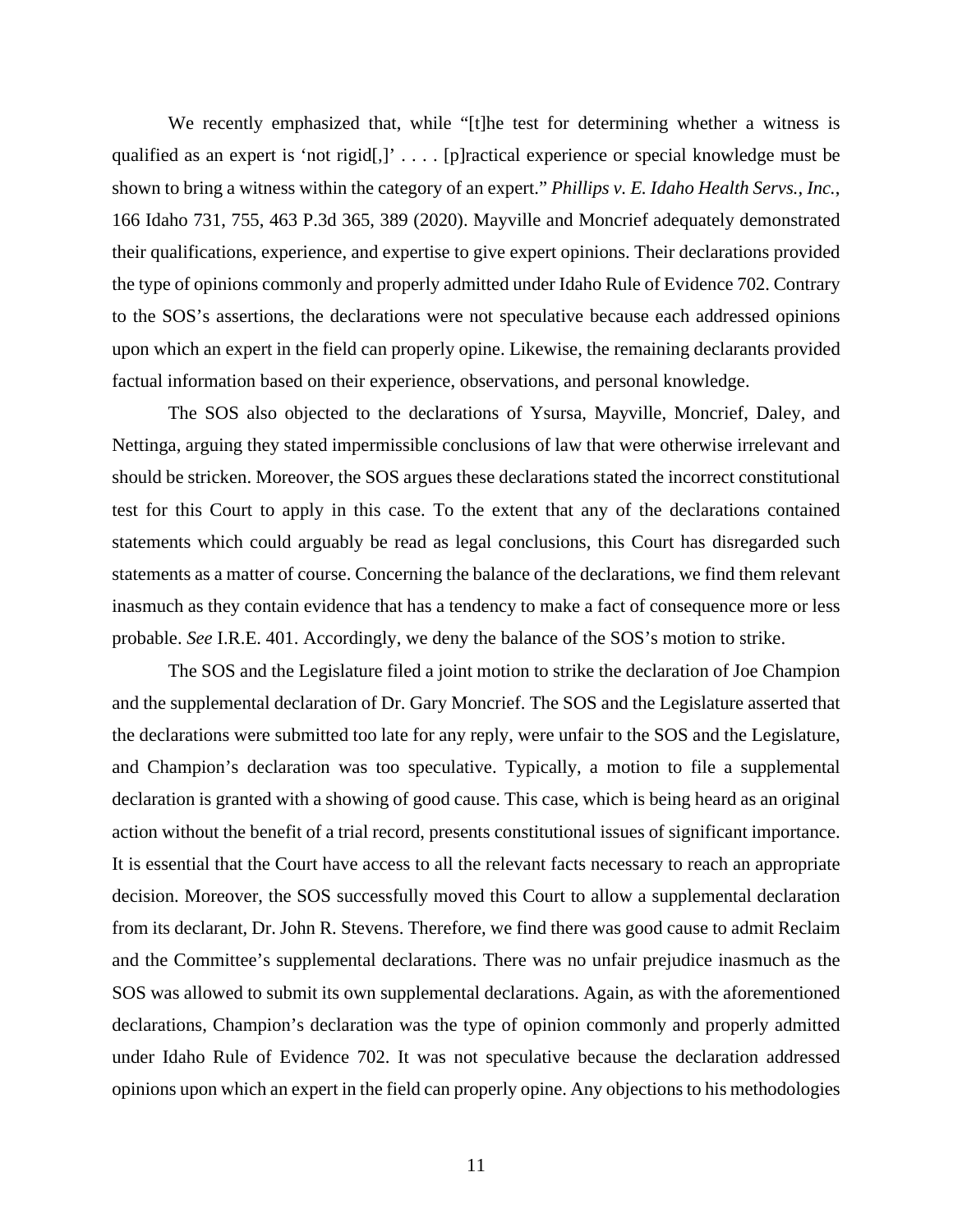We recently emphasized that, while "[t]he test for determining whether a witness is qualified as an expert is 'not rigid[,]' . . . . [p]ractical experience or special knowledge must be shown to bring a witness within the category of an expert." *Phillips v. E. Idaho Health Servs., Inc.*, 166 Idaho 731, 755, 463 P.3d 365, 389 (2020). Mayville and Moncrief adequately demonstrated their qualifications, experience, and expertise to give expert opinions. Their declarations provided the type of opinions commonly and properly admitted under Idaho Rule of Evidence 702. Contrary to the SOS's assertions, the declarations were not speculative because each addressed opinions upon which an expert in the field can properly opine. Likewise, the remaining declarants provided factual information based on their experience, observations, and personal knowledge.

The SOS also objected to the declarations of Ysursa, Mayville, Moncrief, Daley, and Nettinga, arguing they stated impermissible conclusions of law that were otherwise irrelevant and should be stricken. Moreover, the SOS argues these declarations stated the incorrect constitutional test for this Court to apply in this case. To the extent that any of the declarations contained statements which could arguably be read as legal conclusions, this Court has disregarded such statements as a matter of course. Concerning the balance of the declarations, we find them relevant inasmuch as they contain evidence that has a tendency to make a fact of consequence more or less probable. *See* I.R.E. 401. Accordingly, we deny the balance of the SOS's motion to strike.

The SOS and the Legislature filed a joint motion to strike the declaration of Joe Champion and the supplemental declaration of Dr. Gary Moncrief. The SOS and the Legislature asserted that the declarations were submitted too late for any reply, were unfair to the SOS and the Legislature, and Champion's declaration was too speculative. Typically, a motion to file a supplemental declaration is granted with a showing of good cause. This case, which is being heard as an original action without the benefit of a trial record, presents constitutional issues of significant importance. It is essential that the Court have access to all the relevant facts necessary to reach an appropriate decision. Moreover, the SOS successfully moved this Court to allow a supplemental declaration from its declarant, Dr. John R. Stevens. Therefore, we find there was good cause to admit Reclaim and the Committee's supplemental declarations. There was no unfair prejudice inasmuch as the SOS was allowed to submit its own supplemental declarations. Again, as with the aforementioned declarations, Champion's declaration was the type of opinion commonly and properly admitted under Idaho Rule of Evidence 702. It was not speculative because the declaration addressed opinions upon which an expert in the field can properly opine. Any objections to his methodologies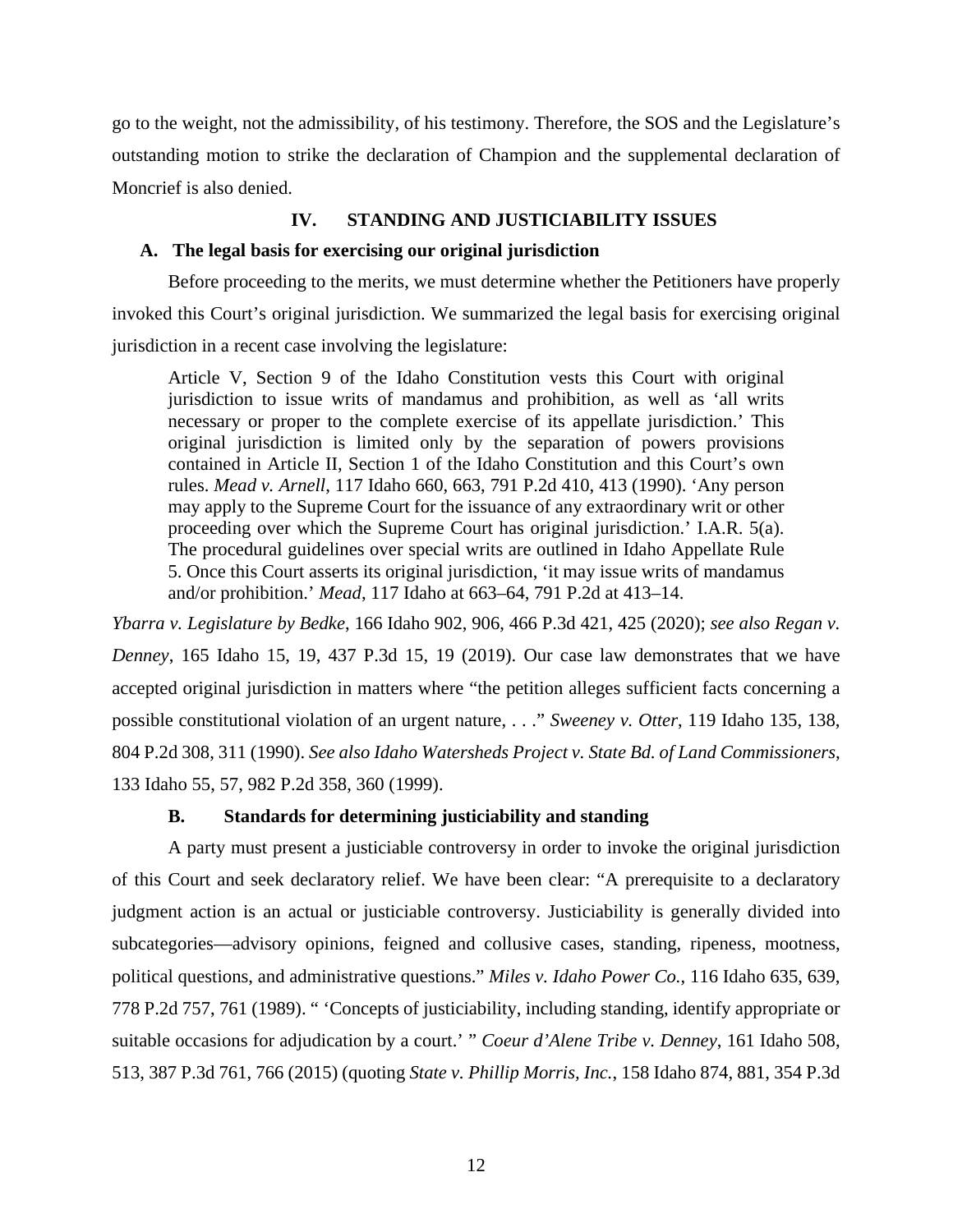go to the weight, not the admissibility, of his testimony. Therefore, the SOS and the Legislature's outstanding motion to strike the declaration of Champion and the supplemental declaration of Moncrief is also denied.

### **IV. STANDING AND JUSTICIABILITY ISSUES**

#### **A. The legal basis for exercising our original jurisdiction**

Before proceeding to the merits, we must determine whether the Petitioners have properly invoked this Court's original jurisdiction. We summarized the legal basis for exercising original jurisdiction in a recent case involving the legislature:

[Article V, Section 9 of the Idaho Constitution](https://1.next.westlaw.com/Link/Document/FullText?findType=L&pubNum=1000368&cite=IDCONSTARTVS9&originatingDoc=If0c6f240b4e211ea93a0cf5da1431849&refType=LQ&originationContext=document&transitionType=DocumentItem&contextData=(sc.UserEnteredCitation)) vests this Court with original jurisdiction to issue writs of mandamus and prohibition, as well as 'all writs necessary or proper to the complete exercise of its appellate jurisdiction.' This original jurisdiction is limited only by the separation of powers provisions contained in [Article II, Section 1 of the Idaho Constitution](https://1.next.westlaw.com/Link/Document/FullText?findType=L&pubNum=1000368&cite=IDCONSTARTIIS1&originatingDoc=If0c6f240b4e211ea93a0cf5da1431849&refType=LQ&originationContext=document&transitionType=DocumentItem&contextData=(sc.UserEnteredCitation)) and this Court's own rules. *Mead v. Arnell*[, 117 Idaho 660, 663, 791 P.2d 410, 413 \(1990\).](https://1.next.westlaw.com/Link/Document/FullText?findType=Y&serNum=1990048169&pubNum=0000661&originatingDoc=If0c6f240b4e211ea93a0cf5da1431849&refType=RP&fi=co_pp_sp_661_413&originationContext=document&transitionType=DocumentItem&contextData=(sc.UserEnteredCitation)#co_pp_sp_661_413) 'Any person may apply to the Supreme Court for the issuance of any extraordinary writ or other proceeding over which the Supreme Court has original jurisdiction.' [I.A.R. 5\(a\).](https://1.next.westlaw.com/Link/Document/FullText?findType=L&pubNum=1006908&cite=IDRAR5&originatingDoc=If0c6f240b4e211ea93a0cf5da1431849&refType=LQ&originationContext=document&transitionType=DocumentItem&contextData=(sc.UserEnteredCitation)) The procedural guidelines over special writs are outlined in [Idaho Appellate Rule](https://1.next.westlaw.com/Link/Document/FullText?findType=L&pubNum=1006908&cite=IDRAR5&originatingDoc=If0c6f240b4e211ea93a0cf5da1431849&refType=LQ&originationContext=document&transitionType=DocumentItem&contextData=(sc.UserEnteredCitation))  [5.](https://1.next.westlaw.com/Link/Document/FullText?findType=L&pubNum=1006908&cite=IDRAR5&originatingDoc=If0c6f240b4e211ea93a0cf5da1431849&refType=LQ&originationContext=document&transitionType=DocumentItem&contextData=(sc.UserEnteredCitation)) Once this Court asserts its original jurisdiction, 'it may issue writs of mandamus and/or prohibition.' *Mead*[, 117 Idaho at 663–64, 791 P.2d at 413–14.](https://1.next.westlaw.com/Link/Document/FullText?findType=Y&serNum=1990048169&pubNum=0000661&originatingDoc=If0c6f240b4e211ea93a0cf5da1431849&refType=RP&fi=co_pp_sp_661_413&originationContext=document&transitionType=DocumentItem&contextData=(sc.UserEnteredCitation)#co_pp_sp_661_413)

*Ybarra v. Legislature by Bedke*, 166 Idaho 902, 906, 466 P.3d 421, 425 (2020); *see also Regan v. Denney*, 165 Idaho 15, 19, 437 P.3d 15, 19 (2019). Our case law demonstrates that we have accepted original jurisdiction in matters where "the petition alleges sufficient facts concerning a possible constitutional violation of an urgent nature, . . ." *Sweeney v. Otter*, 119 Idaho 135, 138, 804 P.2d 308, 311 (1990). *See also Idaho Watersheds Project v. State Bd. of Land Commissioners*, 133 Idaho 55, 57, 982 P.2d 358, 360 (1999).

### **B. Standards for determining justiciability and standing**

A party must present a justiciable controversy in order to invoke the original jurisdiction of this Court and seek declaratory relief. We have been clear: "A prerequisite to a declaratory judgment action is an actual or justiciable controversy. Justiciability is generally divided into subcategories—advisory opinions, feigned and collusive cases, standing, ripeness, mootness, political questions, and administrative questions." *Miles v. Idaho Power Co.*, 116 Idaho 635, 639, 778 P.2d 757, 761 (1989). " 'Concepts of justiciability, including standing, identify appropriate or suitable occasions for adjudication by a court.' " *Coeur d'Alene Tribe v. Denney*, 161 Idaho 508, 513, 387 P.3d 761, 766 (2015) (quoting *State v. Phillip Morris, Inc.*, 158 Idaho 874, 881, 354 P.3d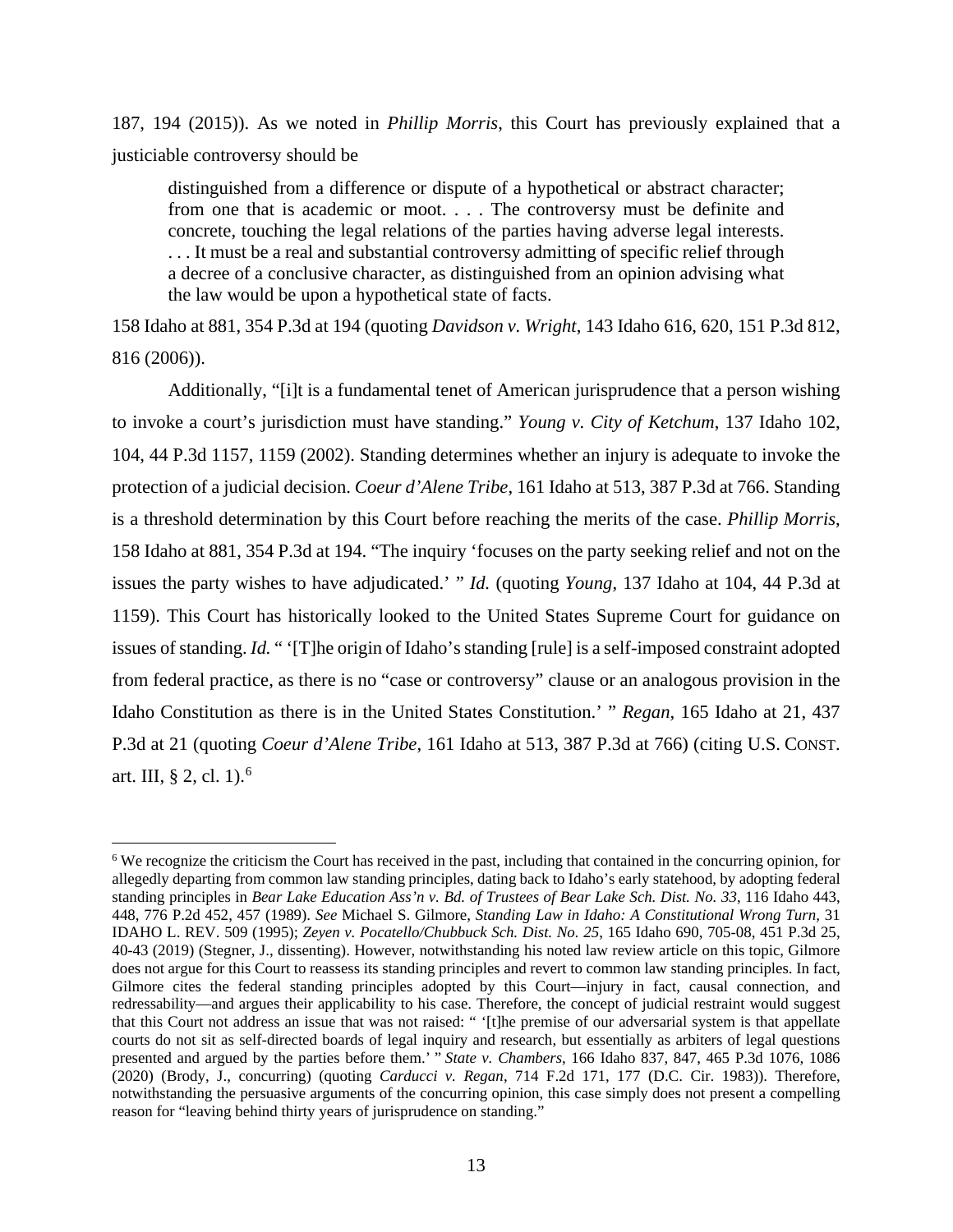187, 194 (2015)). As we noted in *Phillip Morris*, this Court has previously explained that a justiciable controversy should be

distinguished from a difference or dispute of a hypothetical or abstract character; from one that is academic or moot. . . . The controversy must be definite and concrete, touching the legal relations of the parties having adverse legal interests. ... It must be a real and substantial controversy admitting of specific relief through a decree of a conclusive character, as distinguished from an opinion advising what the law would be upon a hypothetical state of facts.

158 Idaho at 881, 354 P.3d at 194 (quoting *Davidson v. Wright*, 143 Idaho 616, 620, 151 P.3d 812, 816 (2006)).

Additionally, "[i]t is a fundamental tenet of American jurisprudence that a person wishing to invoke a court's jurisdiction must have standing." *Young v. City of Ketchum*, 137 Idaho 102, 104, 44 P.3d 1157, 1159 (2002). Standing determines whether an injury is adequate to invoke the protection of a judicial decision. *Coeur d'Alene Tribe*, 161 Idaho at 513, 387 P.3d at 766. Standing is a threshold determination by this Court before reaching the merits of the case. *Phillip Morris*, 158 Idaho at 881, 354 P.3d at 194. "The inquiry 'focuses on the party seeking relief and not on the issues the party wishes to have adjudicated.' " *Id.* (quoting *Young*, 137 Idaho at 104, 44 P.3d at 1159). This Court has historically looked to the United States Supreme Court for guidance on issues of standing. *Id.* " '[T]he origin of Idaho's standing [rule] is a self-imposed constraint adopted from federal practice, as there is no "case or controversy" clause or an analogous provision in the Idaho Constitution as there is in the United States Constitution.' " *Regan*, 165 Idaho at 21, 437 P.3d at 21 (quoting *Coeur d'Alene Tribe*, 161 Idaho at 513, 387 P.3d at 766) (citing U.S. CONST. art. III,  $\S 2$ , cl. 1).<sup>[6](#page-12-0)</sup>

<span id="page-12-0"></span><sup>&</sup>lt;sup>6</sup> We recognize the criticism the Court has received in the past, including that contained in the concurring opinion, for allegedly departing from common law standing principles, dating back to Idaho's early statehood, by adopting federal standing principles in *Bear Lake Education Ass'n v. Bd. of Trustees of Bear Lake Sch. Dist. No. 33*, 116 Idaho 443, 448, 776 P.2d 452, 457 (1989). *See* Michael S. Gilmore, *Standing Law in Idaho: A Constitutional Wrong Turn,* 31 IDAHO L. REV. 509 (1995); *Zeyen v. Pocatello/Chubbuck Sch. Dist. No. 25*, 165 Idaho 690, 705-08, 451 P.3d 25, 40-43 (2019) (Stegner, J., dissenting). However, notwithstanding his noted law review article on this topic, Gilmore does not argue for this Court to reassess its standing principles and revert to common law standing principles. In fact, Gilmore cites the federal standing principles adopted by this Court—injury in fact, causal connection, and redressability—and argues their applicability to his case. Therefore, the concept of judicial restraint would suggest that this Court not address an issue that was not raised: " '[t]he premise of our adversarial system is that appellate courts do not sit as self-directed boards of legal inquiry and research, but essentially as arbiters of legal questions presented and argued by the parties before them.' " *State v. Chambers*, 166 Idaho 837, 847, 465 P.3d 1076, 1086 (2020) (Brody, J., concurring) (quoting *Carducci v. Regan*, 714 F.2d 171, 177 (D.C. Cir. 1983)). Therefore, notwithstanding the persuasive arguments of the concurring opinion, this case simply does not present a compelling reason for "leaving behind thirty years of jurisprudence on standing."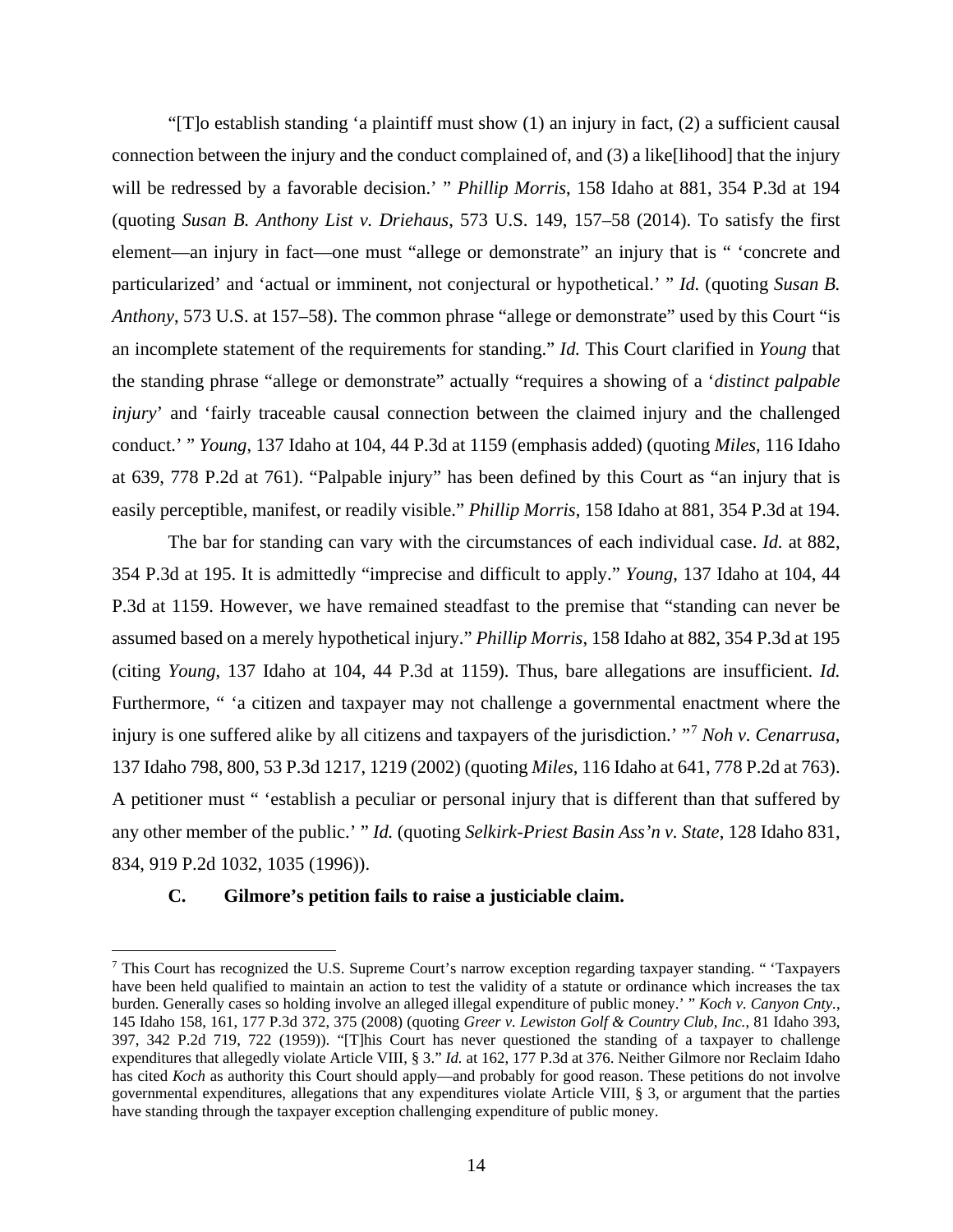"[T]o establish standing 'a plaintiff must show (1) an injury in fact, (2) a sufficient causal connection between the injury and the conduct complained of, and (3) a like[lihood] that the injury will be redressed by a favorable decision.' " *Phillip Morris*, 158 Idaho at 881, 354 P.3d at 194 (quoting *Susan B. Anthony List v. Driehaus*, 573 U.S. 149, 157–58 (2014). To satisfy the first element—an injury in fact—one must "allege or demonstrate" an injury that is " 'concrete and particularized' and 'actual or imminent, not conjectural or hypothetical.' " *Id.* (quoting *Susan B. Anthony*, 573 U.S. at 157–58). The common phrase "allege or demonstrate" used by this Court "is an incomplete statement of the requirements for standing." *Id.* This Court clarified in *Young* that the standing phrase "allege or demonstrate" actually "requires a showing of a '*distinct palpable injury*' and 'fairly traceable causal connection between the claimed injury and the challenged conduct.' " *Young*, 137 Idaho at 104, 44 P.3d at 1159 (emphasis added) (quoting *Miles*, 116 Idaho at 639, 778 P.2d at 761). "Palpable injury" has been defined by this Court as "an injury that is easily perceptible, manifest, or readily visible." *Phillip Morris*, 158 Idaho at 881, 354 P.3d at 194.

The bar for standing can vary with the circumstances of each individual case. *Id.* at 882, 354 P.3d at 195. It is admittedly "imprecise and difficult to apply." *Young*, 137 Idaho at 104, 44 P.3d at 1159. However, we have remained steadfast to the premise that "standing can never be assumed based on a merely hypothetical injury." *Phillip Morris*, 158 Idaho at 882, 354 P.3d at 195 (citing *Young*, 137 Idaho at 104, 44 P.3d at 1159). Thus, bare allegations are insufficient. *Id.* Furthermore, " 'a citizen and taxpayer may not challenge a governmental enactment where the injury is one suffered alike by all citizens and taxpayers of the jurisdiction.' "[7](#page-13-0) *Noh v. Cenarrusa*, 137 Idaho 798, 800, 53 P.3d 1217, 1219 (2002) (quoting *Miles*, 116 Idaho at 641, 778 P.2d at 763). A petitioner must " 'establish a peculiar or personal injury that is different than that suffered by any other member of the public.' " *Id.* (quoting *Selkirk-Priest Basin Ass'n v. State*, 128 Idaho 831, 834, 919 P.2d 1032, 1035 (1996)).

# **C. Gilmore's petition fails to raise a justiciable claim.**

<span id="page-13-0"></span><sup>7</sup> This Court has recognized the U.S. Supreme Court's narrow exception regarding taxpayer standing. " 'Taxpayers have been held qualified to maintain an action to test the validity of a statute or ordinance which increases the tax burden. Generally cases so holding involve an alleged illegal expenditure of public money.' " *Koch v. Canyon Cnty.*, 145 Idaho 158, 161, 177 P.3d 372, 375 (2008) (quoting *Greer v. Lewiston Golf & Country Club, Inc.*, 81 Idaho 393, 397, 342 P.2d 719, 722 (1959)). "[T]his Court has never questioned the standing of a taxpayer to challenge expenditures that allegedly violate Article VIII, § 3." *Id.* at 162, 177 P.3d at 376. Neither Gilmore nor Reclaim Idaho has cited *Koch* as authority this Court should apply—and probably for good reason. These petitions do not involve governmental expenditures, allegations that any expenditures violate Article VIII, § 3, or argument that the parties have standing through the taxpayer exception challenging expenditure of public money.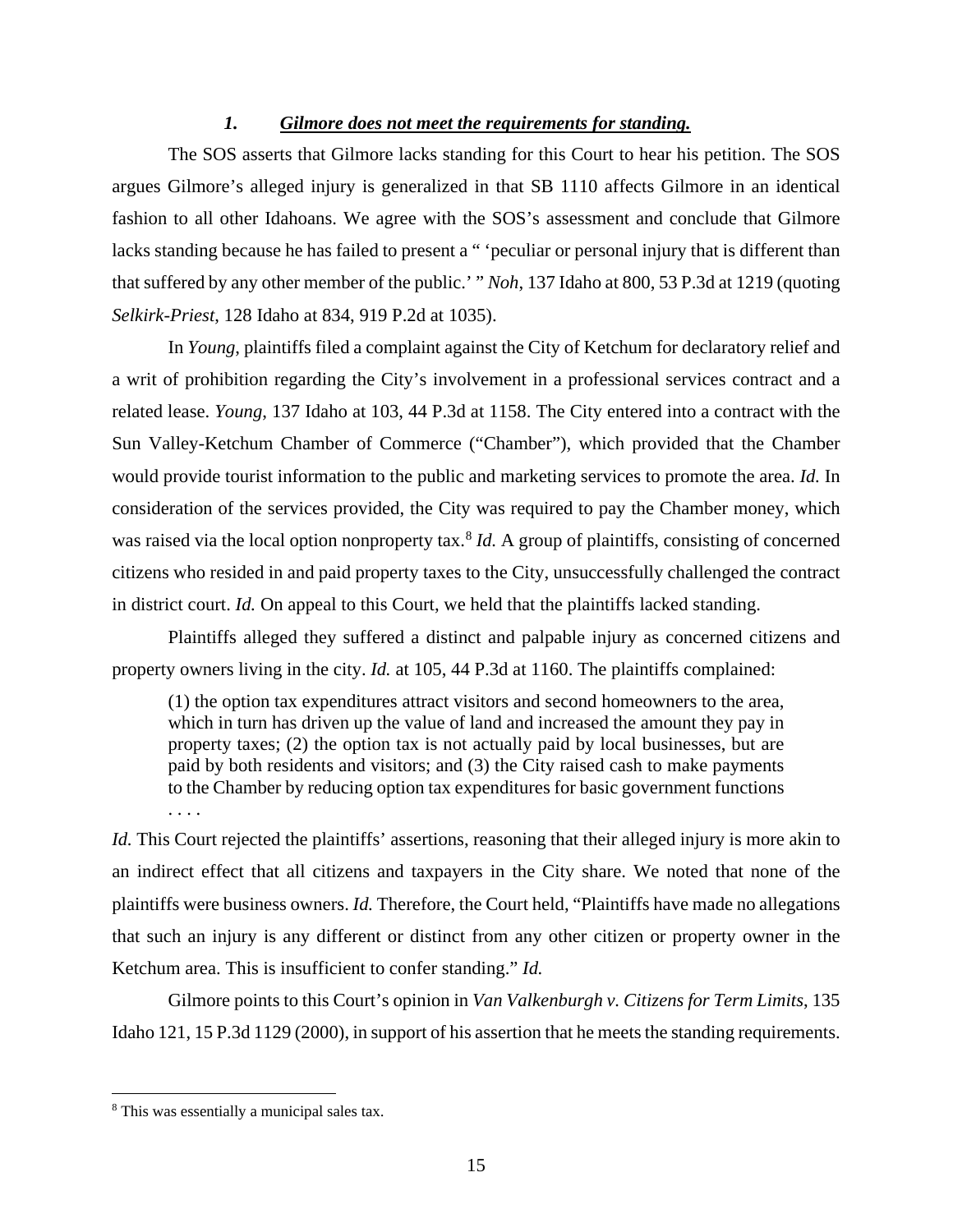### *1. Gilmore does not meet the requirements for standing.*

The SOS asserts that Gilmore lacks standing for this Court to hear his petition. The SOS argues Gilmore's alleged injury is generalized in that SB 1110 affects Gilmore in an identical fashion to all other Idahoans. We agree with the SOS's assessment and conclude that Gilmore lacks standing because he has failed to present a " 'peculiar or personal injury that is different than that suffered by any other member of the public.' " *Noh*, 137 Idaho at 800, 53 P.3d at 1219 (quoting *Selkirk-Priest*, 128 Idaho at 834, 919 P.2d at 1035).

In *Young*, plaintiffs filed a complaint against the City of Ketchum for declaratory relief and a writ of prohibition regarding the City's involvement in a professional services contract and a related lease. *Young*, 137 Idaho at 103, 44 P.3d at 1158. The City entered into a contract with the Sun Valley-Ketchum Chamber of Commerce ("Chamber"), which provided that the Chamber would provide tourist information to the public and marketing services to promote the area. *Id.* In consideration of the services provided, the City was required to pay the Chamber money, which was raised via the local option nonproperty tax.<sup>[8](#page-14-0)</sup> *Id.* A group of plaintiffs, consisting of concerned citizens who resided in and paid property taxes to the City, unsuccessfully challenged the contract in district court. *Id.* On appeal to this Court, we held that the plaintiffs lacked standing.

Plaintiffs alleged they suffered a distinct and palpable injury as concerned citizens and property owners living in the city. *Id.* at 105, 44 P.3d at 1160. The plaintiffs complained:

(1) the option tax expenditures attract visitors and second homeowners to the area, which in turn has driven up the value of land and increased the amount they pay in property taxes; (2) the option tax is not actually paid by local businesses, but are paid by both residents and visitors; and (3) the City raised cash to make payments to the Chamber by reducing option tax expenditures for basic government functions . . . .

*Id.* This Court rejected the plaintiffs' assertions, reasoning that their alleged injury is more akin to an indirect effect that all citizens and taxpayers in the City share. We noted that none of the plaintiffs were business owners. *Id.* Therefore, the Court held, "Plaintiffs have made no allegations that such an injury is any different or distinct from any other citizen or property owner in the Ketchum area. This is insufficient to confer standing." *Id.*

Gilmore points to this Court's opinion in *Van Valkenburgh v. Citizens for Term Limits*, 135 Idaho 121, 15 P.3d 1129 (2000), in support of his assertion that he meets the standing requirements.

<span id="page-14-0"></span><sup>8</sup> This was essentially a municipal sales tax.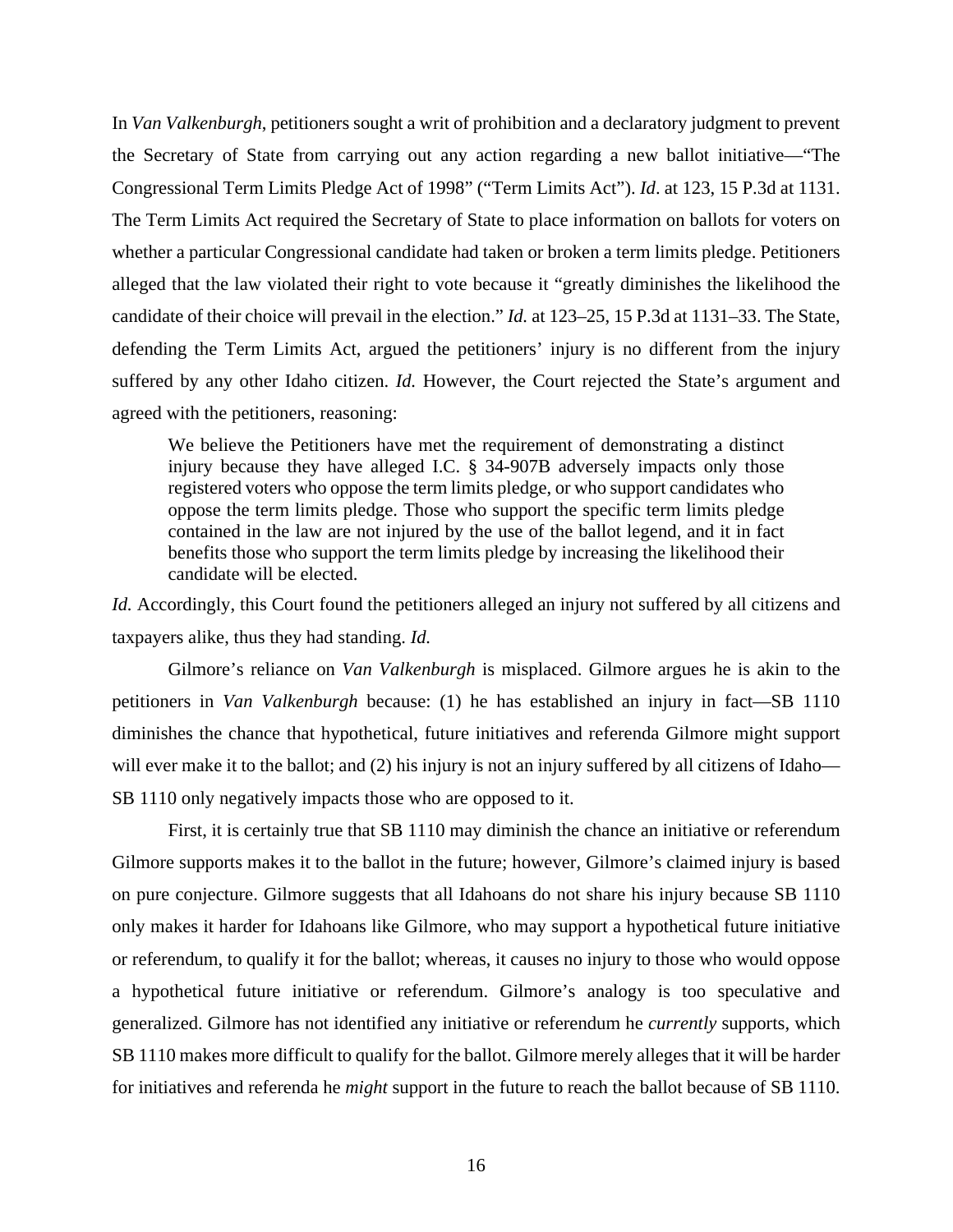In *Van Valkenburgh*, petitioners sought a writ of prohibition and a declaratory judgment to prevent the Secretary of State from carrying out any action regarding a new ballot initiative—"The Congressional Term Limits Pledge Act of 1998" ("Term Limits Act"). *Id*. at 123, 15 P.3d at 1131. The Term Limits Act required the Secretary of State to place information on ballots for voters on whether a particular Congressional candidate had taken or broken a term limits pledge. Petitioners alleged that the law violated their right to vote because it "greatly diminishes the likelihood the candidate of their choice will prevail in the election." *Id.* at 123–25, 15 P.3d at 1131–33. The State, defending the Term Limits Act, argued the petitioners' injury is no different from the injury suffered by any other Idaho citizen. *Id.* However, the Court rejected the State's argument and agreed with the petitioners, reasoning:

We believe the Petitioners have met the requirement of demonstrating a distinct injury because they have alleged I.C. § 34-907B adversely impacts only those registered voters who oppose the term limits pledge, or who support candidates who oppose the term limits pledge. Those who support the specific term limits pledge contained in the law are not injured by the use of the ballot legend, and it in fact benefits those who support the term limits pledge by increasing the likelihood their candidate will be elected.

*Id.* Accordingly, this Court found the petitioners alleged an injury not suffered by all citizens and taxpayers alike, thus they had standing. *Id.*

Gilmore's reliance on *Van Valkenburgh* is misplaced. Gilmore argues he is akin to the petitioners in *Van Valkenburgh* because: (1) he has established an injury in fact—SB 1110 diminishes the chance that hypothetical, future initiatives and referenda Gilmore might support will ever make it to the ballot; and (2) his injury is not an injury suffered by all citizens of Idaho— SB 1110 only negatively impacts those who are opposed to it.

First, it is certainly true that SB 1110 may diminish the chance an initiative or referendum Gilmore supports makes it to the ballot in the future; however, Gilmore's claimed injury is based on pure conjecture. Gilmore suggests that all Idahoans do not share his injury because SB 1110 only makes it harder for Idahoans like Gilmore, who may support a hypothetical future initiative or referendum, to qualify it for the ballot; whereas, it causes no injury to those who would oppose a hypothetical future initiative or referendum. Gilmore's analogy is too speculative and generalized. Gilmore has not identified any initiative or referendum he *currently* supports, which SB 1110 makes more difficult to qualify for the ballot. Gilmore merely alleges that it will be harder for initiatives and referenda he *might* support in the future to reach the ballot because of SB 1110.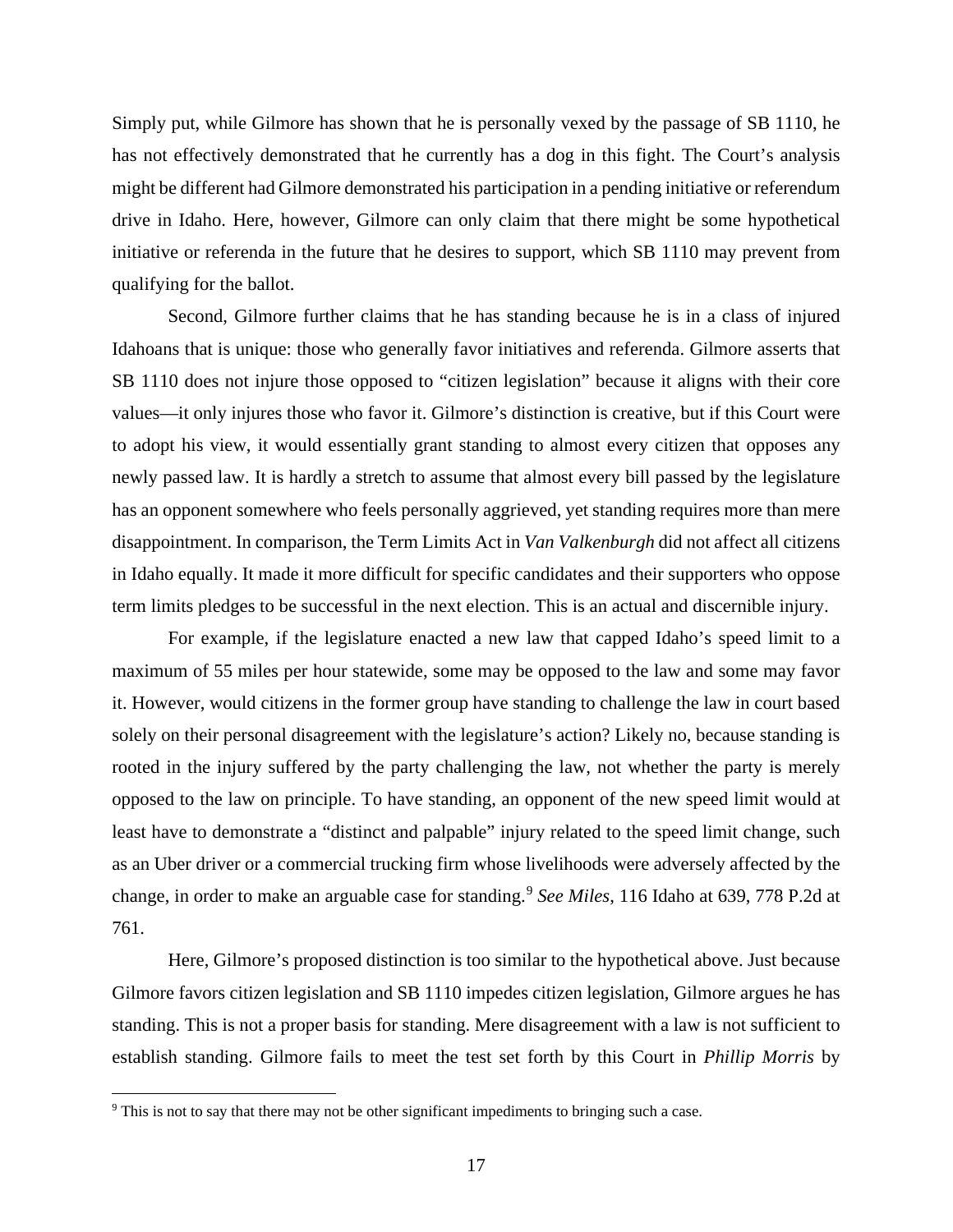Simply put, while Gilmore has shown that he is personally vexed by the passage of SB 1110, he has not effectively demonstrated that he currently has a dog in this fight. The Court's analysis might be different had Gilmore demonstrated his participation in a pending initiative or referendum drive in Idaho. Here, however, Gilmore can only claim that there might be some hypothetical initiative or referenda in the future that he desires to support, which SB 1110 may prevent from qualifying for the ballot.

Second, Gilmore further claims that he has standing because he is in a class of injured Idahoans that is unique: those who generally favor initiatives and referenda. Gilmore asserts that SB 1110 does not injure those opposed to "citizen legislation" because it aligns with their core values—it only injures those who favor it. Gilmore's distinction is creative, but if this Court were to adopt his view, it would essentially grant standing to almost every citizen that opposes any newly passed law. It is hardly a stretch to assume that almost every bill passed by the legislature has an opponent somewhere who feels personally aggrieved, yet standing requires more than mere disappointment. In comparison, the Term Limits Act in *Van Valkenburgh* did not affect all citizens in Idaho equally. It made it more difficult for specific candidates and their supporters who oppose term limits pledges to be successful in the next election. This is an actual and discernible injury.

For example, if the legislature enacted a new law that capped Idaho's speed limit to a maximum of 55 miles per hour statewide, some may be opposed to the law and some may favor it. However, would citizens in the former group have standing to challenge the law in court based solely on their personal disagreement with the legislature's action? Likely no, because standing is rooted in the injury suffered by the party challenging the law, not whether the party is merely opposed to the law on principle. To have standing, an opponent of the new speed limit would at least have to demonstrate a "distinct and palpable" injury related to the speed limit change, such as an Uber driver or a commercial trucking firm whose livelihoods were adversely affected by the change, in order to make an arguable case for standing.[9](#page-16-0) *See Miles*, 116 Idaho at 639, 778 P.2d at 761.

Here, Gilmore's proposed distinction is too similar to the hypothetical above. Just because Gilmore favors citizen legislation and SB 1110 impedes citizen legislation, Gilmore argues he has standing. This is not a proper basis for standing. Mere disagreement with a law is not sufficient to establish standing. Gilmore fails to meet the test set forth by this Court in *Phillip Morris* by

<span id="page-16-0"></span><sup>&</sup>lt;sup>9</sup> This is not to say that there may not be other significant impediments to bringing such a case.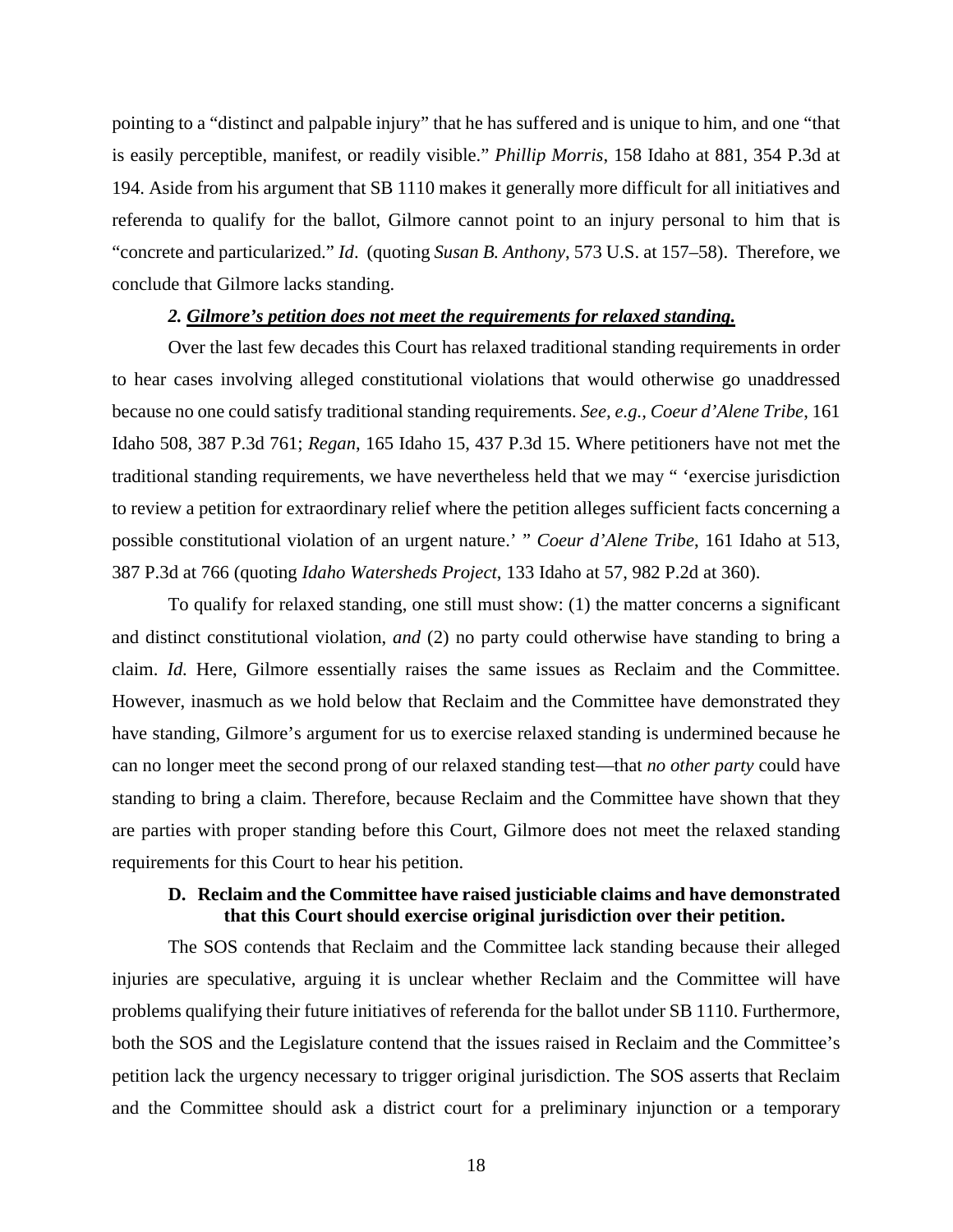pointing to a "distinct and palpable injury" that he has suffered and is unique to him, and one "that is easily perceptible, manifest, or readily visible." *Phillip Morris*, 158 Idaho at 881, 354 P.3d at 194. Aside from his argument that SB 1110 makes it generally more difficult for all initiatives and referenda to qualify for the ballot, Gilmore cannot point to an injury personal to him that is "concrete and particularized." *Id*. (quoting *Susan B. Anthony*, 573 U.S. at 157–58). Therefore, we conclude that Gilmore lacks standing.

#### *2. Gilmore's petition does not meet the requirements for relaxed standing.*

Over the last few decades this Court has relaxed traditional standing requirements in order to hear cases involving alleged constitutional violations that would otherwise go unaddressed because no one could satisfy traditional standing requirements. *See, e.g., Coeur d'Alene Tribe*, 161 Idaho 508, 387 P.3d 761; *Regan*, 165 Idaho 15, 437 P.3d 15. Where petitioners have not met the traditional standing requirements, we have nevertheless held that we may " 'exercise jurisdiction to review a petition for extraordinary relief where the petition alleges sufficient facts concerning a possible constitutional violation of an urgent nature.' " *Coeur d'Alene Tribe*, 161 Idaho at 513, 387 P.3d at 766 (quoting *Idaho Watersheds Project*, 133 Idaho at 57, 982 P.2d at 360).

To qualify for relaxed standing, one still must show: (1) the matter concerns a significant and distinct constitutional violation, *and* (2) no party could otherwise have standing to bring a claim. *Id.* Here, Gilmore essentially raises the same issues as Reclaim and the Committee. However, inasmuch as we hold below that Reclaim and the Committee have demonstrated they have standing, Gilmore's argument for us to exercise relaxed standing is undermined because he can no longer meet the second prong of our relaxed standing test—that *no other party* could have standing to bring a claim. Therefore, because Reclaim and the Committee have shown that they are parties with proper standing before this Court, Gilmore does not meet the relaxed standing requirements for this Court to hear his petition.

### **D. Reclaim and the Committee have raised justiciable claims and have demonstrated that this Court should exercise original jurisdiction over their petition.**

The SOS contends that Reclaim and the Committee lack standing because their alleged injuries are speculative, arguing it is unclear whether Reclaim and the Committee will have problems qualifying their future initiatives of referenda for the ballot under SB 1110. Furthermore, both the SOS and the Legislature contend that the issues raised in Reclaim and the Committee's petition lack the urgency necessary to trigger original jurisdiction. The SOS asserts that Reclaim and the Committee should ask a district court for a preliminary injunction or a temporary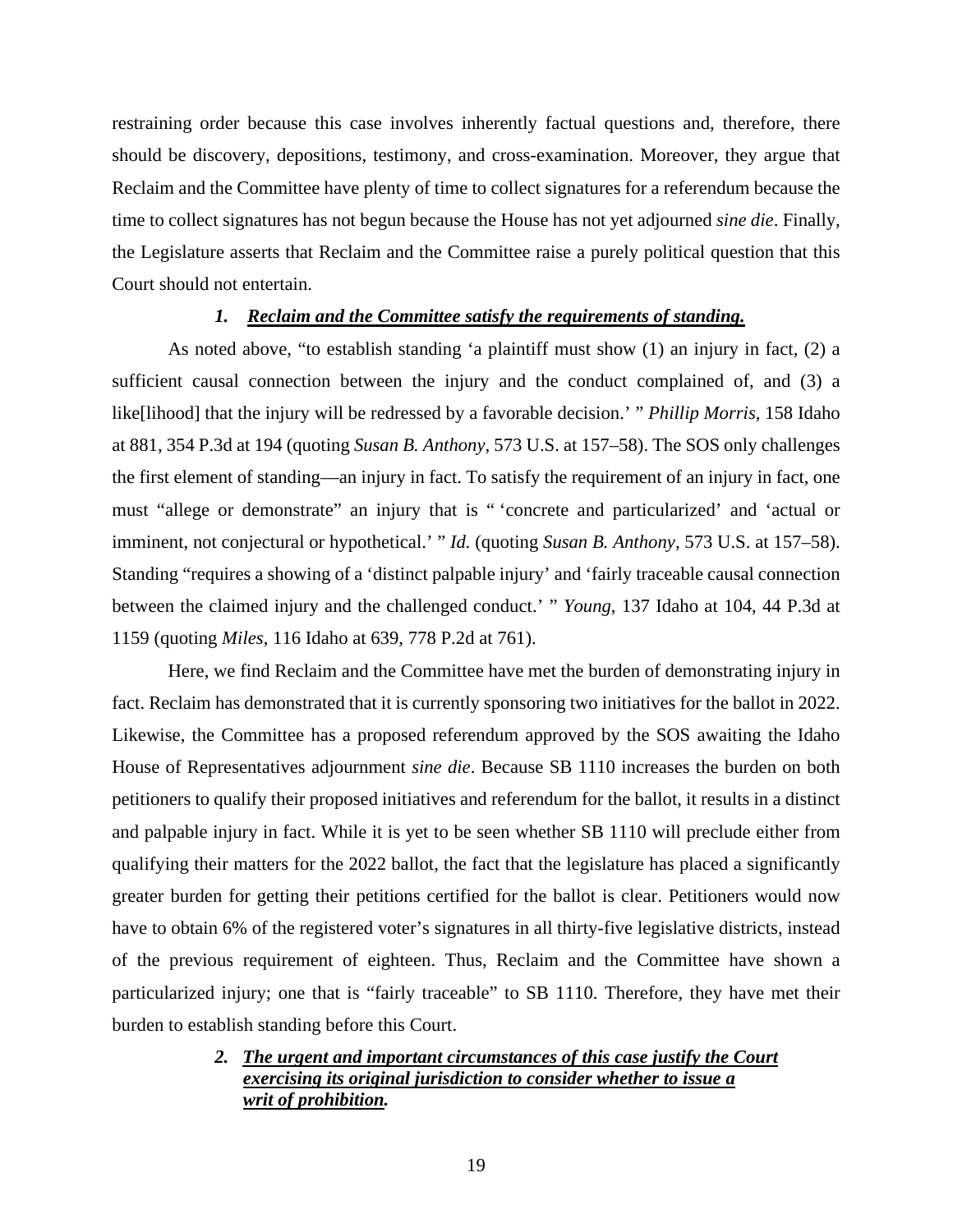restraining order because this case involves inherently factual questions and, therefore, there should be discovery, depositions, testimony, and cross-examination. Moreover, they argue that Reclaim and the Committee have plenty of time to collect signatures for a referendum because the time to collect signatures has not begun because the House has not yet adjourned *sine die*. Finally, the Legislature asserts that Reclaim and the Committee raise a purely political question that this Court should not entertain.

### *1. Reclaim and the Committee satisfy the requirements of standing.*

As noted above, "to establish standing 'a plaintiff must show (1) an injury in fact, (2) a sufficient causal connection between the injury and the conduct complained of, and (3) a like[lihood] that the injury will be redressed by a favorable decision.' " *Phillip Morris*, 158 Idaho at 881, 354 P.3d at 194 (quoting *Susan B. Anthony*, 573 U.S. at 157–58). The SOS only challenges the first element of standing—an injury in fact. To satisfy the requirement of an injury in fact, one must "allege or demonstrate" an injury that is " 'concrete and particularized' and 'actual or imminent, not conjectural or hypothetical.' " *Id.* (quoting *Susan B. Anthony*, 573 U.S. at 157–58). Standing "requires a showing of a 'distinct palpable injury' and 'fairly traceable causal connection between the claimed injury and the challenged conduct.' " *Young*, 137 Idaho at 104, 44 P.3d at 1159 (quoting *Miles*, 116 Idaho at 639, 778 P.2d at 761).

Here, we find Reclaim and the Committee have met the burden of demonstrating injury in fact. Reclaim has demonstrated that it is currently sponsoring two initiatives for the ballot in 2022. Likewise, the Committee has a proposed referendum approved by the SOS awaiting the Idaho House of Representatives adjournment *sine die*. Because SB 1110 increases the burden on both petitioners to qualify their proposed initiatives and referendum for the ballot, it results in a distinct and palpable injury in fact. While it is yet to be seen whether SB 1110 will preclude either from qualifying their matters for the 2022 ballot, the fact that the legislature has placed a significantly greater burden for getting their petitions certified for the ballot is clear. Petitioners would now have to obtain 6% of the registered voter's signatures in all thirty-five legislative districts, instead of the previous requirement of eighteen. Thus, Reclaim and the Committee have shown a particularized injury; one that is "fairly traceable" to SB 1110. Therefore, they have met their burden to establish standing before this Court.

# *2. The urgent and important circumstances of this case justify the Court exercising its original jurisdiction to consider whether to issue a writ of prohibition.*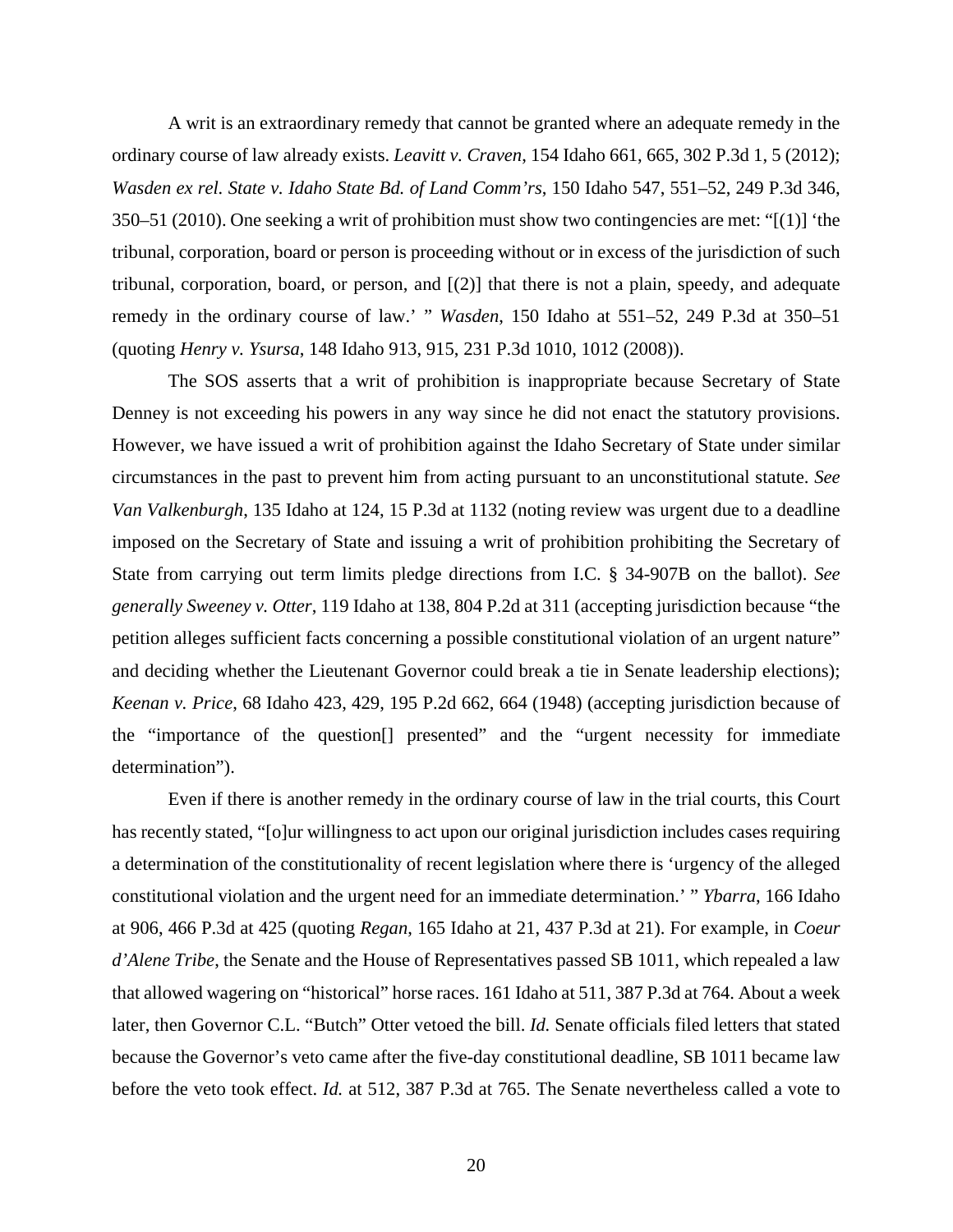A writ is an extraordinary remedy that cannot be granted where an adequate remedy in the ordinary course of law already exists. *Leavitt v. Craven*, 154 Idaho 661, 665, 302 P.3d 1, 5 (2012); *Wasden ex rel. State v. Idaho State Bd. of Land Comm'rs*, 150 Idaho 547, 551–52, 249 P.3d 346, 350–51 (2010). One seeking a writ of prohibition must show two contingencies are met: "[(1)] 'the tribunal, corporation, board or person is proceeding without or in excess of the jurisdiction of such tribunal, corporation, board, or person, and [(2)] that there is not a plain, speedy, and adequate remedy in the ordinary course of law.' " *Wasden*, 150 Idaho at 551–52, 249 P.3d at 350–51 (quoting *Henry v. Ysursa*, 148 Idaho 913, 915, 231 P.3d 1010, 1012 (2008)).

The SOS asserts that a writ of prohibition is inappropriate because Secretary of State Denney is not exceeding his powers in any way since he did not enact the statutory provisions. However, we have issued a writ of prohibition against the Idaho Secretary of State under similar circumstances in the past to prevent him from acting pursuant to an unconstitutional statute. *See Van Valkenburgh*, 135 Idaho at 124, 15 P.3d at 1132 (noting review was urgent due to a deadline imposed on the Secretary of State and issuing a writ of prohibition prohibiting the Secretary of State from carrying out term limits pledge directions from I.C. § 34-907B on the ballot). *See generally Sweeney v. Otter*, 119 Idaho at 138, 804 P.2d at 311 (accepting jurisdiction because "the petition alleges sufficient facts concerning a possible constitutional violation of an urgent nature" and deciding whether the Lieutenant Governor could break a tie in Senate leadership elections); *Keenan v. Price*, 68 Idaho 423, 429, 195 P.2d 662, 664 (1948) (accepting jurisdiction because of the "importance of the question[] presented" and the "urgent necessity for immediate determination").

Even if there is another remedy in the ordinary course of law in the trial courts, this Court has recently stated, "[o]ur willingness to act upon our original jurisdiction includes cases requiring a determination of the constitutionality of recent legislation where there is 'urgency of the alleged constitutional violation and the urgent need for an immediate determination.' " *Ybarra*, 166 Idaho at 906, 466 P.3d at 425 (quoting *Regan*, 165 Idaho at 21, 437 P.3d at 21). For example, in *Coeur d'Alene Tribe*, the Senate and the House of Representatives passed SB 1011, which repealed a law that allowed wagering on "historical" horse races. 161 Idaho at 511, 387 P.3d at 764. About a week later, then Governor C.L. "Butch" Otter vetoed the bill. *Id.* Senate officials filed letters that stated because the Governor's veto came after the five-day constitutional deadline, SB 1011 became law before the veto took effect. *Id.* at 512, 387 P.3d at 765. The Senate nevertheless called a vote to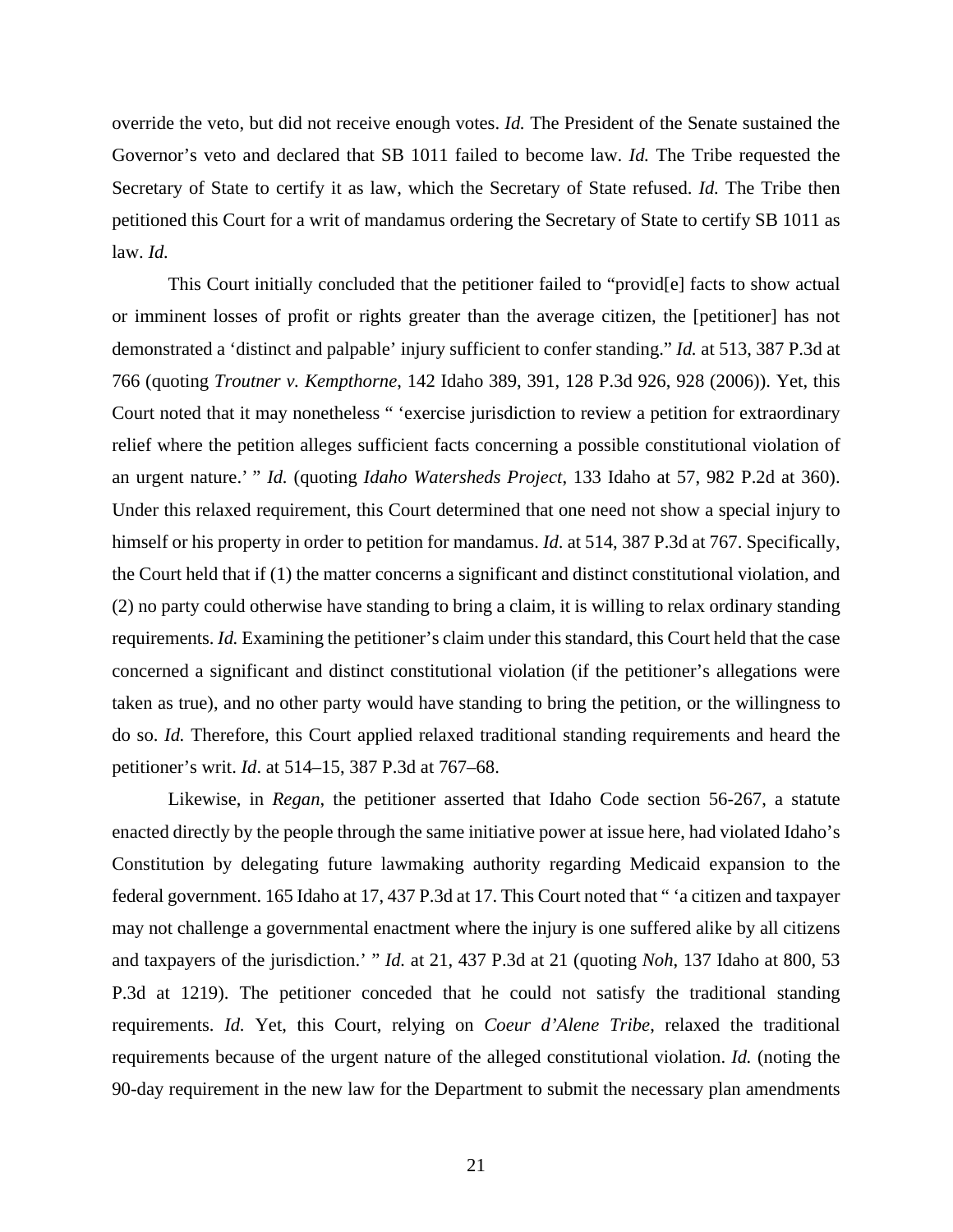override the veto, but did not receive enough votes. *Id.* The President of the Senate sustained the Governor's veto and declared that SB 1011 failed to become law. *Id.* The Tribe requested the Secretary of State to certify it as law, which the Secretary of State refused. *Id.* The Tribe then petitioned this Court for a writ of mandamus ordering the Secretary of State to certify SB 1011 as law. *Id.*

This Court initially concluded that the petitioner failed to "provid[e] facts to show actual or imminent losses of profit or rights greater than the average citizen, the [petitioner] has not demonstrated a 'distinct and palpable' injury sufficient to confer standing." *Id.* at 513, 387 P.3d at 766 (quoting *Troutner v. Kempthorne*, 142 Idaho 389, 391, 128 P.3d 926, 928 (2006)). Yet, this Court noted that it may nonetheless " 'exercise jurisdiction to review a petition for extraordinary relief where the petition alleges sufficient facts concerning a possible constitutional violation of an urgent nature.' " *Id.* (quoting *Idaho Watersheds Project*, 133 Idaho at 57, 982 P.2d at 360). Under this relaxed requirement, this Court determined that one need not show a special injury to himself or his property in order to petition for mandamus. *Id*. at 514, 387 P.3d at 767. Specifically, the Court held that if (1) the matter concerns a significant and distinct constitutional violation, and (2) no party could otherwise have standing to bring a claim, it is willing to relax ordinary standing requirements. *Id.* Examining the petitioner's claim under this standard, this Court held that the case concerned a significant and distinct constitutional violation (if the petitioner's allegations were taken as true), and no other party would have standing to bring the petition, or the willingness to do so. *Id.* Therefore, this Court applied relaxed traditional standing requirements and heard the petitioner's writ. *Id*. at 514–15, 387 P.3d at 767–68.

Likewise, in *Regan*, the petitioner asserted that Idaho Code section 56-267, a statute enacted directly by the people through the same initiative power at issue here, had violated Idaho's Constitution by delegating future lawmaking authority regarding Medicaid expansion to the federal government. 165 Idaho at 17, 437 P.3d at 17. This Court noted that " 'a citizen and taxpayer may not challenge a governmental enactment where the injury is one suffered alike by all citizens and taxpayers of the jurisdiction.' " *Id.* at 21, 437 P.3d at 21 (quoting *Noh*, 137 Idaho at 800, 53 P.3d at 1219). The petitioner conceded that he could not satisfy the traditional standing requirements. *Id.* Yet, this Court, relying on *Coeur d'Alene Tribe*, relaxed the traditional requirements because of the urgent nature of the alleged constitutional violation. *Id.* (noting the 90-day requirement in the new law for the Department to submit the necessary plan amendments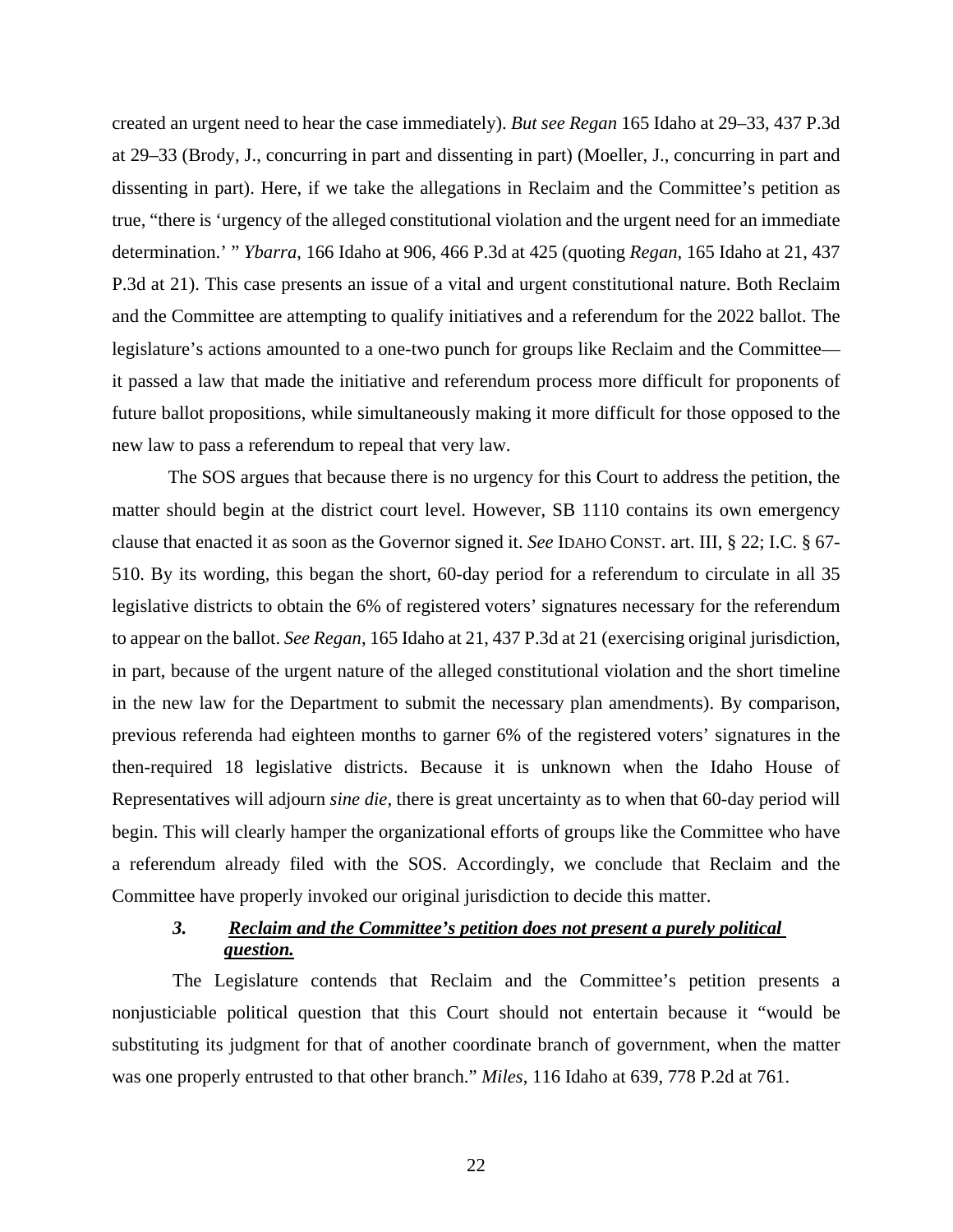created an urgent need to hear the case immediately). *But see Regan* 165 Idaho at 29–33, 437 P.3d at 29–33 (Brody, J., concurring in part and dissenting in part) (Moeller, J., concurring in part and dissenting in part). Here, if we take the allegations in Reclaim and the Committee's petition as true, "there is 'urgency of the alleged constitutional violation and the urgent need for an immediate determination.' " *Ybarra*, 166 Idaho at 906, 466 P.3d at 425 (quoting *Regan*, 165 Idaho at 21, 437 P.3d at 21). This case presents an issue of a vital and urgent constitutional nature. Both Reclaim and the Committee are attempting to qualify initiatives and a referendum for the 2022 ballot. The legislature's actions amounted to a one-two punch for groups like Reclaim and the Committee it passed a law that made the initiative and referendum process more difficult for proponents of future ballot propositions, while simultaneously making it more difficult for those opposed to the new law to pass a referendum to repeal that very law.

The SOS argues that because there is no urgency for this Court to address the petition, the matter should begin at the district court level. However, SB 1110 contains its own emergency clause that enacted it as soon as the Governor signed it. *See* IDAHO CONST. art. III, § 22; I.C. § 67- 510. By its wording, this began the short, 60-day period for a referendum to circulate in all 35 legislative districts to obtain the 6% of registered voters' signatures necessary for the referendum to appear on the ballot. *See Regan*, 165 Idaho at 21, 437 P.3d at 21 (exercising original jurisdiction, in part, because of the urgent nature of the alleged constitutional violation and the short timeline in the new law for the Department to submit the necessary plan amendments). By comparison, previous referenda had eighteen months to garner 6% of the registered voters' signatures in the then-required 18 legislative districts. Because it is unknown when the Idaho House of Representatives will adjourn *sine die*, there is great uncertainty as to when that 60-day period will begin. This will clearly hamper the organizational efforts of groups like the Committee who have a referendum already filed with the SOS. Accordingly, we conclude that Reclaim and the Committee have properly invoked our original jurisdiction to decide this matter.

# *3. Reclaim and the Committee's petition does not present a purely political question.*

The Legislature contends that Reclaim and the Committee's petition presents a nonjusticiable political question that this Court should not entertain because it "would be substituting its judgment for that of another coordinate branch of government, when the matter was one properly entrusted to that other branch." *Miles*, 116 Idaho at 639, 778 P.2d at 761.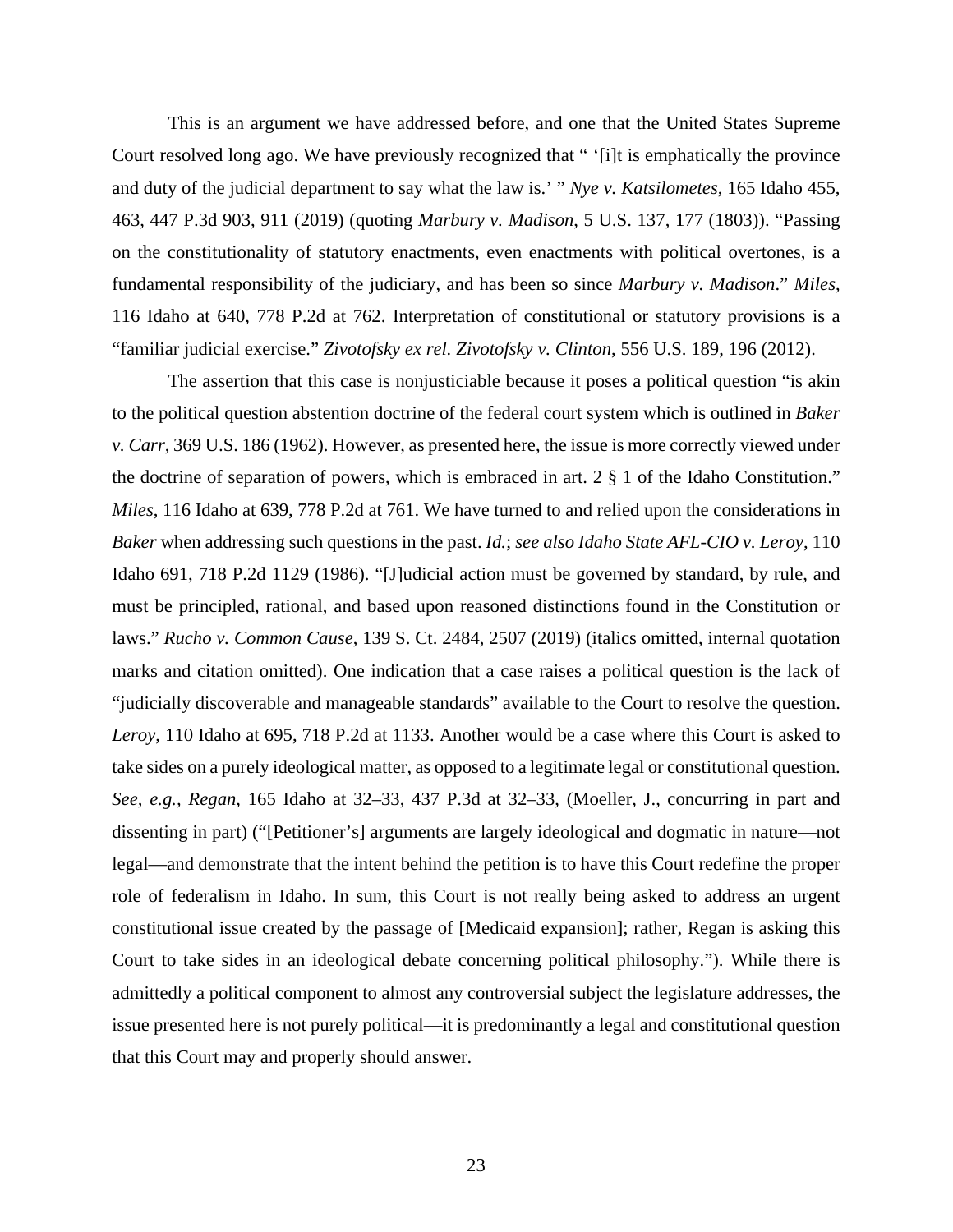This is an argument we have addressed before, and one that the United States Supreme Court resolved long ago. We have previously recognized that " '[i]t is emphatically the province and duty of the judicial department to say what the law is.' " *Nye v. Katsilometes*, 165 Idaho 455, 463, 447 P.3d 903, 911 (2019) (quoting *Marbury v. Madison*, 5 U.S. 137, 177 (1803)). "Passing on the constitutionality of statutory enactments, even enactments with political overtones, is a fundamental responsibility of the judiciary, and has been so since *Marbury v. Madison*." *Miles*, 116 Idaho at 640, 778 P.2d at 762. Interpretation of constitutional or statutory provisions is a "familiar judicial exercise." *Zivotofsky ex rel. Zivotofsky v. Clinton*, 556 U.S. 189, 196 (2012).

The assertion that this case is nonjusticiable because it poses a political question "is akin to the political question abstention doctrine of the federal court system which is outlined in *Baker v. Carr*, 369 U.S. 186 (1962). However, as presented here, the issue is more correctly viewed under the doctrine of separation of powers, which is embraced in art. 2 § 1 of the Idaho Constitution." *Miles*, 116 Idaho at 639, 778 P.2d at 761. We have turned to and relied upon the considerations in *Baker* when addressing such questions in the past. *Id.*; *see also Idaho State AFL-CIO v. Leroy*, 110 Idaho 691, 718 P.2d 1129 (1986). "[J]udicial action must be governed by standard, by rule, and must be principled, rational, and based upon reasoned distinctions found in the Constitution or laws." *Rucho v. Common Cause*, 139 S. Ct. 2484, 2507 (2019) (italics omitted, internal quotation marks and citation omitted). One indication that a case raises a political question is the lack of "judicially discoverable and manageable standards" available to the Court to resolve the question. *Leroy*, 110 Idaho at 695, 718 P.2d at 1133. Another would be a case where this Court is asked to take sides on a purely ideological matter, as opposed to a legitimate legal or constitutional question. *See, e.g., Regan*, 165 Idaho at 32–33, 437 P.3d at 32–33, (Moeller, J., concurring in part and dissenting in part) ("[Petitioner's] arguments are largely ideological and dogmatic in nature—not legal—and demonstrate that the intent behind the petition is to have this Court redefine the proper role of federalism in Idaho. In sum, this Court is not really being asked to address an urgent constitutional issue created by the passage of [Medicaid expansion]; rather, Regan is asking this Court to take sides in an ideological debate concerning political philosophy."). While there is admittedly a political component to almost any controversial subject the legislature addresses, the issue presented here is not purely political—it is predominantly a legal and constitutional question that this Court may and properly should answer.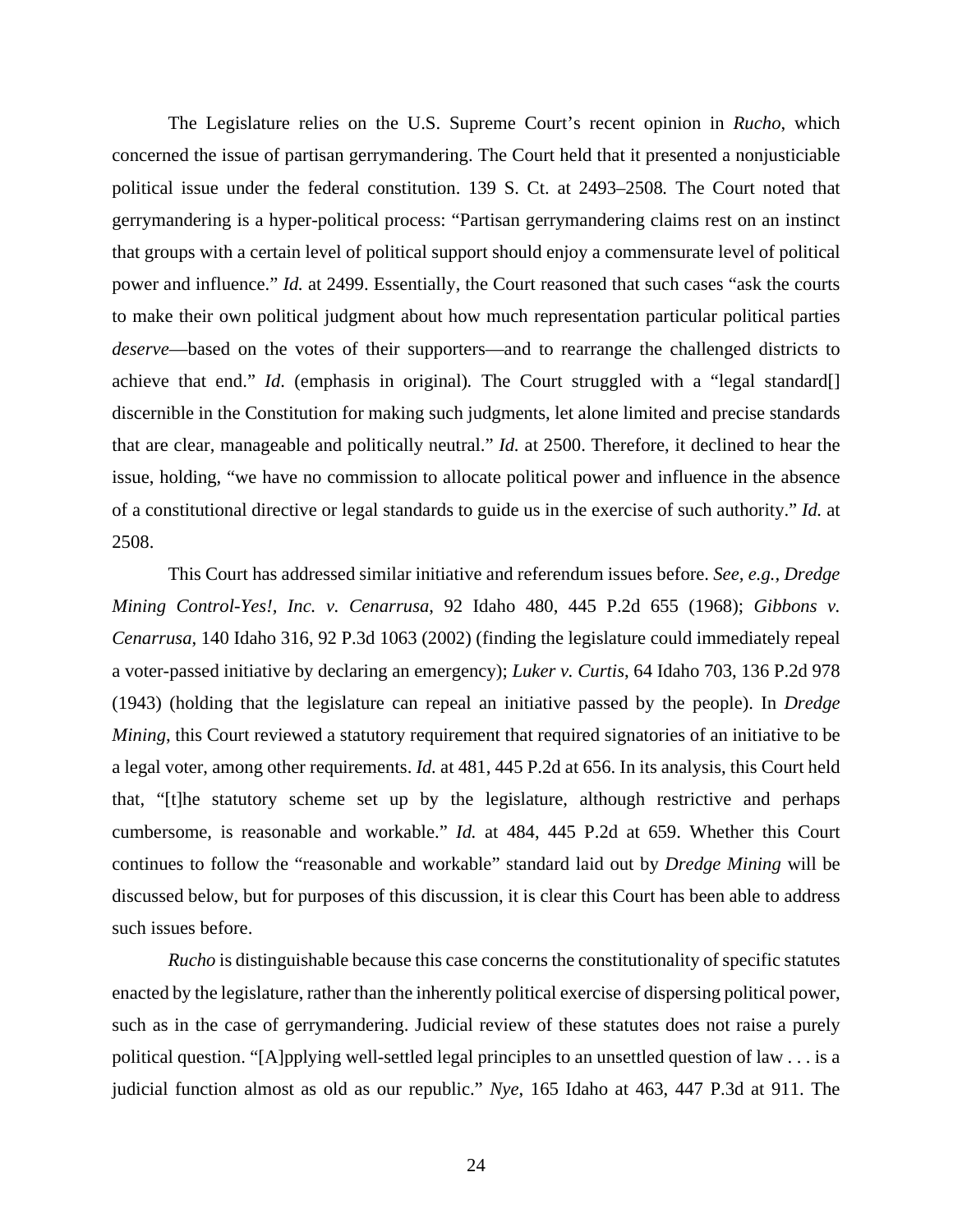The Legislature relies on the U.S. Supreme Court's recent opinion in *Rucho*, which concerned the issue of partisan gerrymandering. The Court held that it presented a nonjusticiable political issue under the federal constitution. 139 S. Ct. at 2493–2508*.* The Court noted that gerrymandering is a hyper-political process: "Partisan gerrymandering claims rest on an instinct that groups with a certain level of political support should enjoy a commensurate level of political power and influence." *Id.* at 2499. Essentially, the Court reasoned that such cases "ask the courts to make their own political judgment about how much representation particular political parties *deserve*—based on the votes of their supporters—and to rearrange the challenged districts to achieve that end." *Id*. (emphasis in original)*.* The Court struggled with a "legal standard[] discernible in the Constitution for making such judgments, let alone limited and precise standards that are clear, manageable and politically neutral." *Id.* at 2500. Therefore, it declined to hear the issue, holding, "we have no commission to allocate political power and influence in the absence of a constitutional directive or legal standards to guide us in the exercise of such authority." *Id.* at 2508.

This Court has addressed similar initiative and referendum issues before. *See, e.g., Dredge Mining Control-Yes!, Inc. v. Cenarrusa*, 92 Idaho 480, 445 P.2d 655 (1968); *Gibbons v. Cenarrusa*, 140 Idaho 316, 92 P.3d 1063 (2002) (finding the legislature could immediately repeal a voter-passed initiative by declaring an emergency); *Luker v. Curtis*, 64 Idaho 703, 136 P.2d 978 (1943) (holding that the legislature can repeal an initiative passed by the people). In *Dredge Mining*, this Court reviewed a statutory requirement that required signatories of an initiative to be a legal voter, among other requirements. *Id.* at 481, 445 P.2d at 656. In its analysis, this Court held that, "[t]he statutory scheme set up by the legislature, although restrictive and perhaps cumbersome, is reasonable and workable." *Id.* at 484, 445 P.2d at 659. Whether this Court continues to follow the "reasonable and workable" standard laid out by *Dredge Mining* will be discussed below, but for purposes of this discussion, it is clear this Court has been able to address such issues before.

*Rucho* is distinguishable because this case concerns the constitutionality of specific statutes enacted by the legislature, rather than the inherently political exercise of dispersing political power, such as in the case of gerrymandering. Judicial review of these statutes does not raise a purely political question. "[A]pplying well-settled legal principles to an unsettled question of law . . . is a judicial function almost as old as our republic." *Nye*, 165 Idaho at 463, 447 P.3d at 911. The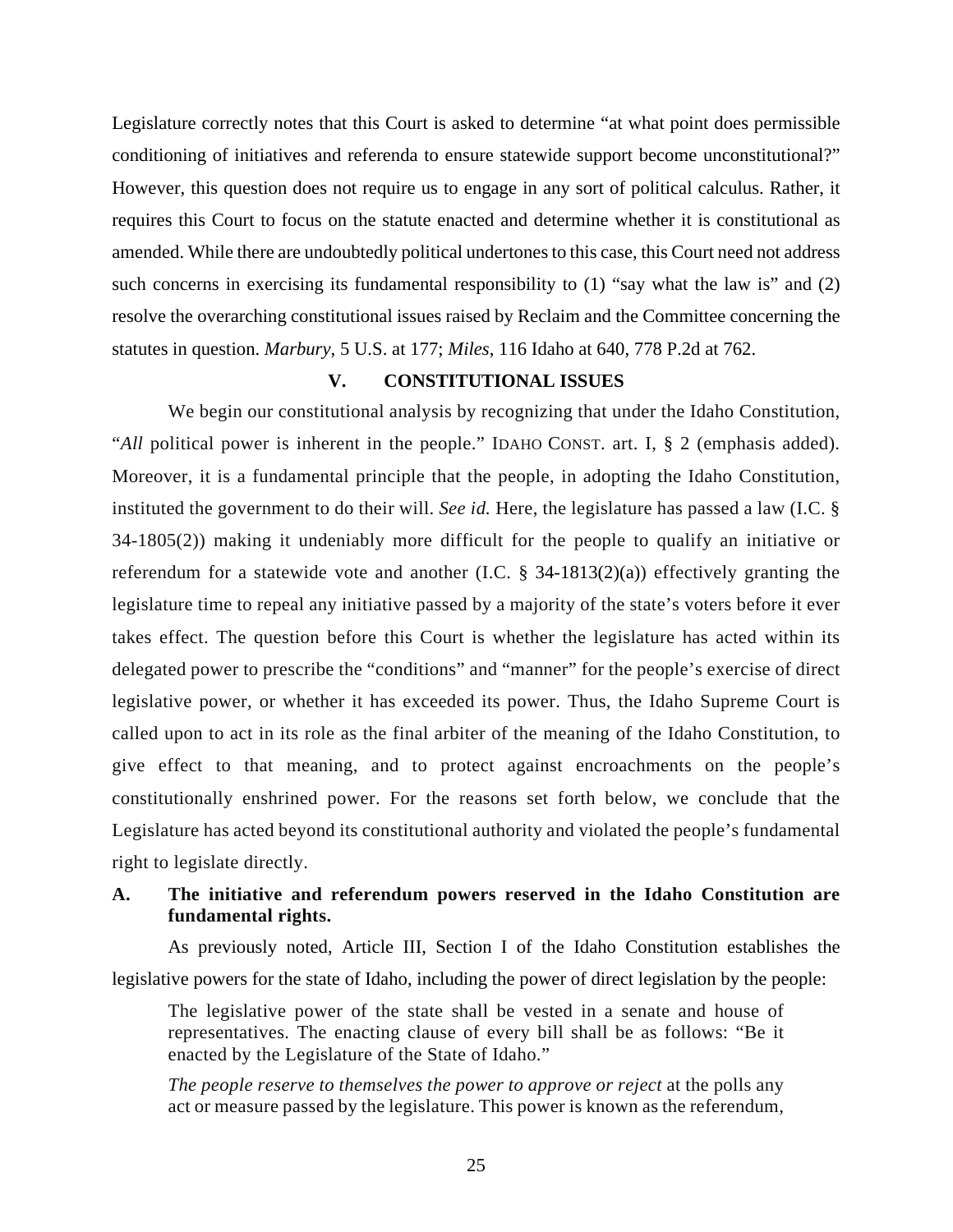Legislature correctly notes that this Court is asked to determine "at what point does permissible conditioning of initiatives and referenda to ensure statewide support become unconstitutional?" However, this question does not require us to engage in any sort of political calculus. Rather, it requires this Court to focus on the statute enacted and determine whether it is constitutional as amended. While there are undoubtedly political undertonesto this case, this Court need not address such concerns in exercising its fundamental responsibility to (1) "say what the law is" and (2) resolve the overarching constitutional issues raised by Reclaim and the Committee concerning the statutes in question. *Marbury*, 5 U.S. at 177; *Miles*, 116 Idaho at 640, 778 P.2d at 762.

# **V. CONSTITUTIONAL ISSUES**

We begin our constitutional analysis by recognizing that under the Idaho Constitution, "*All* political power is inherent in the people." IDAHO CONST. art. I, § 2 (emphasis added). Moreover, it is a fundamental principle that the people, in adopting the Idaho Constitution, instituted the government to do their will. *See id.* Here, the legislature has passed a law (I.C. § 34-1805(2)) making it undeniably more difficult for the people to qualify an initiative or referendum for a statewide vote and another (I.C.  $\S$  34-1813(2)(a)) effectively granting the legislature time to repeal any initiative passed by a majority of the state's voters before it ever takes effect. The question before this Court is whether the legislature has acted within its delegated power to prescribe the "conditions" and "manner" for the people's exercise of direct legislative power, or whether it has exceeded its power. Thus, the Idaho Supreme Court is called upon to act in its role as the final arbiter of the meaning of the Idaho Constitution, to give effect to that meaning, and to protect against encroachments on the people's constitutionally enshrined power. For the reasons set forth below, we conclude that the Legislature has acted beyond its constitutional authority and violated the people's fundamental right to legislate directly.

# **A. The initiative and referendum powers reserved in the Idaho Constitution are fundamental rights.**

As previously noted, Article III, Section I of the Idaho Constitution establishes the legislative powers for the state of Idaho, including the power of direct legislation by the people:

The legislative power of the state shall be vested in a senate and house of representatives. The enacting clause of every bill shall be as follows: "Be it enacted by the Legislature of the State of Idaho."

*The people reserve to themselves the power to approve or reject* at the polls any act or measure passed by the legislature. This power is known as the referendum,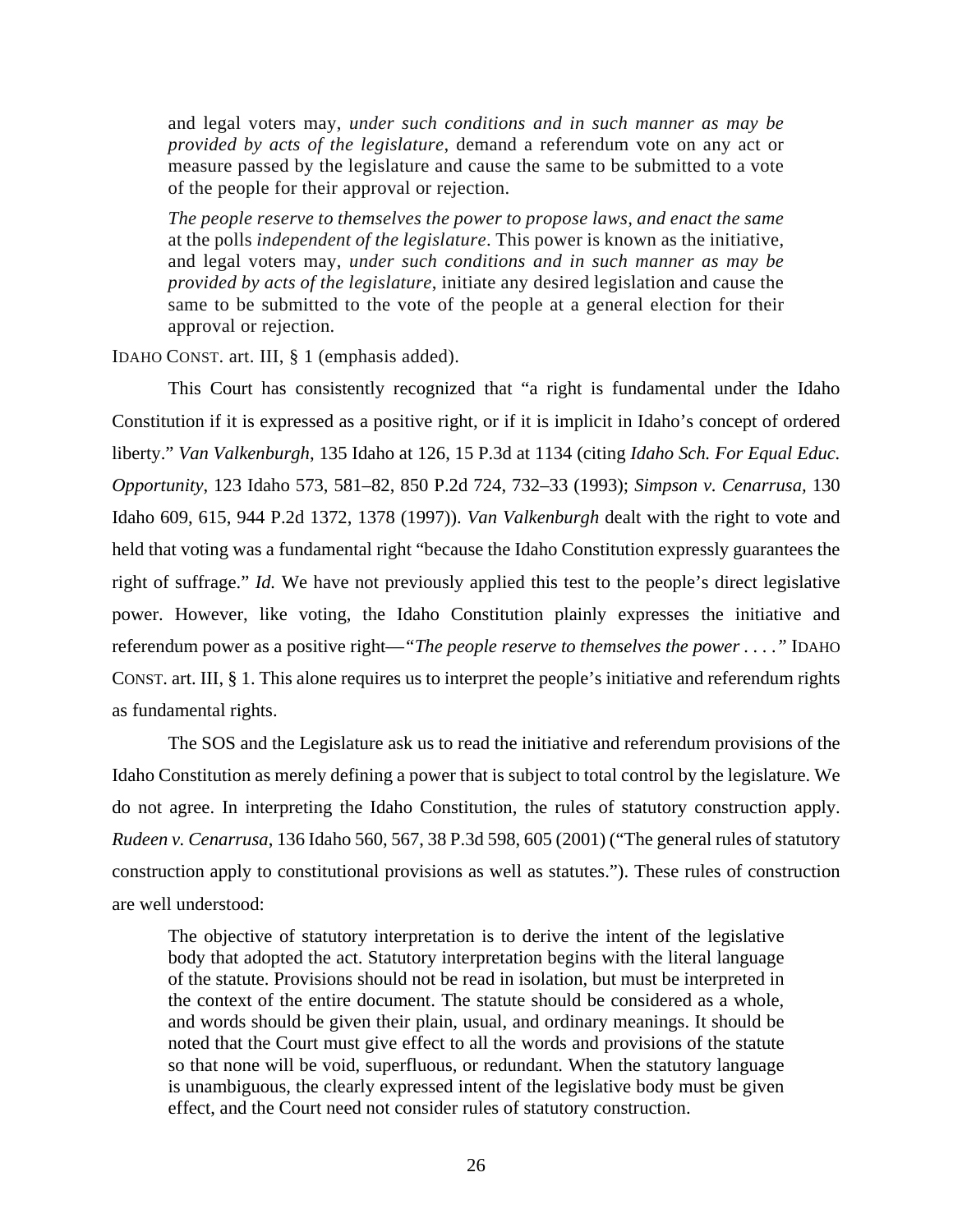and legal voters may, *under such conditions and in such manner as may be provided by acts of the legislature*, demand a referendum vote on any act or measure passed by the legislature and cause the same to be submitted to a vote of the people for their approval or rejection.

*The people reserve to themselves the power to propose laws, and enact the same* at the polls *independent of the legislature*. This power is known as the initiative, and legal voters may, *under such conditions and in such manner as may be provided by acts of the legislature*, initiate any desired legislation and cause the same to be submitted to the vote of the people at a general election for their approval or rejection.

IDAHO CONST. art. III, § 1 (emphasis added).

This Court has consistently recognized that "a right is fundamental under the Idaho Constitution if it is expressed as a positive right, or if it is implicit in Idaho's concept of ordered liberty." *Van Valkenburgh*, 135 Idaho at 126, 15 P.3d at 1134 (citing *Idaho Sch. For Equal Educ. Opportunity*, 123 Idaho 573, 581–82, 850 P.2d 724, 732–33 (1993); *Simpson v. Cenarrusa,* 130 Idaho 609, 615, 944 P.2d 1372, 1378 (1997)). *Van Valkenburgh* dealt with the right to vote and held that voting was a fundamental right "because the Idaho Constitution expressly guarantees the right of suffrage." *Id.* We have not previously applied this test to the people's direct legislative power. However, like voting, the Idaho Constitution plainly expresses the initiative and referendum power as a positive right—*"The people reserve to themselves the power . . . ."* IDAHO CONST. art. III, § 1. This alone requires us to interpret the people's initiative and referendum rights as fundamental rights.

The SOS and the Legislature ask us to read the initiative and referendum provisions of the Idaho Constitution as merely defining a power that is subject to total control by the legislature. We do not agree. In interpreting the Idaho Constitution, the rules of statutory construction apply. *Rudeen v. Cenarrusa*, 136 Idaho 560, 567, 38 P.3d 598, 605 (2001) ("The general rules of statutory construction apply to constitutional provisions as well as statutes."). These rules of construction are well understood:

The objective of statutory interpretation is to derive the intent of the legislative body that adopted the act. Statutory interpretation begins with the literal language of the statute. Provisions should not be read in isolation, but must be interpreted in the context of the entire document. The statute should be considered as a whole, and words should be given their plain, usual, and ordinary meanings. It should be noted that the Court must give effect to all the words and provisions of the statute so that none will be void, superfluous, or redundant. When the statutory language is unambiguous, the clearly expressed intent of the legislative body must be given effect, and the Court need not consider rules of statutory construction.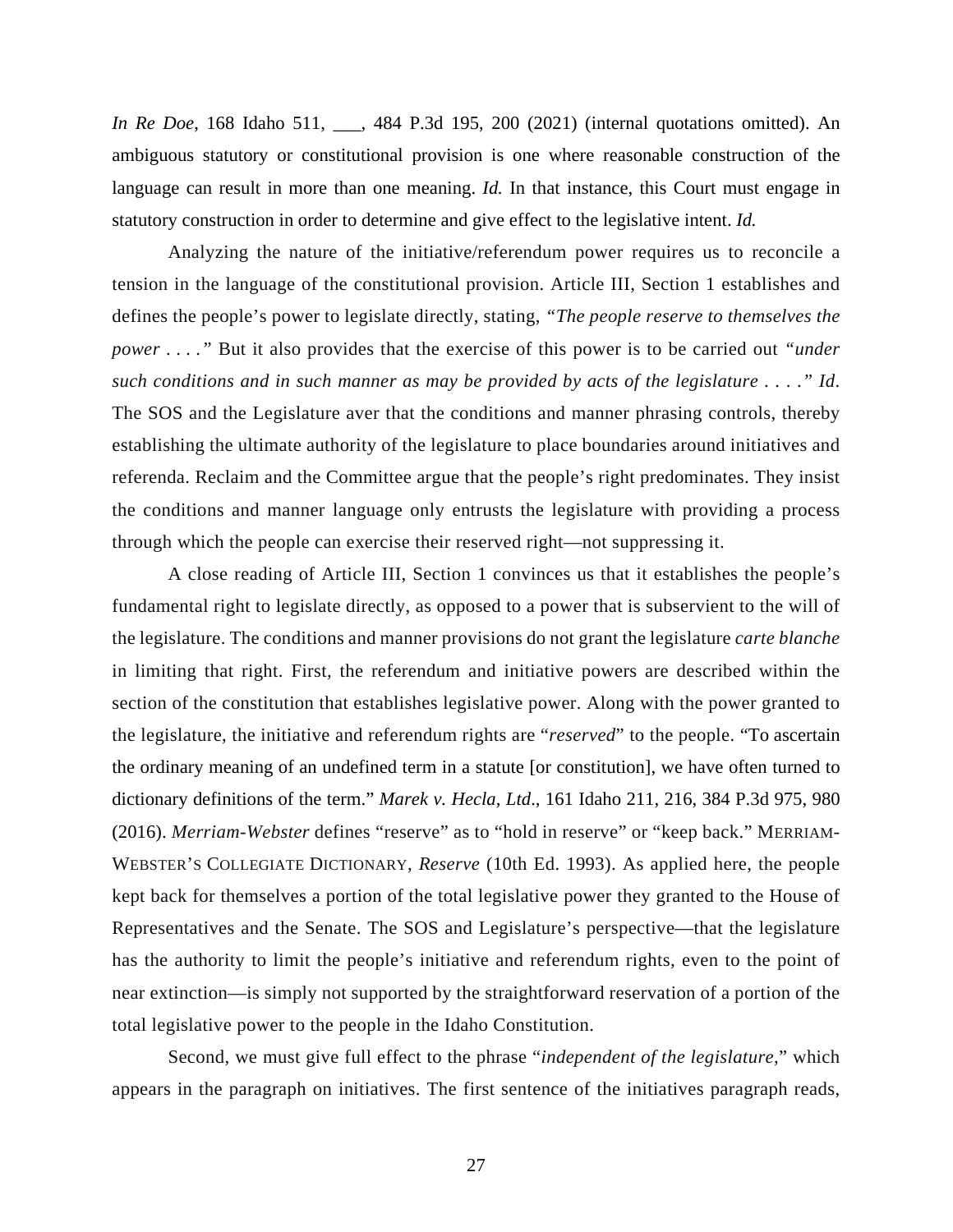*In Re Doe*, 168 Idaho 511, \_\_\_, 484 P.3d 195, 200 (2021) (internal quotations omitted). An ambiguous statutory or constitutional provision is one where reasonable construction of the language can result in more than one meaning. *Id*. In that instance, this Court must engage in statutory construction in order to determine and give effect to the legislative intent. *Id.*

Analyzing the nature of the initiative/referendum power requires us to reconcile a tension in the language of the constitutional provision. Article III, Section 1 establishes and defines the people's power to legislate directly, stating, *"The people reserve to themselves the power . . . ."* But it also provides that the exercise of this power is to be carried out *"under such conditions and in such manner as may be provided by acts of the legislature . . . ." Id*. The SOS and the Legislature aver that the conditions and manner phrasing controls, thereby establishing the ultimate authority of the legislature to place boundaries around initiatives and referenda. Reclaim and the Committee argue that the people's right predominates. They insist the conditions and manner language only entrusts the legislature with providing a process through which the people can exercise their reserved right—not suppressing it.

A close reading of Article III, Section 1 convinces us that it establishes the people's fundamental right to legislate directly, as opposed to a power that is subservient to the will of the legislature. The conditions and manner provisions do not grant the legislature *carte blanche* in limiting that right. First, the referendum and initiative powers are described within the section of the constitution that establishes legislative power. Along with the power granted to the legislature, the initiative and referendum rights are "*reserved*" to the people. "To ascertain the ordinary meaning of an undefined term in a statute [or constitution], we have often turned to dictionary definitions of the term." *Marek v. Hecla, Ltd*., 161 Idaho 211, 216, 384 P.3d 975, 980 (2016). *Merriam-Webster* defines "reserve" as to "hold in reserve" or "keep back." MERRIAM-WEBSTER'S COLLEGIATE DICTIONARY, *Reserve* (10th Ed. 1993). As applied here, the people kept back for themselves a portion of the total legislative power they granted to the House of Representatives and the Senate. The SOS and Legislature's perspective—that the legislature has the authority to limit the people's initiative and referendum rights, even to the point of near extinction—is simply not supported by the straightforward reservation of a portion of the total legislative power to the people in the Idaho Constitution.

Second, we must give full effect to the phrase "*independent of the legislature*," which appears in the paragraph on initiatives. The first sentence of the initiatives paragraph reads,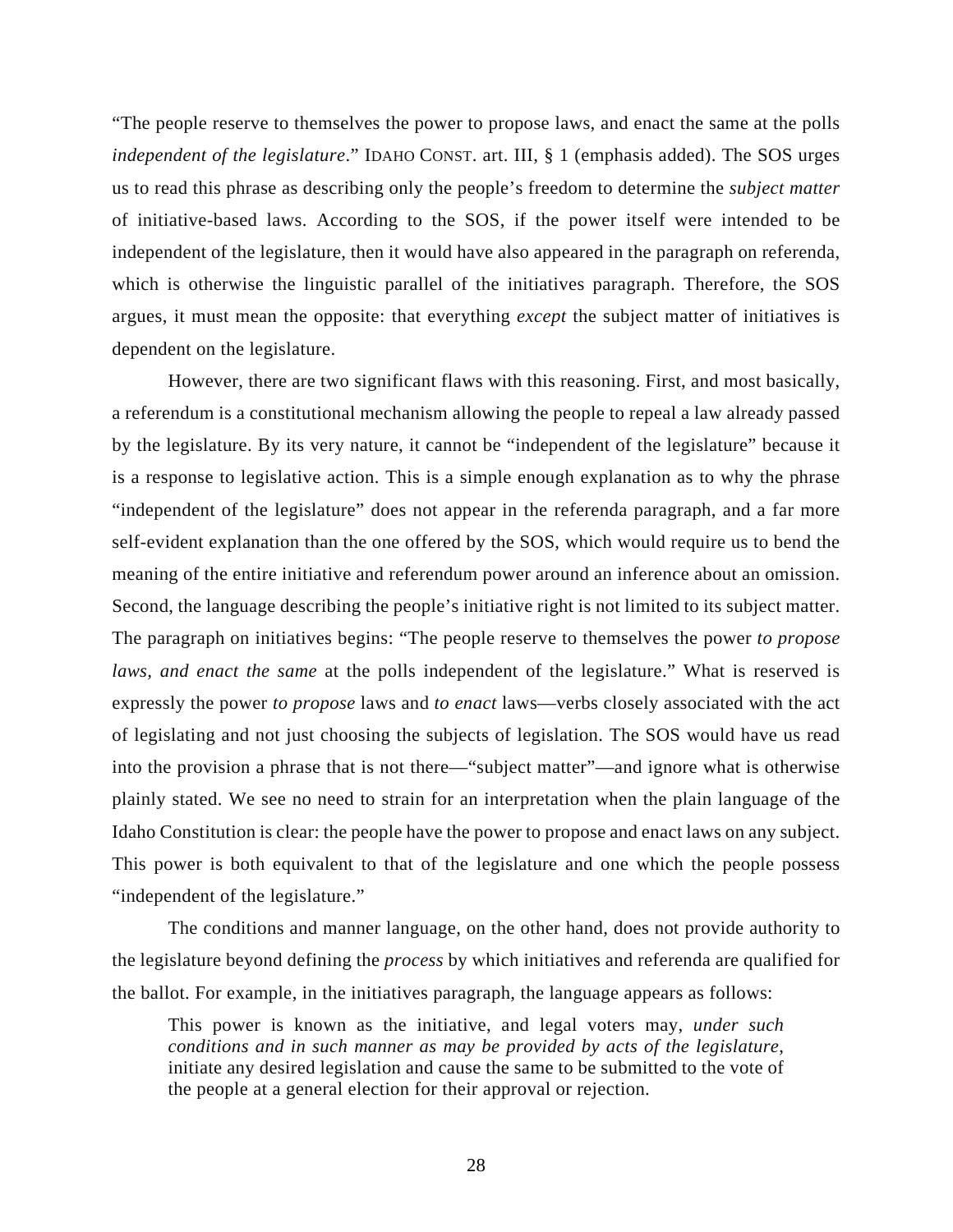"The people reserve to themselves the power to propose laws, and enact the same at the polls *independent of the legislature*." IDAHO CONST. art. III, § 1 (emphasis added). The SOS urges us to read this phrase as describing only the people's freedom to determine the *subject matter* of initiative-based laws. According to the SOS, if the power itself were intended to be independent of the legislature, then it would have also appeared in the paragraph on referenda, which is otherwise the linguistic parallel of the initiatives paragraph. Therefore, the SOS argues, it must mean the opposite: that everything *except* the subject matter of initiatives is dependent on the legislature.

However, there are two significant flaws with this reasoning. First, and most basically, a referendum is a constitutional mechanism allowing the people to repeal a law already passed by the legislature. By its very nature, it cannot be "independent of the legislature" because it is a response to legislative action. This is a simple enough explanation as to why the phrase "independent of the legislature" does not appear in the referenda paragraph, and a far more self-evident explanation than the one offered by the SOS, which would require us to bend the meaning of the entire initiative and referendum power around an inference about an omission. Second, the language describing the people's initiative right is not limited to its subject matter. The paragraph on initiatives begins: "The people reserve to themselves the power *to propose laws, and enact the same* at the polls independent of the legislature." What is reserved is expressly the power *to propose* laws and *to enact* laws—verbs closely associated with the act of legislating and not just choosing the subjects of legislation. The SOS would have us read into the provision a phrase that is not there—"subject matter"—and ignore what is otherwise plainly stated. We see no need to strain for an interpretation when the plain language of the Idaho Constitution is clear: the people have the power to propose and enact laws on any subject. This power is both equivalent to that of the legislature and one which the people possess "independent of the legislature."

The conditions and manner language, on the other hand, does not provide authority to the legislature beyond defining the *process* by which initiatives and referenda are qualified for the ballot. For example, in the initiatives paragraph, the language appears as follows:

This power is known as the initiative, and legal voters may, *under such conditions and in such manner as may be provided by acts of the legislature*, initiate any desired legislation and cause the same to be submitted to the vote of the people at a general election for their approval or rejection.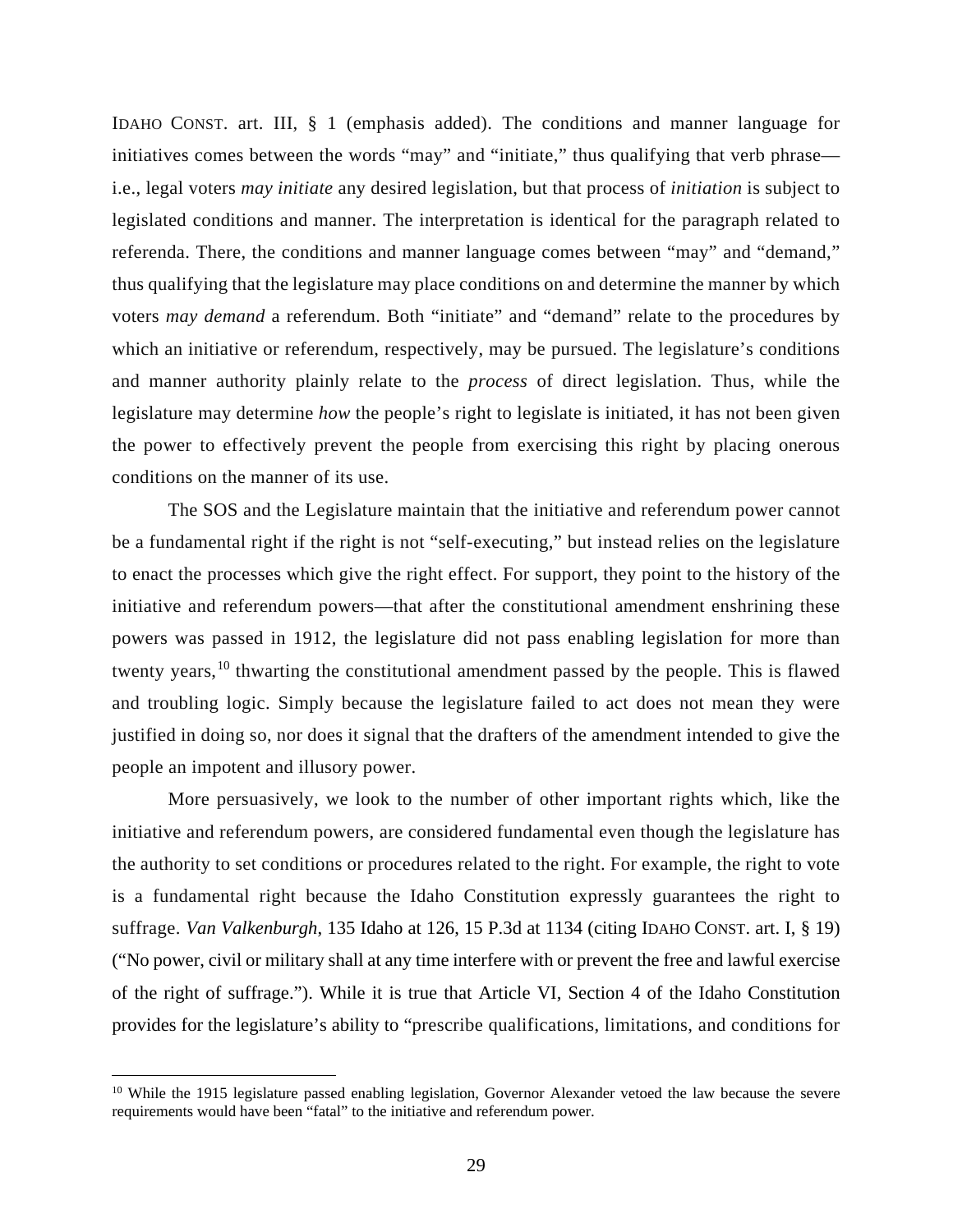IDAHO CONST. art. III, § 1 (emphasis added). The conditions and manner language for initiatives comes between the words "may" and "initiate," thus qualifying that verb phrase i.e., legal voters *may initiate* any desired legislation, but that process of *initiation* is subject to legislated conditions and manner. The interpretation is identical for the paragraph related to referenda. There, the conditions and manner language comes between "may" and "demand," thus qualifying that the legislature may place conditions on and determine the manner by which voters *may demand* a referendum. Both "initiate" and "demand" relate to the procedures by which an initiative or referendum, respectively, may be pursued. The legislature's conditions and manner authority plainly relate to the *process* of direct legislation. Thus, while the legislature may determine *how* the people's right to legislate is initiated, it has not been given the power to effectively prevent the people from exercising this right by placing onerous conditions on the manner of its use.

The SOS and the Legislature maintain that the initiative and referendum power cannot be a fundamental right if the right is not "self-executing," but instead relies on the legislature to enact the processes which give the right effect. For support, they point to the history of the initiative and referendum powers—that after the constitutional amendment enshrining these powers was passed in 1912, the legislature did not pass enabling legislation for more than twenty years,<sup>[10](#page-28-0)</sup> thwarting the constitutional amendment passed by the people. This is flawed and troubling logic. Simply because the legislature failed to act does not mean they were justified in doing so, nor does it signal that the drafters of the amendment intended to give the people an impotent and illusory power.

More persuasively, we look to the number of other important rights which, like the initiative and referendum powers, are considered fundamental even though the legislature has the authority to set conditions or procedures related to the right. For example, the right to vote is a fundamental right because the Idaho Constitution expressly guarantees the right to suffrage. *Van Valkenburgh*, 135 Idaho at 126, 15 P.3d at 1134 (citing IDAHO CONST. art. I, § 19) ("No power, civil or military shall at any time interfere with or prevent the free and lawful exercise of the right of suffrage."). While it is true that Article VI, Section 4 of the Idaho Constitution provides for the legislature's ability to "prescribe qualifications, limitations, and conditions for

<span id="page-28-0"></span><sup>&</sup>lt;sup>10</sup> While the 1915 legislature passed enabling legislation, Governor Alexander vetoed the law because the severe requirements would have been "fatal" to the initiative and referendum power.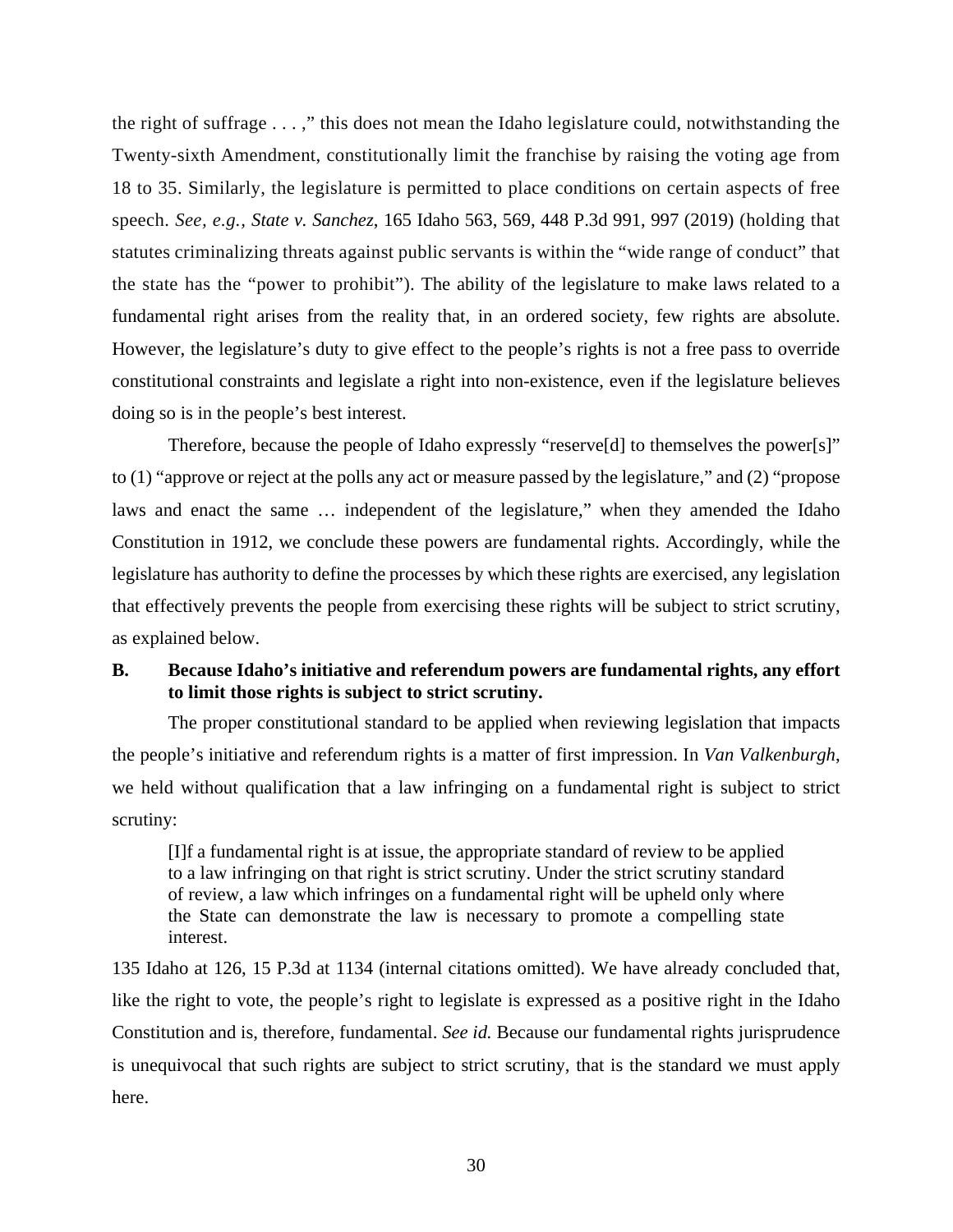the right of suffrage . . . ," this does not mean the Idaho legislature could, notwithstanding the Twenty-sixth Amendment, constitutionally limit the franchise by raising the voting age from 18 to 35. Similarly, the legislature is permitted to place conditions on certain aspects of free speech. *See, e.g., State v. Sanchez*, 165 Idaho 563, 569, 448 P.3d 991, 997 (2019) (holding that statutes criminalizing threats against public servants is within the "wide range of conduct" that the state has the "power to prohibit"). The ability of the legislature to make laws related to a fundamental right arises from the reality that, in an ordered society, few rights are absolute. However, the legislature's duty to give effect to the people's rights is not a free pass to override constitutional constraints and legislate a right into non-existence, even if the legislature believes doing so is in the people's best interest.

Therefore, because the people of Idaho expressly "reserve[d] to themselves the power[s]" to (1) "approve or reject at the polls any act or measure passed by the legislature," and (2) "propose laws and enact the same ... independent of the legislature," when they amended the Idaho Constitution in 1912, we conclude these powers are fundamental rights. Accordingly, while the legislature has authority to define the processes by which these rights are exercised, any legislation that effectively prevents the people from exercising these rights will be subject to strict scrutiny, as explained below.

# **B. Because Idaho's initiative and referendum powers are fundamental rights, any effort to limit those rights is subject to strict scrutiny.**

The proper constitutional standard to be applied when reviewing legislation that impacts the people's initiative and referendum rights is a matter of first impression. In *Van Valkenburgh*, we held without qualification that a law infringing on a fundamental right is subject to strict scrutiny:

[I]f a fundamental right is at issue, the appropriate standard of review to be applied to a law infringing on that right is strict scrutiny. Under the strict scrutiny standard of review, a law which infringes on a fundamental right will be upheld only where the State can demonstrate the law is necessary to promote a compelling state interest.

135 Idaho at 126, 15 P.3d at 1134 (internal citations omitted). We have already concluded that, like the right to vote, the people's right to legislate is expressed as a positive right in the Idaho Constitution and is, therefore, fundamental. *See id.* Because our fundamental rights jurisprudence is unequivocal that such rights are subject to strict scrutiny, that is the standard we must apply here.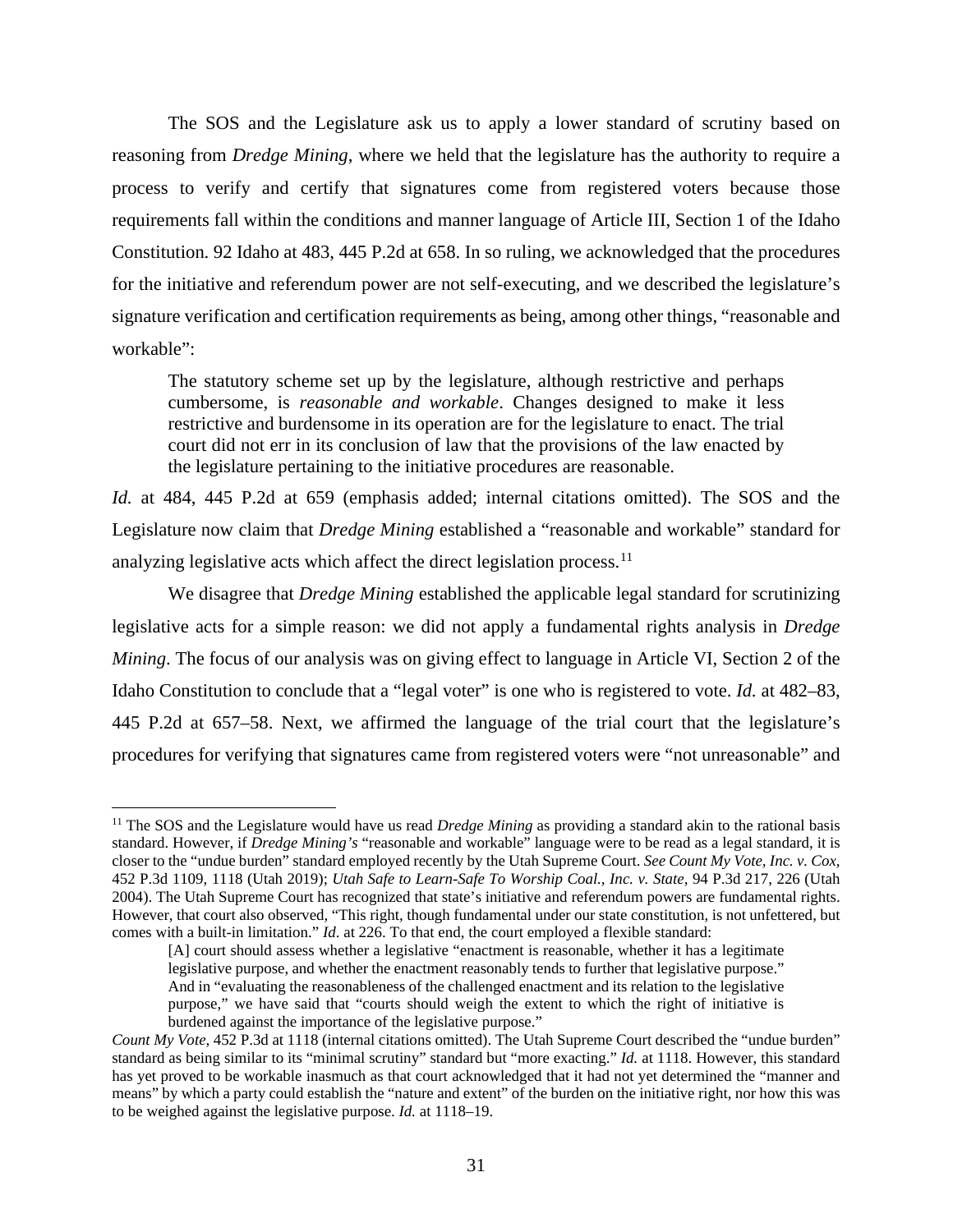The SOS and the Legislature ask us to apply a lower standard of scrutiny based on reasoning from *Dredge Mining*, where we held that the legislature has the authority to require a process to verify and certify that signatures come from registered voters because those requirements fall within the conditions and manner language of Article III, Section 1 of the Idaho Constitution. 92 Idaho at 483, 445 P.2d at 658. In so ruling, we acknowledged that the procedures for the initiative and referendum power are not self-executing, and we described the legislature's signature verification and certification requirements as being, among other things, "reasonable and workable":

The statutory scheme set up by the legislature, although restrictive and perhaps cumbersome, is *reasonable and workable*. Changes designed to make it less restrictive and burdensome in its operation are for the legislature to enact. The trial court did not err in its conclusion of law that the provisions of the law enacted by the legislature pertaining to the initiative procedures are reasonable.

*Id.* at 484, 445 P.2d at 659 (emphasis added; internal citations omitted). The SOS and the Legislature now claim that *Dredge Mining* established a "reasonable and workable" standard for analyzing legislative acts which affect the direct legislation process.<sup>[11](#page-30-0)</sup>

We disagree that *Dredge Mining* established the applicable legal standard for scrutinizing legislative acts for a simple reason: we did not apply a fundamental rights analysis in *Dredge Mining*. The focus of our analysis was on giving effect to language in Article VI, Section 2 of the Idaho Constitution to conclude that a "legal voter" is one who is registered to vote. *Id.* at 482–83, 445 P.2d at 657–58. Next, we affirmed the language of the trial court that the legislature's procedures for verifying that signatures came from registered voters were "not unreasonable" and

<span id="page-30-0"></span><sup>&</sup>lt;sup>11</sup> The SOS and the Legislature would have us read *Dredge Mining* as providing a standard akin to the rational basis standard. However, if *Dredge Mining's* "reasonable and workable" language were to be read as a legal standard, it is closer to the "undue burden" standard employed recently by the Utah Supreme Court. *See Count My Vote, Inc. v. Cox*, 452 P.3d 1109, 1118 (Utah 2019); *Utah Safe to Learn-Safe To Worship Coal., Inc. v. State*, 94 P.3d 217, 226 (Utah 2004). The Utah Supreme Court has recognized that state's initiative and referendum powers are fundamental rights. However, that court also observed, "This right, though fundamental under our state constitution, is not unfettered, but comes with a built-in limitation." *Id*. at 226. To that end, the court employed a flexible standard:

<sup>[</sup>A] court should assess whether a legislative "enactment is reasonable, whether it has a legitimate legislative purpose, and whether the enactment reasonably tends to further that legislative purpose." And in "evaluating the reasonableness of the challenged enactment and its relation to the legislative purpose," we have said that "courts should weigh the extent to which the right of initiative is burdened against the importance of the legislative purpose."

*Count My Vote*, 452 P.3d at 1118 (internal citations omitted). The Utah Supreme Court described the "undue burden" standard as being similar to its "minimal scrutiny" standard but "more exacting." *Id.* at 1118. However, this standard has yet proved to be workable inasmuch as that court acknowledged that it had not yet determined the "manner and means" by which a party could establish the "nature and extent" of the burden on the initiative right, nor how this was to be weighed against the legislative purpose. *Id.* at 1118–19.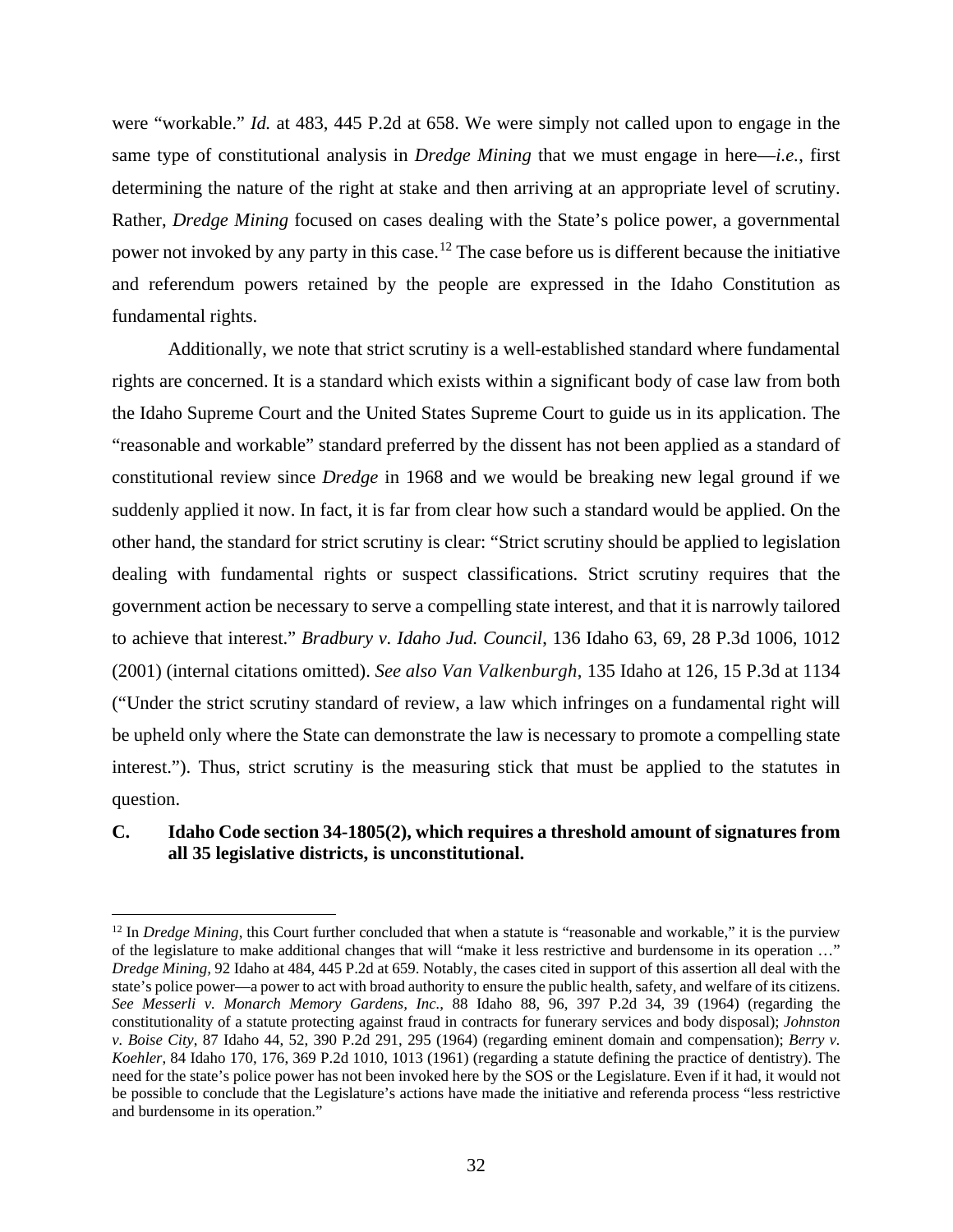were "workable." *Id.* at 483, 445 P.2d at 658. We were simply not called upon to engage in the same type of constitutional analysis in *Dredge Mining* that we must engage in here—*i.e.*, first determining the nature of the right at stake and then arriving at an appropriate level of scrutiny. Rather, *Dredge Mining* focused on cases dealing with the State's police power, a governmental power not invoked by any party in this case.<sup>[12](#page-31-0)</sup> The case before us is different because the initiative and referendum powers retained by the people are expressed in the Idaho Constitution as fundamental rights.

Additionally, we note that strict scrutiny is a well-established standard where fundamental rights are concerned. It is a standard which exists within a significant body of case law from both the Idaho Supreme Court and the United States Supreme Court to guide us in its application. The "reasonable and workable" standard preferred by the dissent has not been applied as a standard of constitutional review since *Dredge* in 1968 and we would be breaking new legal ground if we suddenly applied it now. In fact, it is far from clear how such a standard would be applied. On the other hand, the standard for strict scrutiny is clear: "Strict scrutiny should be applied to legislation dealing with fundamental rights or suspect classifications. Strict scrutiny requires that the government action be necessary to serve a compelling state interest, and that it is narrowly tailored to achieve that interest." *Bradbury v. Idaho Jud. Council*, 136 Idaho 63, 69, 28 P.3d 1006, 1012 (2001) (internal citations omitted). *See also Van Valkenburgh*, 135 Idaho at 126, 15 P.3d at 1134 ("Under the strict scrutiny standard of review, a law which infringes on a fundamental right will be upheld only where the State can demonstrate the law is necessary to promote a compelling state interest."). Thus, strict scrutiny is the measuring stick that must be applied to the statutes in question.

# **C. Idaho Code section 34-1805(2), which requires a threshold amount of signatures from all 35 legislative districts, is unconstitutional.**

<span id="page-31-0"></span><sup>&</sup>lt;sup>12</sup> In *Dredge Mining*, this Court further concluded that when a statute is "reasonable and workable," it is the purview of the legislature to make additional changes that will "make it less restrictive and burdensome in its operation …" *Dredge Mining,* 92 Idaho at 484, 445 P.2d at 659. Notably, the cases cited in support of this assertion all deal with the state's police power—a power to act with broad authority to ensure the public health, safety, and welfare of its citizens. *See Messerli v. Monarch Memory Gardens, Inc.*, 88 Idaho 88, 96, 397 P.2d 34, 39 (1964) (regarding the constitutionality of a statute protecting against fraud in contracts for funerary services and body disposal); *Johnston v. Boise City*, 87 Idaho 44, 52, 390 P.2d 291, 295 (1964) (regarding eminent domain and compensation); *Berry v. Koehler*, 84 Idaho 170, 176, 369 P.2d 1010, 1013 (1961) (regarding a statute defining the practice of dentistry). The need for the state's police power has not been invoked here by the SOS or the Legislature. Even if it had, it would not be possible to conclude that the Legislature's actions have made the initiative and referenda process "less restrictive and burdensome in its operation."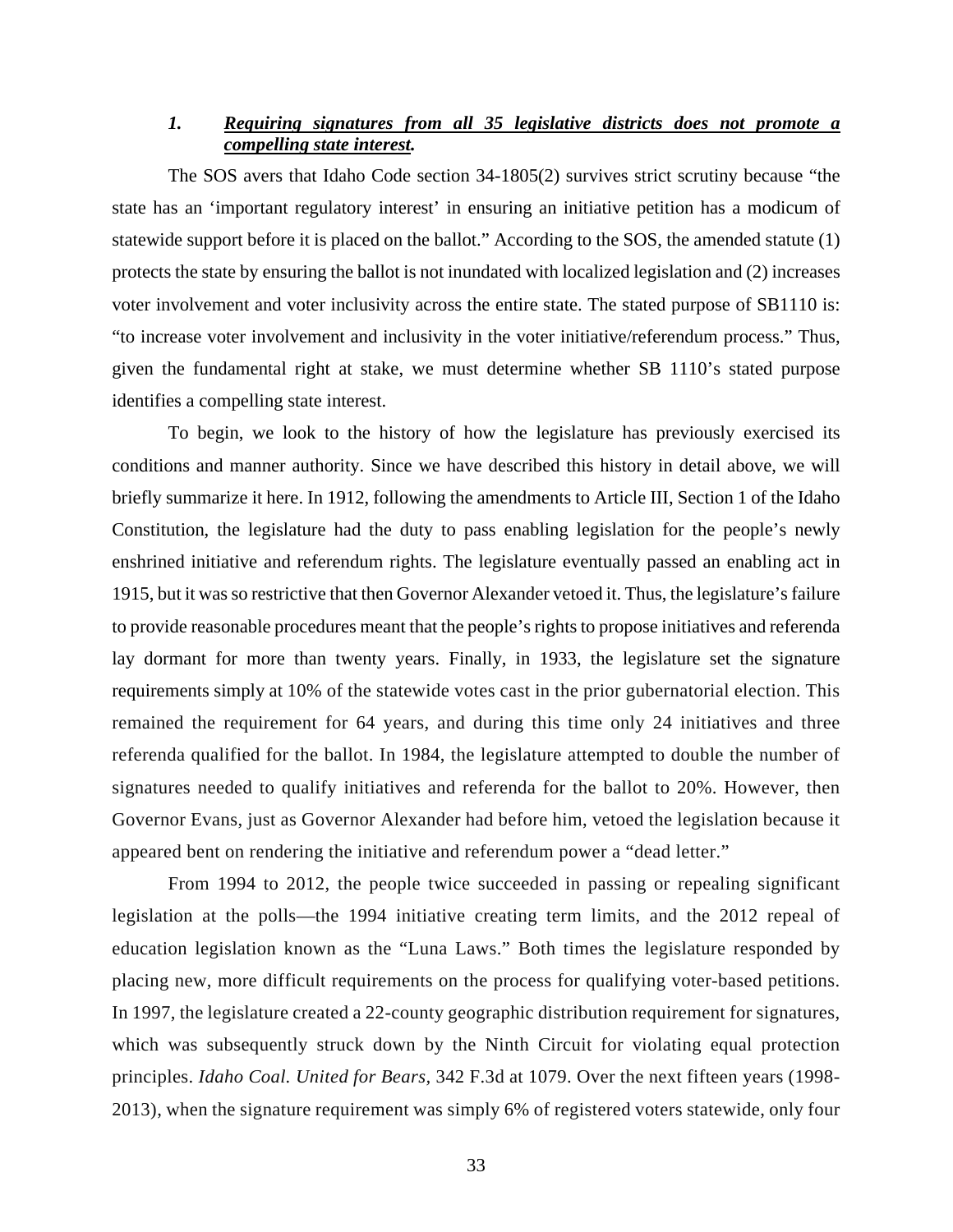# *1. Requiring signatures from all 35 legislative districts does not promote a compelling state interest.*

The SOS avers that Idaho Code section 34-1805(2) survives strict scrutiny because "the state has an 'important regulatory interest' in ensuring an initiative petition has a modicum of statewide support before it is placed on the ballot." According to the SOS, the amended statute (1) protects the state by ensuring the ballot is not inundated with localized legislation and (2) increases voter involvement and voter inclusivity across the entire state. The stated purpose of SB1110 is: "to increase voter involvement and inclusivity in the voter initiative/referendum process." Thus, given the fundamental right at stake, we must determine whether SB 1110's stated purpose identifies a compelling state interest.

To begin, we look to the history of how the legislature has previously exercised its conditions and manner authority. Since we have described this history in detail above, we will briefly summarize it here. In 1912, following the amendments to Article III, Section 1 of the Idaho Constitution, the legislature had the duty to pass enabling legislation for the people's newly enshrined initiative and referendum rights. The legislature eventually passed an enabling act in 1915, but it was so restrictive that then Governor Alexander vetoed it. Thus, the legislature's failure to provide reasonable procedures meant that the people's rights to propose initiatives and referenda lay dormant for more than twenty years. Finally, in 1933, the legislature set the signature requirements simply at 10% of the statewide votes cast in the prior gubernatorial election. This remained the requirement for 64 years, and during this time only 24 initiatives and three referenda qualified for the ballot. In 1984, the legislature attempted to double the number of signatures needed to qualify initiatives and referenda for the ballot to 20%. However, then Governor Evans, just as Governor Alexander had before him, vetoed the legislation because it appeared bent on rendering the initiative and referendum power a "dead letter."

From 1994 to 2012, the people twice succeeded in passing or repealing significant legislation at the polls—the 1994 initiative creating term limits, and the 2012 repeal of education legislation known as the "Luna Laws." Both times the legislature responded by placing new, more difficult requirements on the process for qualifying voter-based petitions. In 1997, the legislature created a 22-county geographic distribution requirement for signatures, which was subsequently struck down by the Ninth Circuit for violating equal protection principles. *Idaho Coal. United for Bears,* 342 F.3d at 1079. Over the next fifteen years (1998- 2013), when the signature requirement was simply 6% of registered voters statewide, only four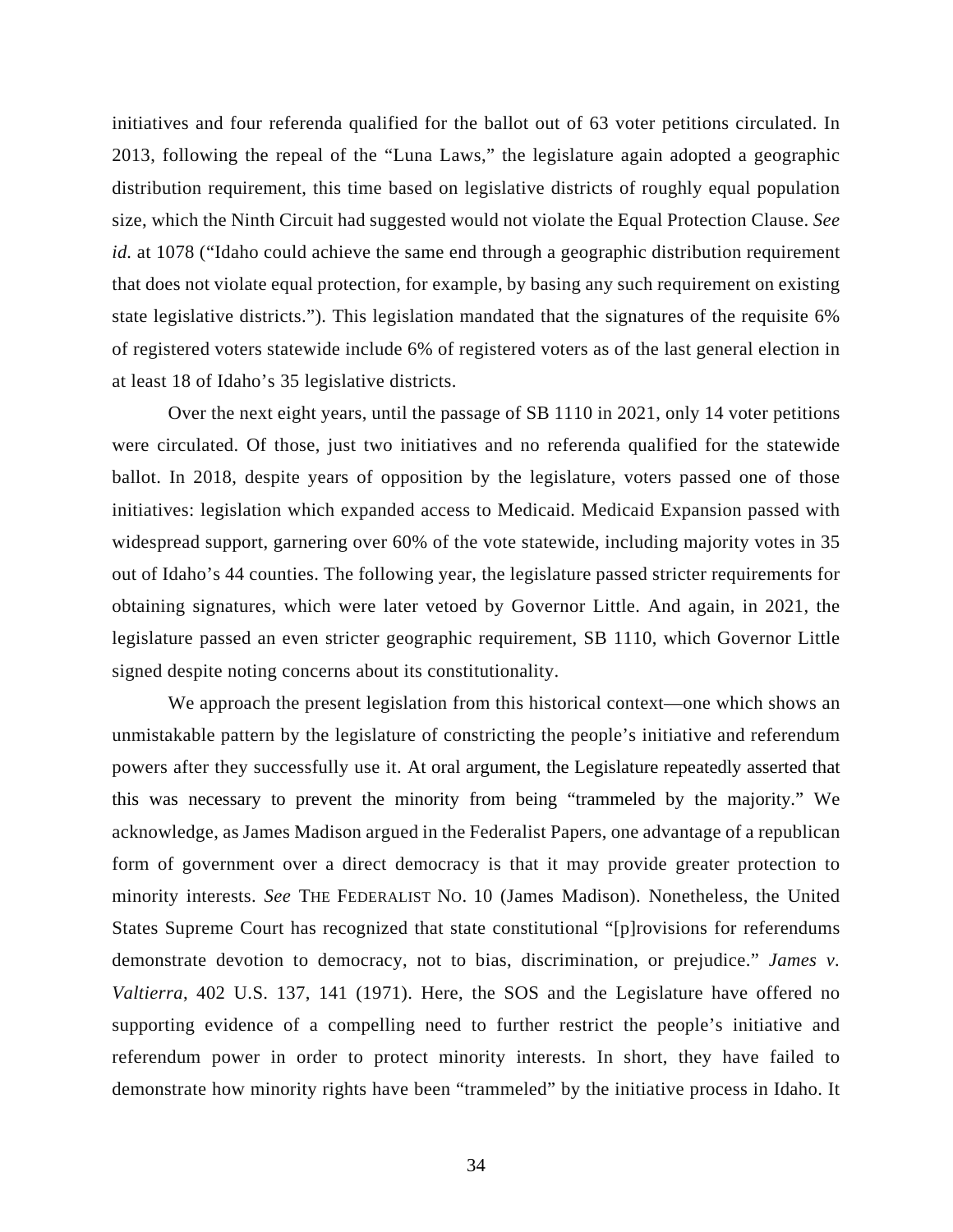initiatives and four referenda qualified for the ballot out of 63 voter petitions circulated. In 2013, following the repeal of the "Luna Laws," the legislature again adopted a geographic distribution requirement, this time based on legislative districts of roughly equal population size, which the Ninth Circuit had suggested would not violate the Equal Protection Clause. *See id.* at 1078 ("Idaho could achieve the same end through a geographic distribution requirement that does not violate equal protection, for example, by basing any such requirement on existing state legislative districts."). This legislation mandated that the signatures of the requisite 6% of registered voters statewide include 6% of registered voters as of the last general election in at least 18 of Idaho's 35 legislative districts.

Over the next eight years, until the passage of SB 1110 in 2021, only 14 voter petitions were circulated. Of those, just two initiatives and no referenda qualified for the statewide ballot. In 2018, despite years of opposition by the legislature, voters passed one of those initiatives: legislation which expanded access to Medicaid. Medicaid Expansion passed with widespread support, garnering over 60% of the vote statewide, including majority votes in 35 out of Idaho's 44 counties. The following year, the legislature passed stricter requirements for obtaining signatures, which were later vetoed by Governor Little. And again, in 2021, the legislature passed an even stricter geographic requirement, SB 1110, which Governor Little signed despite noting concerns about its constitutionality.

We approach the present legislation from this historical context—one which shows an unmistakable pattern by the legislature of constricting the people's initiative and referendum powers after they successfully use it. At oral argument, the Legislature repeatedly asserted that this was necessary to prevent the minority from being "trammeled by the majority." We acknowledge, as James Madison argued in the Federalist Papers, one advantage of a republican form of government over a direct democracy is that it may provide greater protection to minority interests. *See* THE FEDERALIST NO. 10 (James Madison). Nonetheless, the United States Supreme Court has recognized that state constitutional "[p]rovisions for referendums demonstrate devotion to democracy, not to bias, discrimination, or prejudice." *James v. Valtierra*, 402 U.S. 137, 141 (1971). Here, the SOS and the Legislature have offered no supporting evidence of a compelling need to further restrict the people's initiative and referendum power in order to protect minority interests. In short, they have failed to demonstrate how minority rights have been "trammeled" by the initiative process in Idaho. It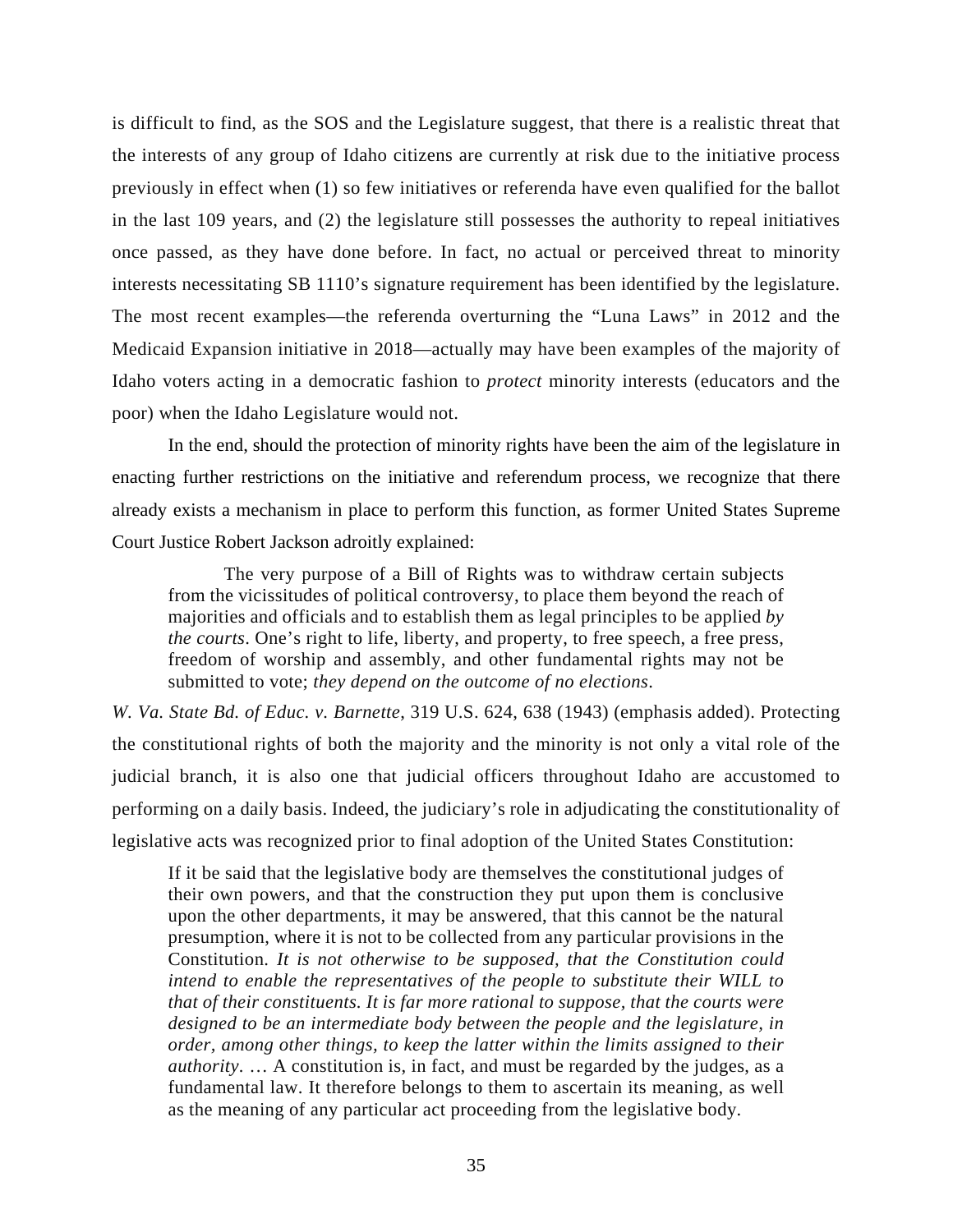is difficult to find, as the SOS and the Legislature suggest, that there is a realistic threat that the interests of any group of Idaho citizens are currently at risk due to the initiative process previously in effect when (1) so few initiatives or referenda have even qualified for the ballot in the last 109 years, and (2) the legislature still possesses the authority to repeal initiatives once passed, as they have done before. In fact, no actual or perceived threat to minority interests necessitating SB 1110's signature requirement has been identified by the legislature. The most recent examples—the referenda overturning the "Luna Laws" in 2012 and the Medicaid Expansion initiative in 2018—actually may have been examples of the majority of Idaho voters acting in a democratic fashion to *protect* minority interests (educators and the poor) when the Idaho Legislature would not.

In the end, should the protection of minority rights have been the aim of the legislature in enacting further restrictions on the initiative and referendum process, we recognize that there already exists a mechanism in place to perform this function, as former United States Supreme Court Justice Robert Jackson adroitly explained:

The very purpose of a Bill of Rights was to withdraw certain subjects from the vicissitudes of political controversy, to place them beyond the reach of majorities and officials and to establish them as legal principles to be applied *by the courts*. One's right to life, liberty, and property, to free speech, a free press, freedom of worship and assembly, and other fundamental rights may not be submitted to vote; *they depend on the outcome of no elections*.

*W. Va. State Bd. of Educ. v. Barnette*, 319 U.S. 624, 638 (1943) (emphasis added). Protecting the constitutional rights of both the majority and the minority is not only a vital role of the judicial branch, it is also one that judicial officers throughout Idaho are accustomed to performing on a daily basis. Indeed, the judiciary's role in adjudicating the constitutionality of legislative acts was recognized prior to final adoption of the United States Constitution:

If it be said that the legislative body are themselves the constitutional judges of their own powers, and that the construction they put upon them is conclusive upon the other departments, it may be answered, that this cannot be the natural presumption, where it is not to be collected from any particular provisions in the Constitution. *It is not otherwise to be supposed, that the Constitution could intend to enable the representatives of the people to substitute their WILL to that of their constituents. It is far more rational to suppose, that the courts were designed to be an intermediate body between the people and the legislature, in order, among other things, to keep the latter within the limits assigned to their authority.* … A constitution is, in fact, and must be regarded by the judges, as a fundamental law. It therefore belongs to them to ascertain its meaning, as well as the meaning of any particular act proceeding from the legislative body.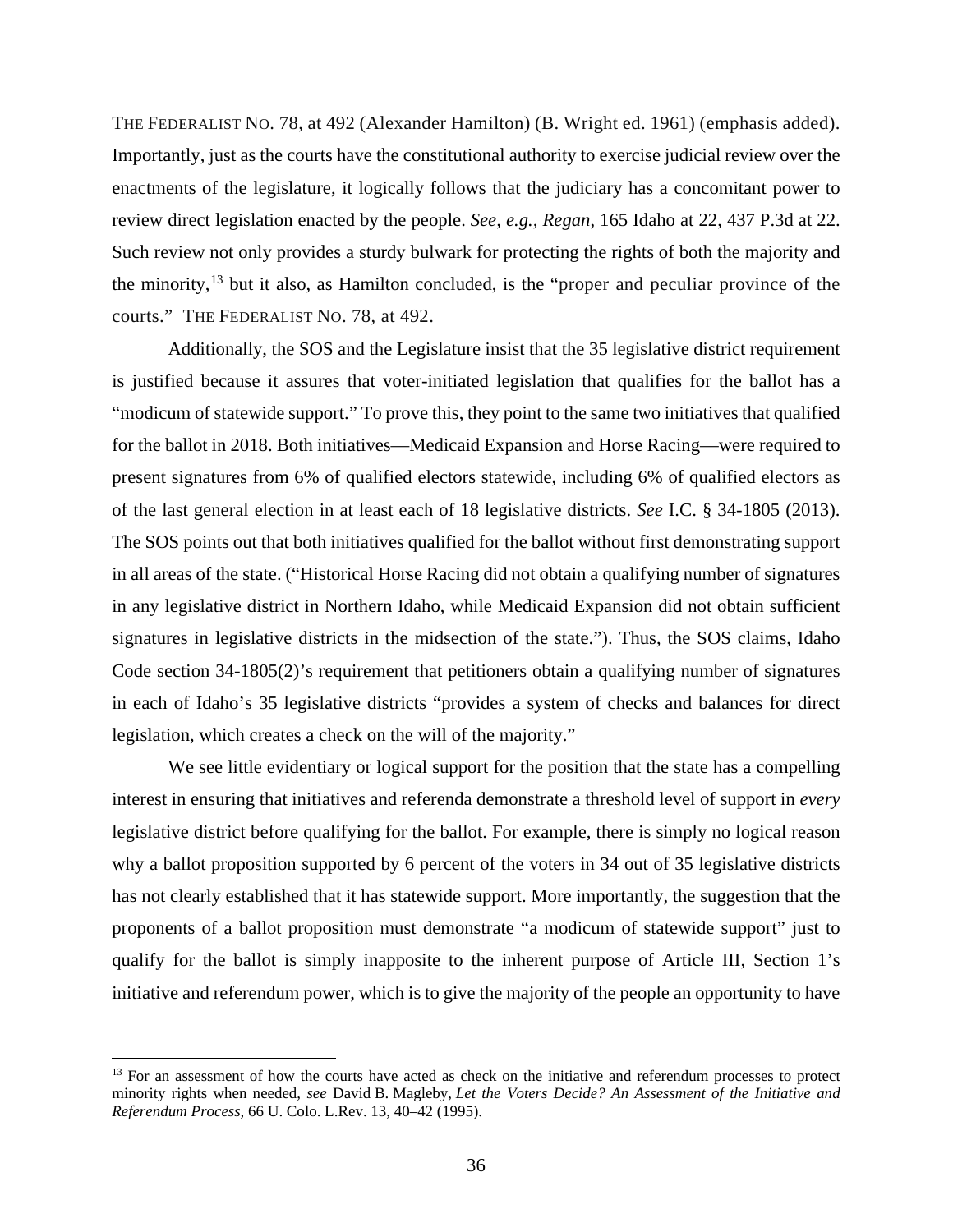THE FEDERALIST NO. 78, at 492 (Alexander Hamilton) (B. Wright ed. 1961) (emphasis added). Importantly, just as the courts have the constitutional authority to exercise judicial review over the enactments of the legislature, it logically follows that the judiciary has a concomitant power to review direct legislation enacted by the people. *See, e.g., Regan*, 165 Idaho at 22, 437 P.3d at 22. Such review not only provides a sturdy bulwark for protecting the rights of both the majority and the minority,[13](#page-35-0) but it also, as Hamilton concluded, is the "proper and peculiar province of the courts." THE FEDERALIST NO. 78, at 492.

Additionally, the SOS and the Legislature insist that the 35 legislative district requirement is justified because it assures that voter-initiated legislation that qualifies for the ballot has a "modicum of statewide support." To prove this, they point to the same two initiatives that qualified for the ballot in 2018. Both initiatives—Medicaid Expansion and Horse Racing—were required to present signatures from 6% of qualified electors statewide, including 6% of qualified electors as of the last general election in at least each of 18 legislative districts. *See* I.C. § 34-1805 (2013). The SOS points out that both initiatives qualified for the ballot without first demonstrating support in all areas of the state. ("Historical Horse Racing did not obtain a qualifying number of signatures in any legislative district in Northern Idaho, while Medicaid Expansion did not obtain sufficient signatures in legislative districts in the midsection of the state."). Thus, the SOS claims, Idaho Code section 34-1805(2)'s requirement that petitioners obtain a qualifying number of signatures in each of Idaho's 35 legislative districts "provides a system of checks and balances for direct legislation, which creates a check on the will of the majority."

We see little evidentiary or logical support for the position that the state has a compelling interest in ensuring that initiatives and referenda demonstrate a threshold level of support in *every* legislative district before qualifying for the ballot. For example, there is simply no logical reason why a ballot proposition supported by 6 percent of the voters in 34 out of 35 legislative districts has not clearly established that it has statewide support. More importantly, the suggestion that the proponents of a ballot proposition must demonstrate "a modicum of statewide support" just to qualify for the ballot is simply inapposite to the inherent purpose of Article III, Section 1's initiative and referendum power, which is to give the majority of the people an opportunity to have

<span id="page-35-0"></span><sup>&</sup>lt;sup>13</sup> For an assessment of how the courts have acted as check on the initiative and referendum processes to protect minority rights when needed, *see* David B. Magleby, *Let the Voters Decide? An Assessment of the Initiative and Referendum Process,* 66 U. Colo. L.Rev. 13, 40–42 (1995).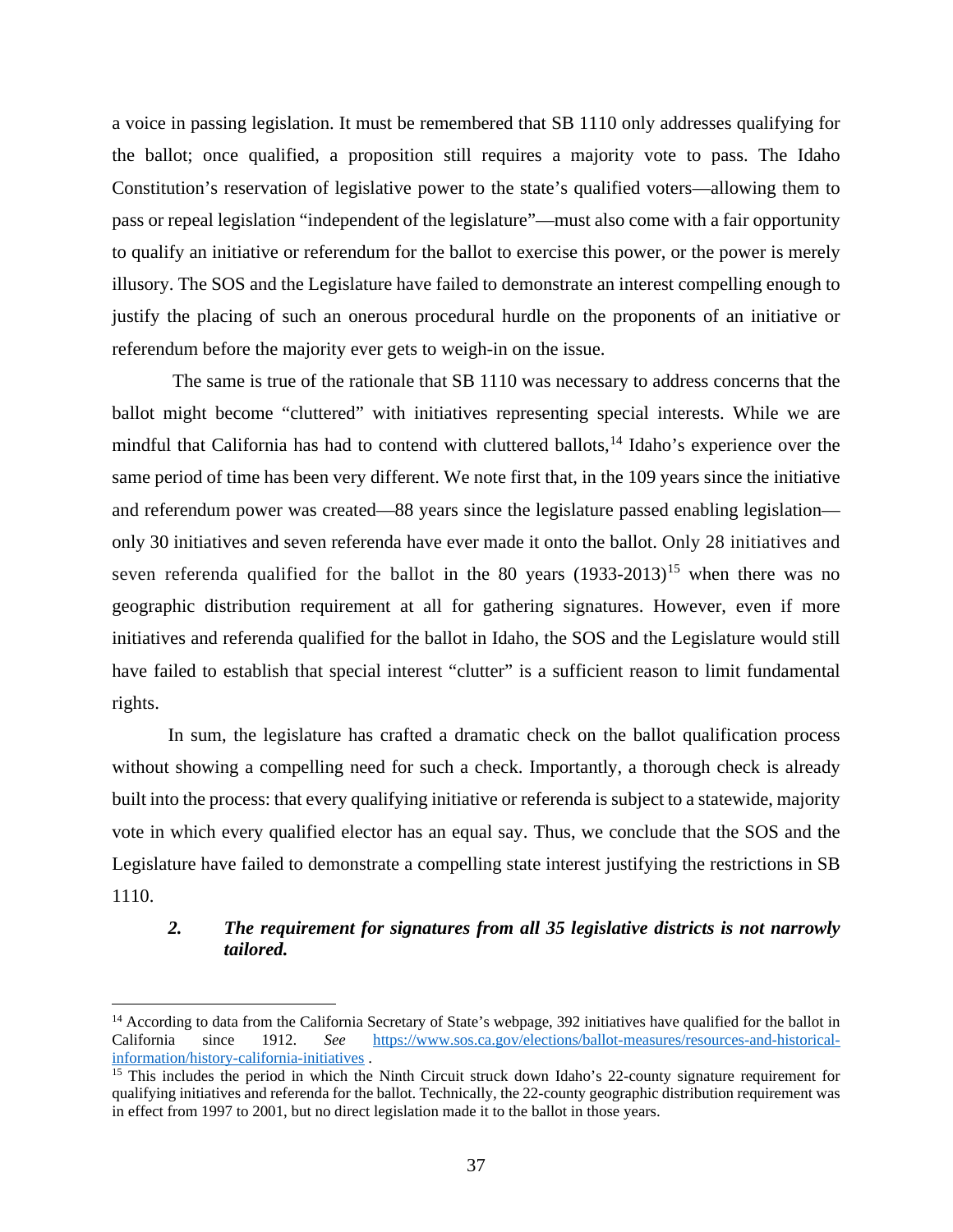a voice in passing legislation. It must be remembered that SB 1110 only addresses qualifying for the ballot; once qualified, a proposition still requires a majority vote to pass. The Idaho Constitution's reservation of legislative power to the state's qualified voters—allowing them to pass or repeal legislation "independent of the legislature"—must also come with a fair opportunity to qualify an initiative or referendum for the ballot to exercise this power, or the power is merely illusory. The SOS and the Legislature have failed to demonstrate an interest compelling enough to justify the placing of such an onerous procedural hurdle on the proponents of an initiative or referendum before the majority ever gets to weigh-in on the issue.

The same is true of the rationale that SB 1110 was necessary to address concerns that the ballot might become "cluttered" with initiatives representing special interests. While we are mindful that California has had to contend with cluttered ballots,<sup>[14](#page-36-0)</sup> Idaho's experience over the same period of time has been very different. We note first that, in the 109 years since the initiative and referendum power was created—88 years since the legislature passed enabling legislation only 30 initiatives and seven referenda have ever made it onto the ballot. Only 28 initiatives and seven referenda qualified for the ballot in the 80 years  $(1933-2013)^{15}$  $(1933-2013)^{15}$  $(1933-2013)^{15}$  when there was no geographic distribution requirement at all for gathering signatures. However, even if more initiatives and referenda qualified for the ballot in Idaho, the SOS and the Legislature would still have failed to establish that special interest "clutter" is a sufficient reason to limit fundamental rights.

In sum, the legislature has crafted a dramatic check on the ballot qualification process without showing a compelling need for such a check. Importantly, a thorough check is already built into the process: that every qualifying initiative or referenda is subject to a statewide, majority vote in which every qualified elector has an equal say. Thus, we conclude that the SOS and the Legislature have failed to demonstrate a compelling state interest justifying the restrictions in SB 1110.

# *2. The requirement for signatures from all 35 legislative districts is not narrowly tailored.*

<span id="page-36-0"></span> $14$  According to data from the California Secretary of State's webpage, 392 initiatives have qualified for the ballot in California since 1912. *See* [https://www.sos.ca.gov/elections/ballot-measures/resources-and-historical](https://www.sos.ca.gov/elections/ballot-measures/resources-and-historical-information/history-california-initiatives)[information/history-california-initiatives](https://www.sos.ca.gov/elections/ballot-measures/resources-and-historical-information/history-california-initiatives) .

<span id="page-36-1"></span><sup>&</sup>lt;sup>15</sup> This includes the period in which the Ninth Circuit struck down Idaho's 22-county signature requirement for qualifying initiatives and referenda for the ballot. Technically, the 22-county geographic distribution requirement was in effect from 1997 to 2001, but no direct legislation made it to the ballot in those years.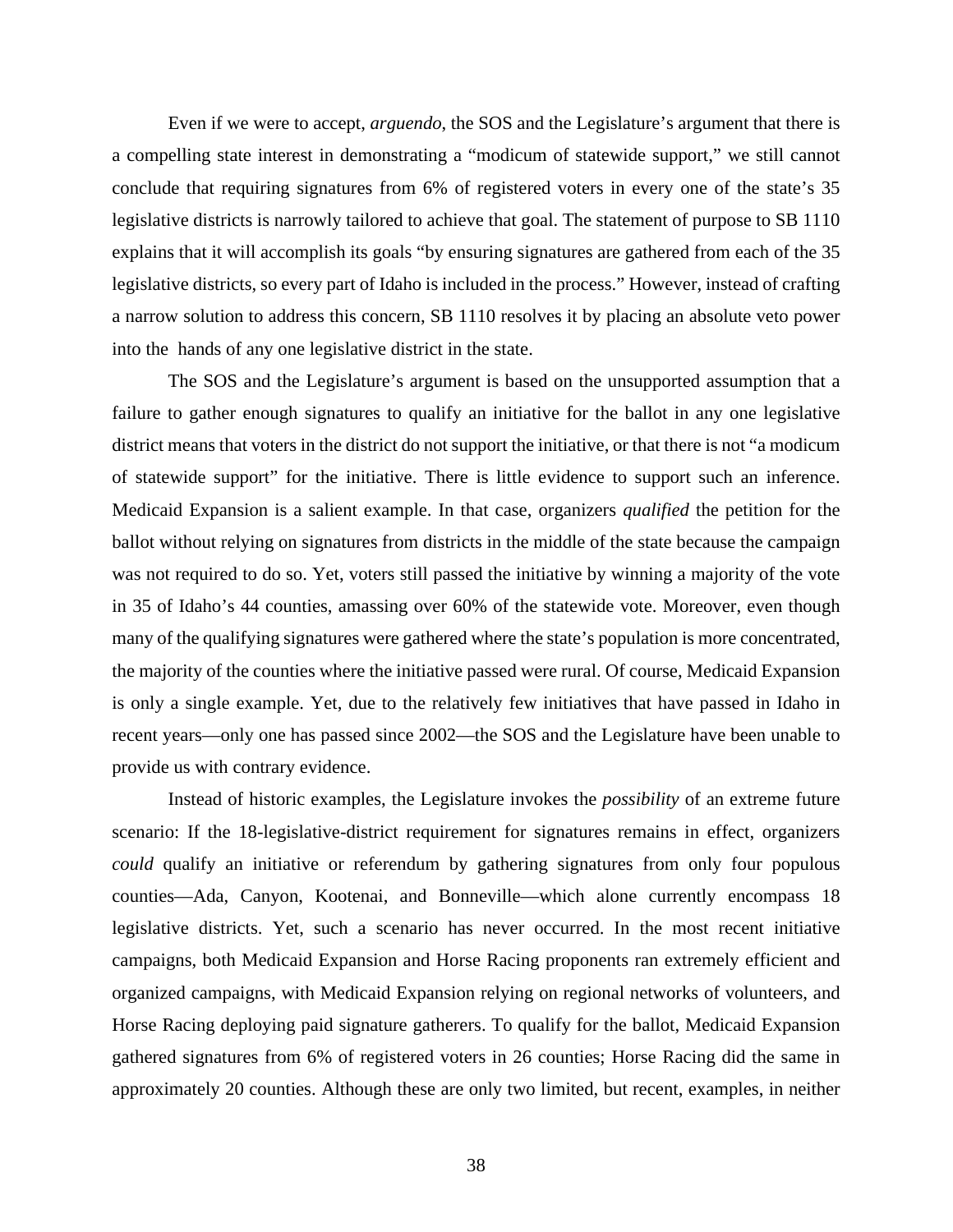Even if we were to accept, *arguendo*, the SOS and the Legislature's argument that there is a compelling state interest in demonstrating a "modicum of statewide support," we still cannot conclude that requiring signatures from 6% of registered voters in every one of the state's 35 legislative districts is narrowly tailored to achieve that goal. The statement of purpose to SB 1110 explains that it will accomplish its goals "by ensuring signatures are gathered from each of the 35 legislative districts, so every part of Idaho is included in the process." However, instead of crafting a narrow solution to address this concern, SB 1110 resolves it by placing an absolute veto power into the hands of any one legislative district in the state.

The SOS and the Legislature's argument is based on the unsupported assumption that a failure to gather enough signatures to qualify an initiative for the ballot in any one legislative district means that voters in the district do not support the initiative, or that there is not "a modicum of statewide support" for the initiative. There is little evidence to support such an inference. Medicaid Expansion is a salient example. In that case, organizers *qualified* the petition for the ballot without relying on signatures from districts in the middle of the state because the campaign was not required to do so. Yet, voters still passed the initiative by winning a majority of the vote in 35 of Idaho's 44 counties, amassing over 60% of the statewide vote. Moreover, even though many of the qualifying signatures were gathered where the state's population is more concentrated, the majority of the counties where the initiative passed were rural. Of course, Medicaid Expansion is only a single example. Yet, due to the relatively few initiatives that have passed in Idaho in recent years—only one has passed since 2002—the SOS and the Legislature have been unable to provide us with contrary evidence.

Instead of historic examples, the Legislature invokes the *possibility* of an extreme future scenario: If the 18-legislative-district requirement for signatures remains in effect, organizers *could* qualify an initiative or referendum by gathering signatures from only four populous counties—Ada, Canyon, Kootenai, and Bonneville—which alone currently encompass 18 legislative districts. Yet, such a scenario has never occurred. In the most recent initiative campaigns, both Medicaid Expansion and Horse Racing proponents ran extremely efficient and organized campaigns, with Medicaid Expansion relying on regional networks of volunteers, and Horse Racing deploying paid signature gatherers. To qualify for the ballot, Medicaid Expansion gathered signatures from 6% of registered voters in 26 counties; Horse Racing did the same in approximately 20 counties. Although these are only two limited, but recent, examples, in neither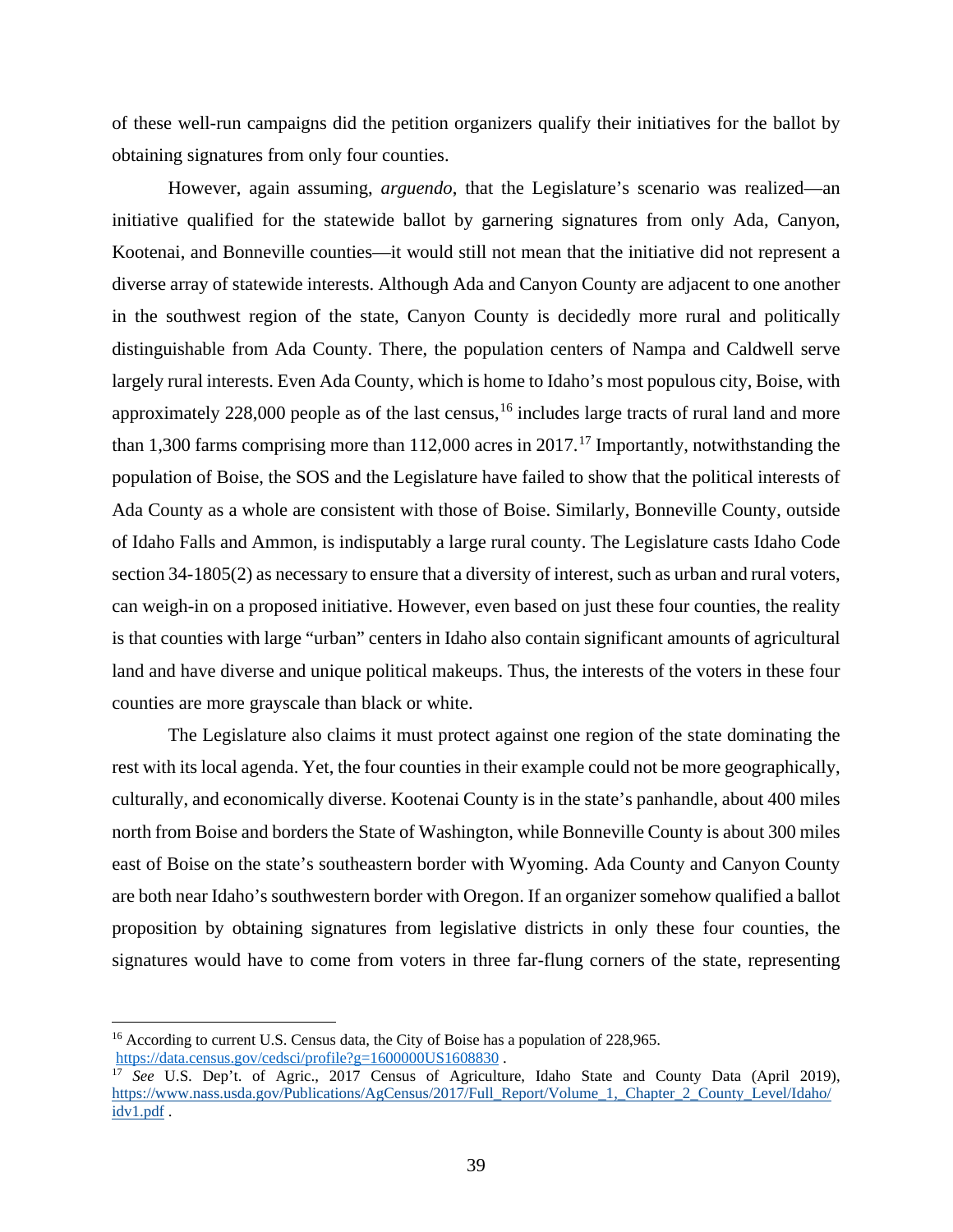of these well-run campaigns did the petition organizers qualify their initiatives for the ballot by obtaining signatures from only four counties.

However, again assuming, *arguendo*, that the Legislature's scenario was realized—an initiative qualified for the statewide ballot by garnering signatures from only Ada, Canyon, Kootenai, and Bonneville counties—it would still not mean that the initiative did not represent a diverse array of statewide interests. Although Ada and Canyon County are adjacent to one another in the southwest region of the state, Canyon County is decidedly more rural and politically distinguishable from Ada County. There, the population centers of Nampa and Caldwell serve largely rural interests. Even Ada County, which is home to Idaho's most populous city, Boise, with approximately 228,000 people as of the last census, <sup>[16](#page-38-0)</sup> includes large tracts of rural land and more than 1,300 farms comprising more than 112,000 acres in 2017. [17](#page-38-1) Importantly, notwithstanding the population of Boise, the SOS and the Legislature have failed to show that the political interests of Ada County as a whole are consistent with those of Boise. Similarly, Bonneville County, outside of Idaho Falls and Ammon, is indisputably a large rural county. The Legislature casts Idaho Code section 34-1805(2) as necessary to ensure that a diversity of interest, such as urban and rural voters, can weigh-in on a proposed initiative. However, even based on just these four counties, the reality is that counties with large "urban" centers in Idaho also contain significant amounts of agricultural land and have diverse and unique political makeups. Thus, the interests of the voters in these four counties are more grayscale than black or white.

The Legislature also claims it must protect against one region of the state dominating the rest with its local agenda. Yet, the four counties in their example could not be more geographically, culturally, and economically diverse. Kootenai County is in the state's panhandle, about 400 miles north from Boise and borders the State of Washington, while Bonneville County is about 300 miles east of Boise on the state's southeastern border with Wyoming. Ada County and Canyon County are both near Idaho's southwestern border with Oregon. If an organizer somehow qualified a ballot proposition by obtaining signatures from legislative districts in only these four counties, the signatures would have to come from voters in three far-flung corners of the state, representing

<span id="page-38-0"></span><sup>&</sup>lt;sup>16</sup> According to current U.S. Census data, the City of Boise has a population of 228,965. <https://data.census.gov/cedsci/profile?g=1600000US1608830> .

<span id="page-38-1"></span><sup>17</sup> *See* U.S. Dep't. of Agric., 2017 Census of Agriculture, Idaho State and County Data (April 2019), [https://www.nass.usda.gov/Publications/AgCensus/2017/Full\\_Report/Volume\\_1,\\_Chapter\\_2\\_County\\_Level/Idaho/](https://www.nass.usda.gov/Publications/AgCensus/2017/Full_Report/Volume_1,_Chapter_2_County_Level/Idaho/) idv1.pdf .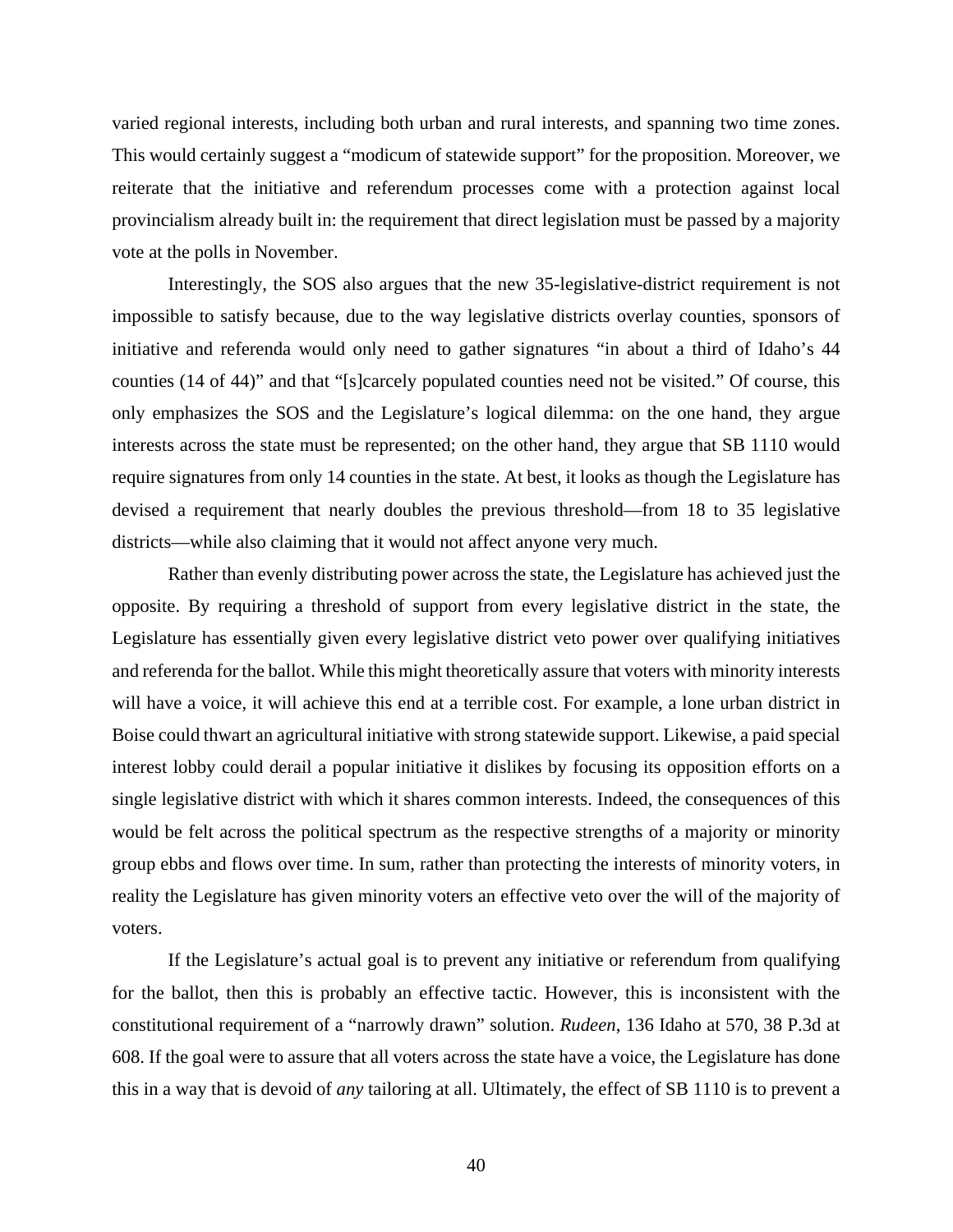varied regional interests, including both urban and rural interests, and spanning two time zones. This would certainly suggest a "modicum of statewide support" for the proposition. Moreover, we reiterate that the initiative and referendum processes come with a protection against local provincialism already built in: the requirement that direct legislation must be passed by a majority vote at the polls in November.

Interestingly, the SOS also argues that the new 35-legislative-district requirement is not impossible to satisfy because, due to the way legislative districts overlay counties, sponsors of initiative and referenda would only need to gather signatures "in about a third of Idaho's 44 counties (14 of 44)" and that "[s]carcely populated counties need not be visited." Of course, this only emphasizes the SOS and the Legislature's logical dilemma: on the one hand, they argue interests across the state must be represented; on the other hand, they argue that SB 1110 would require signatures from only 14 counties in the state. At best, it looks as though the Legislature has devised a requirement that nearly doubles the previous threshold—from 18 to 35 legislative districts—while also claiming that it would not affect anyone very much.

Rather than evenly distributing power across the state, the Legislature has achieved just the opposite. By requiring a threshold of support from every legislative district in the state, the Legislature has essentially given every legislative district veto power over qualifying initiatives and referenda for the ballot. While this might theoretically assure that voters with minority interests will have a voice, it will achieve this end at a terrible cost. For example, a lone urban district in Boise could thwart an agricultural initiative with strong statewide support. Likewise, a paid special interest lobby could derail a popular initiative it dislikes by focusing its opposition efforts on a single legislative district with which it shares common interests. Indeed, the consequences of this would be felt across the political spectrum as the respective strengths of a majority or minority group ebbs and flows over time. In sum, rather than protecting the interests of minority voters, in reality the Legislature has given minority voters an effective veto over the will of the majority of voters.

If the Legislature's actual goal is to prevent any initiative or referendum from qualifying for the ballot, then this is probably an effective tactic. However, this is inconsistent with the constitutional requirement of a "narrowly drawn" solution. *Rudeen*, 136 Idaho at 570, 38 P.3d at 608. If the goal were to assure that all voters across the state have a voice, the Legislature has done this in a way that is devoid of *any* tailoring at all. Ultimately, the effect of SB 1110 is to prevent a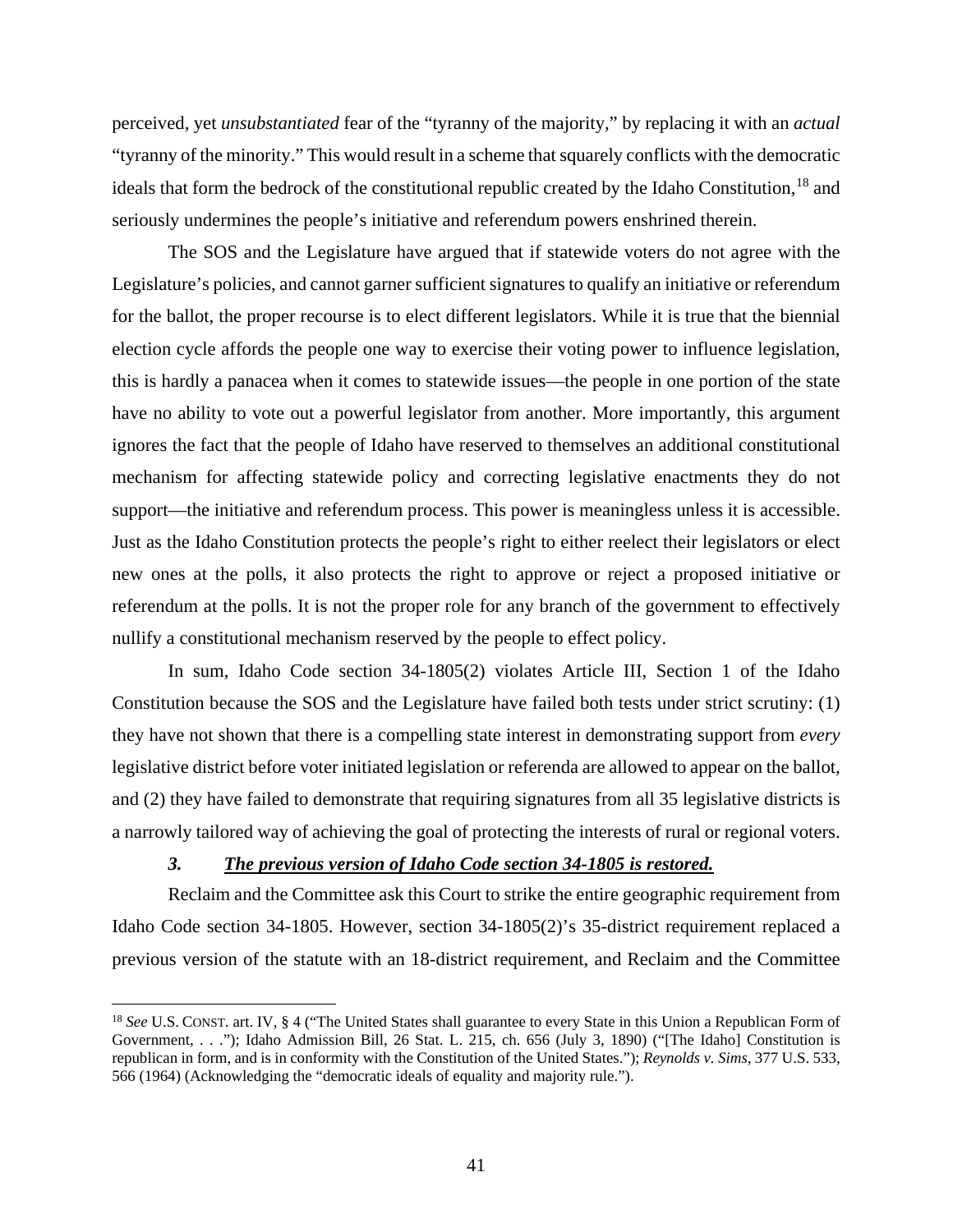perceived, yet *unsubstantiated* fear of the "tyranny of the majority," by replacing it with an *actual* "tyranny of the minority." This would result in a scheme that squarely conflicts with the democratic ideals that form the bedrock of the constitutional republic created by the Idaho Constitution,<sup>[18](#page-40-0)</sup> and seriously undermines the people's initiative and referendum powers enshrined therein.

The SOS and the Legislature have argued that if statewide voters do not agree with the Legislature's policies, and cannot garner sufficient signatures to qualify an initiative or referendum for the ballot, the proper recourse is to elect different legislators. While it is true that the biennial election cycle affords the people one way to exercise their voting power to influence legislation, this is hardly a panacea when it comes to statewide issues—the people in one portion of the state have no ability to vote out a powerful legislator from another. More importantly, this argument ignores the fact that the people of Idaho have reserved to themselves an additional constitutional mechanism for affecting statewide policy and correcting legislative enactments they do not support—the initiative and referendum process. This power is meaningless unless it is accessible. Just as the Idaho Constitution protects the people's right to either reelect their legislators or elect new ones at the polls, it also protects the right to approve or reject a proposed initiative or referendum at the polls. It is not the proper role for any branch of the government to effectively nullify a constitutional mechanism reserved by the people to effect policy.

In sum, Idaho Code section 34-1805(2) violates Article III, Section 1 of the Idaho Constitution because the SOS and the Legislature have failed both tests under strict scrutiny: (1) they have not shown that there is a compelling state interest in demonstrating support from *every* legislative district before voter initiated legislation or referenda are allowed to appear on the ballot, and (2) they have failed to demonstrate that requiring signatures from all 35 legislative districts is a narrowly tailored way of achieving the goal of protecting the interests of rural or regional voters.

# *3. The previous version of Idaho Code section 34-1805 is restored.*

Reclaim and the Committee ask this Court to strike the entire geographic requirement from Idaho Code section 34-1805. However, section 34-1805(2)'s 35-district requirement replaced a previous version of the statute with an 18-district requirement, and Reclaim and the Committee

<span id="page-40-0"></span><sup>18</sup> *See* U.S. CONST. art. IV, § 4 ("The United States shall guarantee to every State in this Union a Republican Form of Government, . . ."); Idaho Admission Bill, 26 Stat. L. 215, ch. 656 (July 3, 1890) ("The Idaho] Constitution is republican in form, and is in conformity with the Constitution of the United States."); *Reynolds v. Sims*, 377 U.S. 533, 566 (1964) (Acknowledging the "democratic ideals of equality and majority rule.").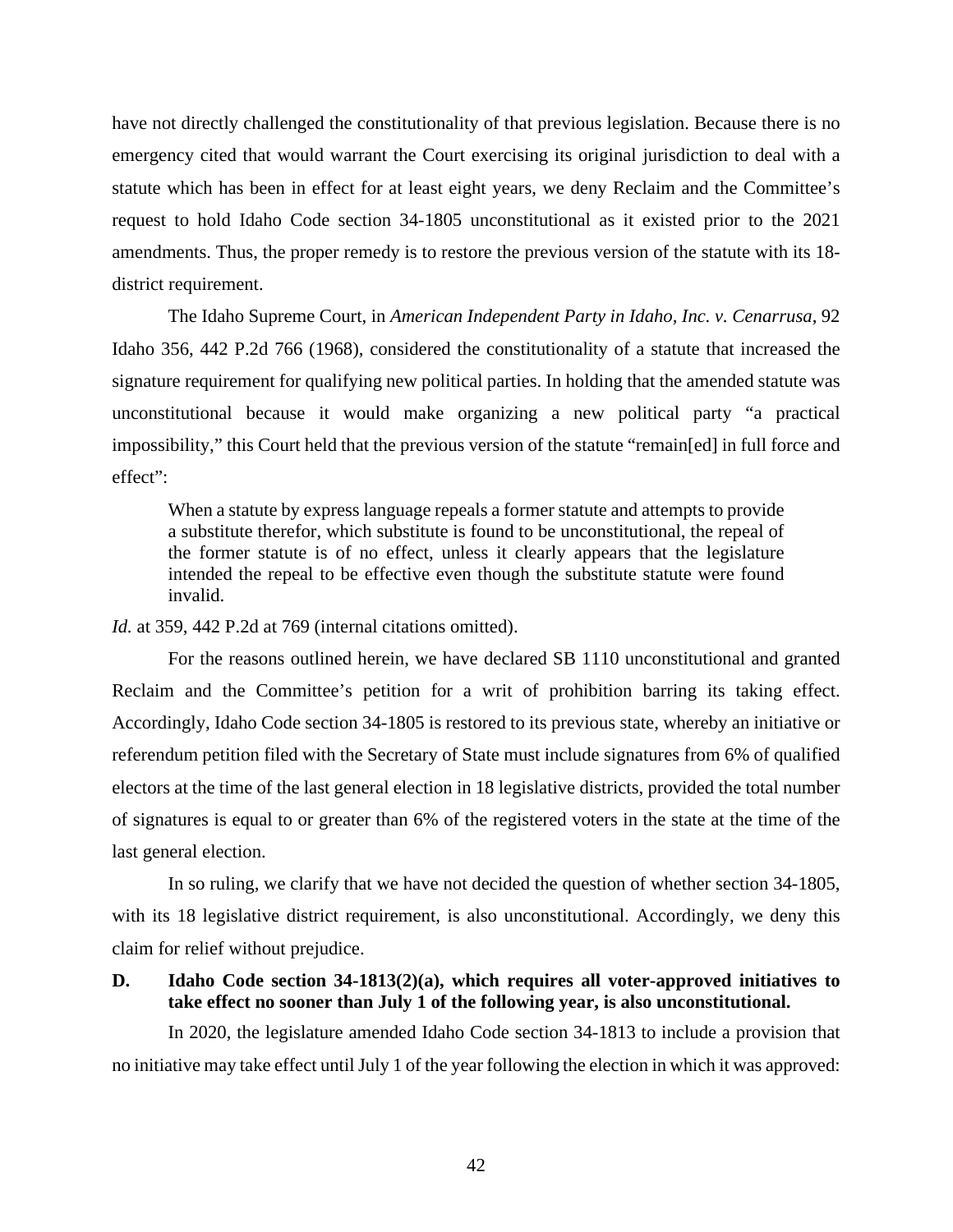have not directly challenged the constitutionality of that previous legislation. Because there is no emergency cited that would warrant the Court exercising its original jurisdiction to deal with a statute which has been in effect for at least eight years, we deny Reclaim and the Committee's request to hold Idaho Code section 34-1805 unconstitutional as it existed prior to the 2021 amendments. Thus, the proper remedy is to restore the previous version of the statute with its 18 district requirement.

The Idaho Supreme Court, in *American Independent Party in Idaho, Inc. v. Cenarrusa*, 92 Idaho 356, 442 P.2d 766 (1968), considered the constitutionality of a statute that increased the signature requirement for qualifying new political parties. In holding that the amended statute was unconstitutional because it would make organizing a new political party "a practical impossibility," this Court held that the previous version of the statute "remain[ed] in full force and effect":

When a statute by express language repeals a former statute and attempts to provide a substitute therefor, which substitute is found to be unconstitutional, the repeal of the former statute is of no effect, unless it clearly appears that the legislature intended the repeal to be effective even though the substitute statute were found invalid.

*Id.* at 359, 442 P.2d at 769 (internal citations omitted).

For the reasons outlined herein, we have declared SB 1110 unconstitutional and granted Reclaim and the Committee's petition for a writ of prohibition barring its taking effect. Accordingly, Idaho Code section 34-1805 is restored to its previous state, whereby an initiative or referendum petition filed with the Secretary of State must include signatures from 6% of qualified electors at the time of the last general election in 18 legislative districts, provided the total number of signatures is equal to or greater than 6% of the registered voters in the state at the time of the last general election.

In so ruling, we clarify that we have not decided the question of whether section 34-1805, with its 18 legislative district requirement, is also unconstitutional. Accordingly, we deny this claim for relief without prejudice.

# **D. Idaho Code section 34-1813(2)(a), which requires all voter-approved initiatives to take effect no sooner than July 1 of the following year, is also unconstitutional.**

In 2020, the legislature amended Idaho Code section 34-1813 to include a provision that no initiative may take effect until July 1 of the year following the election in which it was approved: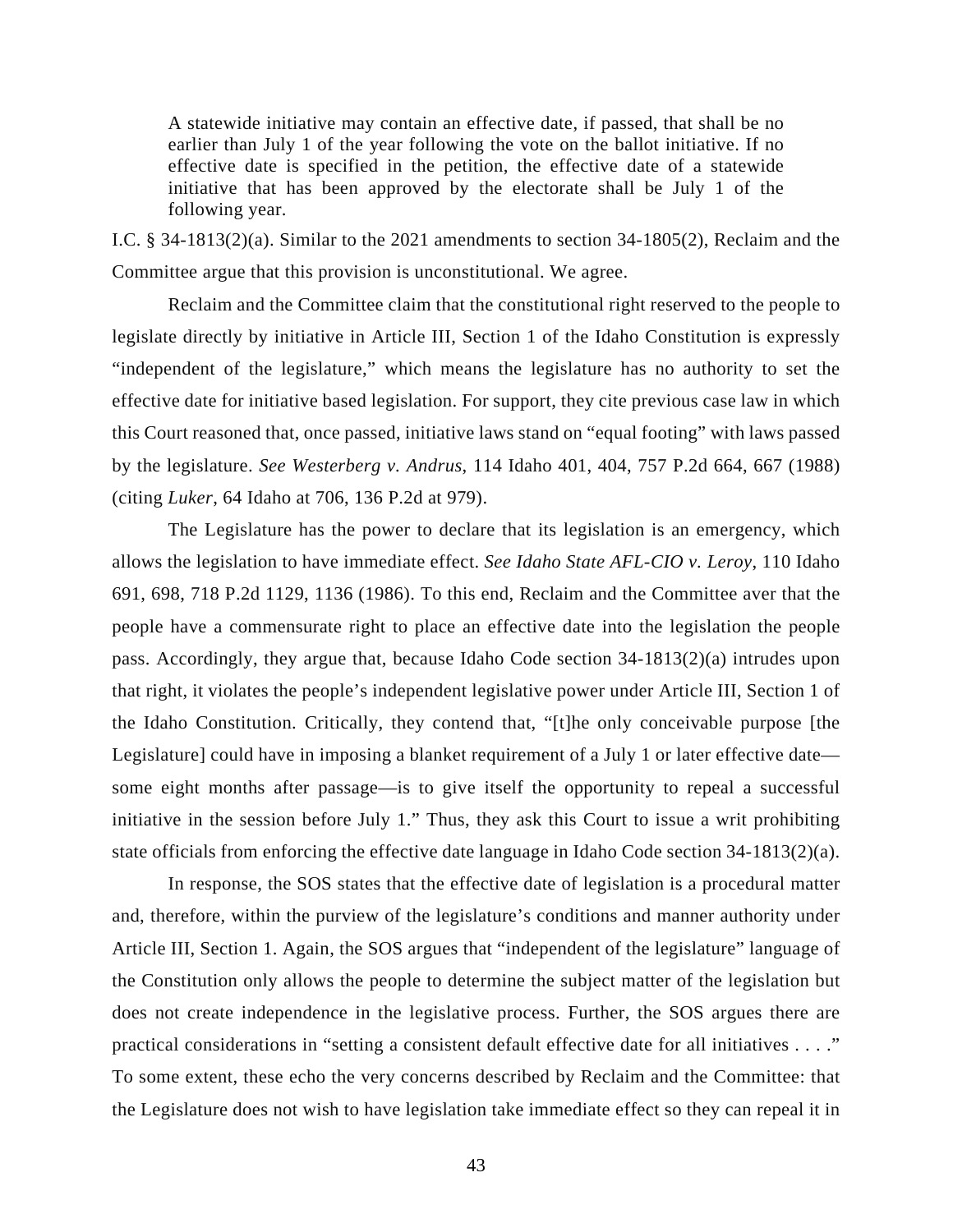A statewide initiative may contain an effective date, if passed, that shall be no earlier than July 1 of the year following the vote on the ballot initiative. If no effective date is specified in the petition, the effective date of a statewide initiative that has been approved by the electorate shall be July 1 of the following year.

I.C. § 34-1813(2)(a). Similar to the 2021 amendments to section 34-1805(2), Reclaim and the Committee argue that this provision is unconstitutional. We agree.

Reclaim and the Committee claim that the constitutional right reserved to the people to legislate directly by initiative in Article III, Section 1 of the Idaho Constitution is expressly "independent of the legislature," which means the legislature has no authority to set the effective date for initiative based legislation. For support, they cite previous case law in which this Court reasoned that, once passed, initiative laws stand on "equal footing" with laws passed by the legislature. *See Westerberg v. Andrus*, 114 Idaho 401, 404, 757 P.2d 664, 667 (1988) (citing *Luker*, 64 Idaho at 706, 136 P.2d at 979).

The Legislature has the power to declare that its legislation is an emergency, which allows the legislation to have immediate effect. *See Idaho State AFL-CIO v. Leroy*, 110 Idaho 691, 698, 718 P.2d 1129, 1136 (1986). To this end, Reclaim and the Committee aver that the people have a commensurate right to place an effective date into the legislation the people pass. Accordingly, they argue that, because Idaho Code section 34-1813(2)(a) intrudes upon that right, it violates the people's independent legislative power under Article III, Section 1 of the Idaho Constitution. Critically, they contend that, "[t]he only conceivable purpose [the Legislature] could have in imposing a blanket requirement of a July 1 or later effective date some eight months after passage—is to give itself the opportunity to repeal a successful initiative in the session before July 1." Thus, they ask this Court to issue a writ prohibiting state officials from enforcing the effective date language in Idaho Code section 34-1813(2)(a).

In response, the SOS states that the effective date of legislation is a procedural matter and, therefore, within the purview of the legislature's conditions and manner authority under Article III, Section 1. Again, the SOS argues that "independent of the legislature" language of the Constitution only allows the people to determine the subject matter of the legislation but does not create independence in the legislative process. Further, the SOS argues there are practical considerations in "setting a consistent default effective date for all initiatives . . . ." To some extent, these echo the very concerns described by Reclaim and the Committee: that the Legislature does not wish to have legislation take immediate effect so they can repeal it in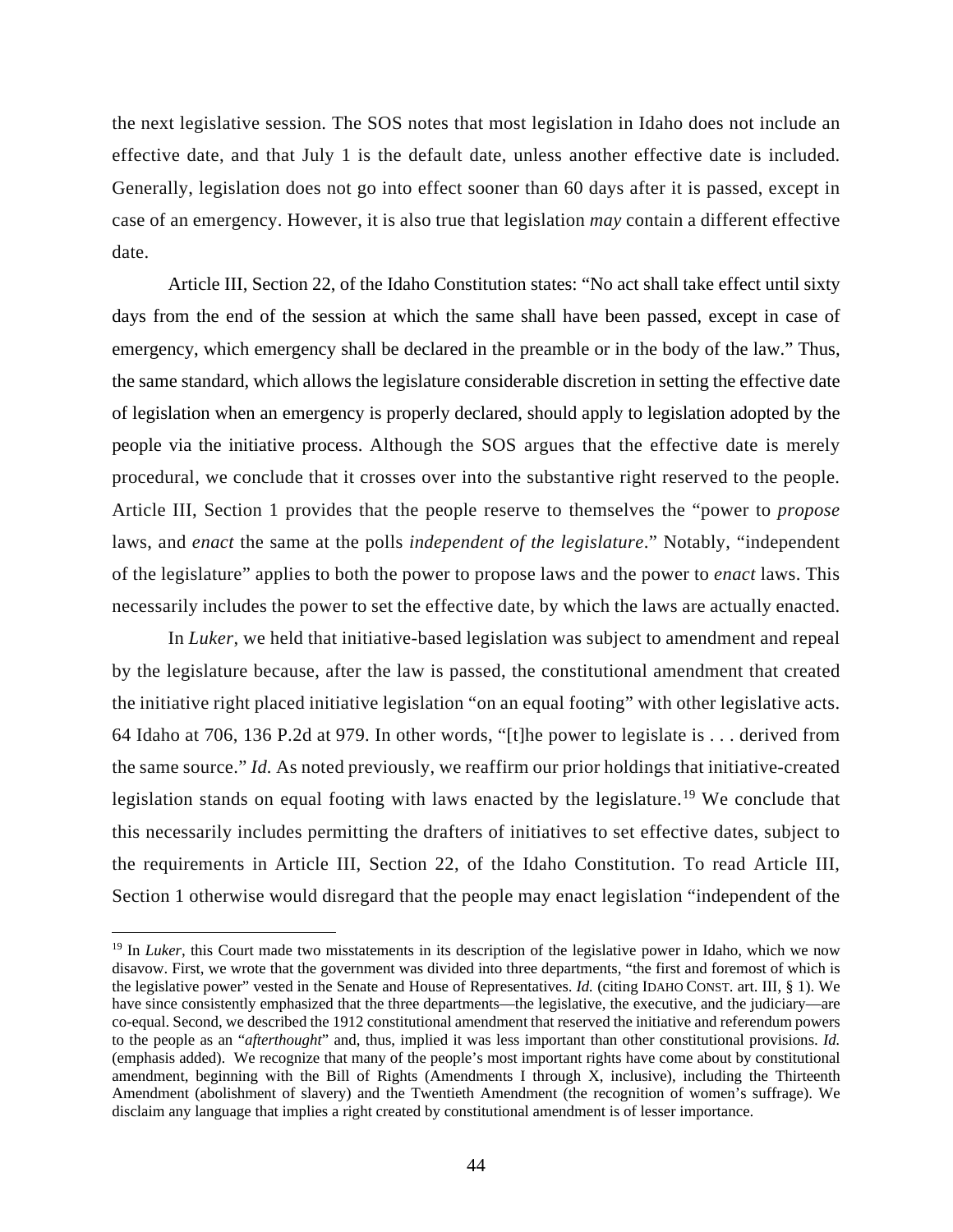the next legislative session. The SOS notes that most legislation in Idaho does not include an effective date, and that July 1 is the default date, unless another effective date is included. Generally, legislation does not go into effect sooner than 60 days after it is passed, except in case of an emergency. However, it is also true that legislation *may* contain a different effective date.

Article III, Section 22, of the Idaho Constitution states: "No act shall take effect until sixty days from the end of the session at which the same shall have been passed, except in case of emergency, which emergency shall be declared in the preamble or in the body of the law." Thus, the same standard, which allows the legislature considerable discretion in setting the effective date of legislation when an emergency is properly declared, should apply to legislation adopted by the people via the initiative process. Although the SOS argues that the effective date is merely procedural, we conclude that it crosses over into the substantive right reserved to the people. Article III, Section 1 provides that the people reserve to themselves the "power to *propose* laws, and *enact* the same at the polls *independent of the legislature*." Notably, "independent of the legislature" applies to both the power to propose laws and the power to *enact* laws. This necessarily includes the power to set the effective date, by which the laws are actually enacted.

In *Luker*, we held that initiative-based legislation was subject to amendment and repeal by the legislature because, after the law is passed, the constitutional amendment that created the initiative right placed initiative legislation "on an equal footing" with other legislative acts. 64 Idaho at 706, 136 P.2d at 979. In other words, "[t]he power to legislate is . . . derived from the same source." *Id.* As noted previously, we reaffirm our prior holdings that initiative-created legislation stands on equal footing with laws enacted by the legislature.<sup>[19](#page-43-0)</sup> We conclude that this necessarily includes permitting the drafters of initiatives to set effective dates, subject to the requirements in Article III, Section 22, of the Idaho Constitution. To read Article III, Section 1 otherwise would disregard that the people may enact legislation "independent of the

<span id="page-43-0"></span><sup>&</sup>lt;sup>19</sup> In *Luker*, this Court made two misstatements in its description of the legislative power in Idaho, which we now disavow. First, we wrote that the government was divided into three departments, "the first and foremost of which is the legislative power" vested in the Senate and House of Representatives. *Id.* (citing IDAHO CONST. art. III, § 1). We have since consistently emphasized that the three departments—the legislative, the executive, and the judiciary—are co-equal. Second, we described the 1912 constitutional amendment that reserved the initiative and referendum powers to the people as an "*afterthought*" and, thus, implied it was less important than other constitutional provisions. *Id.* (emphasis added). We recognize that many of the people's most important rights have come about by constitutional amendment, beginning with the Bill of Rights (Amendments I through X, inclusive), including the Thirteenth Amendment (abolishment of slavery) and the Twentieth Amendment (the recognition of women's suffrage). We disclaim any language that implies a right created by constitutional amendment is of lesser importance.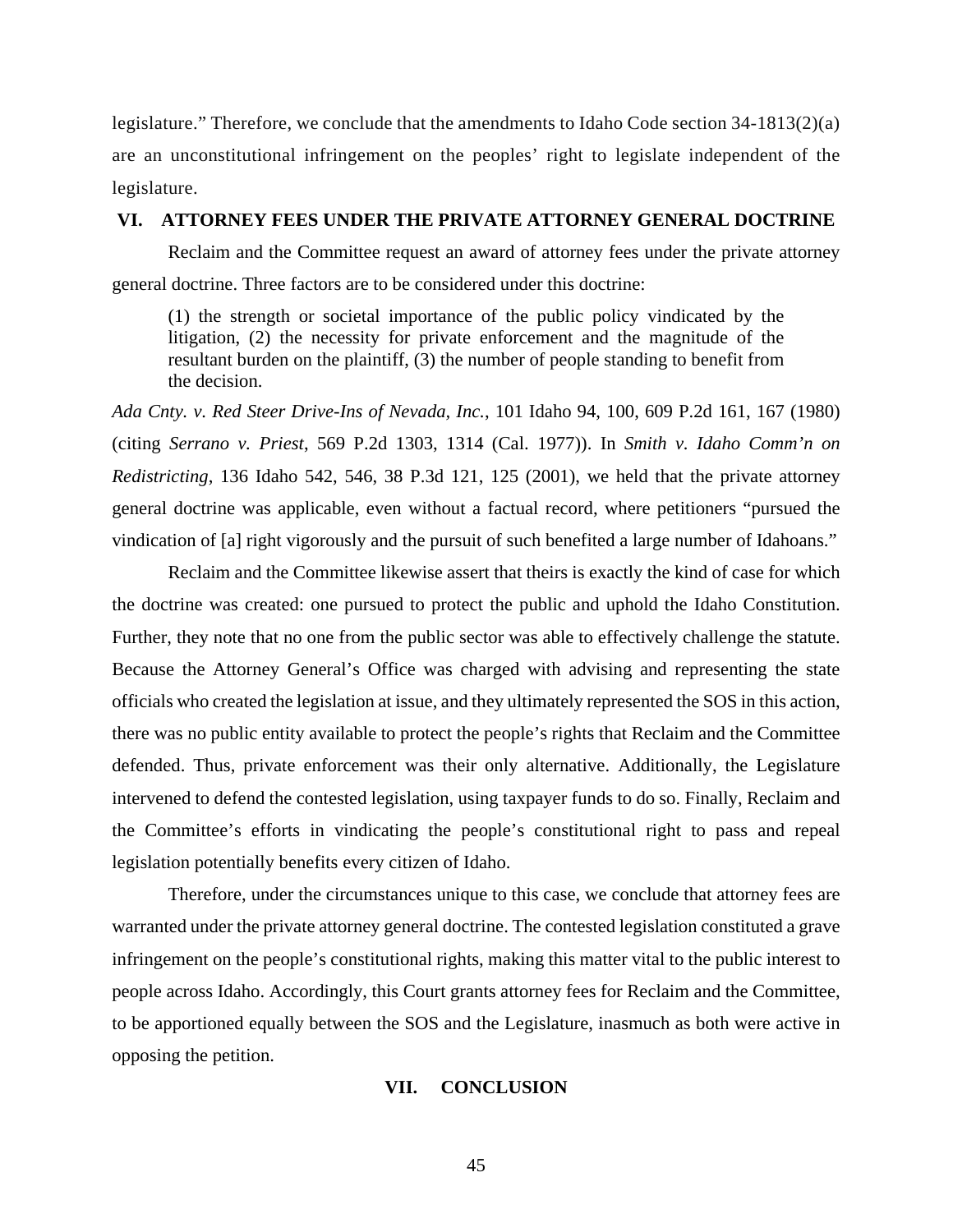legislature." Therefore, we conclude that the amendments to Idaho Code section 34-1813(2)(a) are an unconstitutional infringement on the peoples' right to legislate independent of the legislature.

#### **VI. ATTORNEY FEES UNDER THE PRIVATE ATTORNEY GENERAL DOCTRINE**

Reclaim and the Committee request an award of attorney fees under the private attorney general doctrine. Three factors are to be considered under this doctrine:

(1) the strength or societal importance of the public policy vindicated by the litigation, (2) the necessity for private enforcement and the magnitude of the resultant burden on the plaintiff, (3) the number of people standing to benefit from the decision.

*Ada Cnty. v. Red Steer Drive-Ins of Nevada, Inc.*, 101 Idaho 94, 100, 609 P.2d 161, 167 (1980) (citing *Serrano v. Priest*, 569 P.2d 1303, 1314 (Cal. 1977)). In *Smith v. Idaho Comm'n on Redistricting*, 136 Idaho 542, 546, 38 P.3d 121, 125 (2001), we held that the private attorney general doctrine was applicable, even without a factual record, where petitioners "pursued the vindication of [a] right vigorously and the pursuit of such benefited a large number of Idahoans."

Reclaim and the Committee likewise assert that theirs is exactly the kind of case for which the doctrine was created: one pursued to protect the public and uphold the Idaho Constitution. Further, they note that no one from the public sector was able to effectively challenge the statute. Because the Attorney General's Office was charged with advising and representing the state officials who created the legislation at issue, and they ultimately represented the SOS in this action, there was no public entity available to protect the people's rights that Reclaim and the Committee defended. Thus, private enforcement was their only alternative. Additionally, the Legislature intervened to defend the contested legislation, using taxpayer funds to do so. Finally, Reclaim and the Committee's efforts in vindicating the people's constitutional right to pass and repeal legislation potentially benefits every citizen of Idaho.

Therefore, under the circumstances unique to this case, we conclude that attorney fees are warranted under the private attorney general doctrine. The contested legislation constituted a grave infringement on the people's constitutional rights, making this matter vital to the public interest to people across Idaho. Accordingly, this Court grants attorney fees for Reclaim and the Committee, to be apportioned equally between the SOS and the Legislature, inasmuch as both were active in opposing the petition.

#### **VII. CONCLUSION**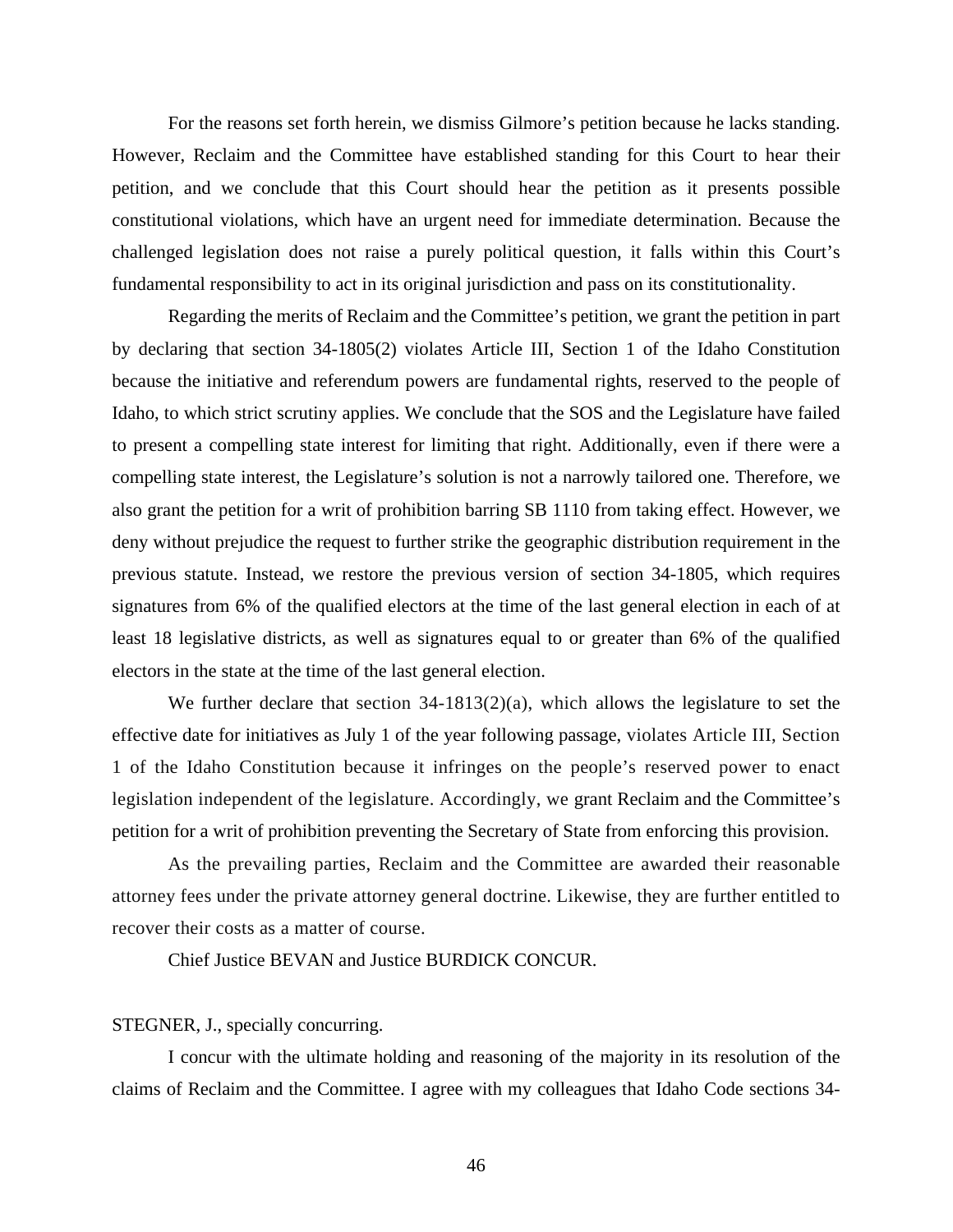For the reasons set forth herein, we dismiss Gilmore's petition because he lacks standing. However, Reclaim and the Committee have established standing for this Court to hear their petition, and we conclude that this Court should hear the petition as it presents possible constitutional violations, which have an urgent need for immediate determination. Because the challenged legislation does not raise a purely political question, it falls within this Court's fundamental responsibility to act in its original jurisdiction and pass on its constitutionality.

Regarding the merits of Reclaim and the Committee's petition, we grant the petition in part by declaring that section 34-1805(2) violates Article III, Section 1 of the Idaho Constitution because the initiative and referendum powers are fundamental rights, reserved to the people of Idaho, to which strict scrutiny applies. We conclude that the SOS and the Legislature have failed to present a compelling state interest for limiting that right. Additionally, even if there were a compelling state interest, the Legislature's solution is not a narrowly tailored one. Therefore, we also grant the petition for a writ of prohibition barring SB 1110 from taking effect. However, we deny without prejudice the request to further strike the geographic distribution requirement in the previous statute. Instead, we restore the previous version of section 34-1805, which requires signatures from 6% of the qualified electors at the time of the last general election in each of at least 18 legislative districts, as well as signatures equal to or greater than 6% of the qualified electors in the state at the time of the last general election.

We further declare that section  $34-1813(2)(a)$ , which allows the legislature to set the effective date for initiatives as July 1 of the year following passage, violates Article III, Section 1 of the Idaho Constitution because it infringes on the people's reserved power to enact legislation independent of the legislature. Accordingly, we grant Reclaim and the Committee's petition for a writ of prohibition preventing the Secretary of State from enforcing this provision.

As the prevailing parties, Reclaim and the Committee are awarded their reasonable attorney fees under the private attorney general doctrine. Likewise, they are further entitled to recover their costs as a matter of course.

Chief Justice BEVAN and Justice BURDICK CONCUR.

### STEGNER, J., specially concurring.

I concur with the ultimate holding and reasoning of the majority in its resolution of the claims of Reclaim and the Committee. I agree with my colleagues that Idaho Code sections 34-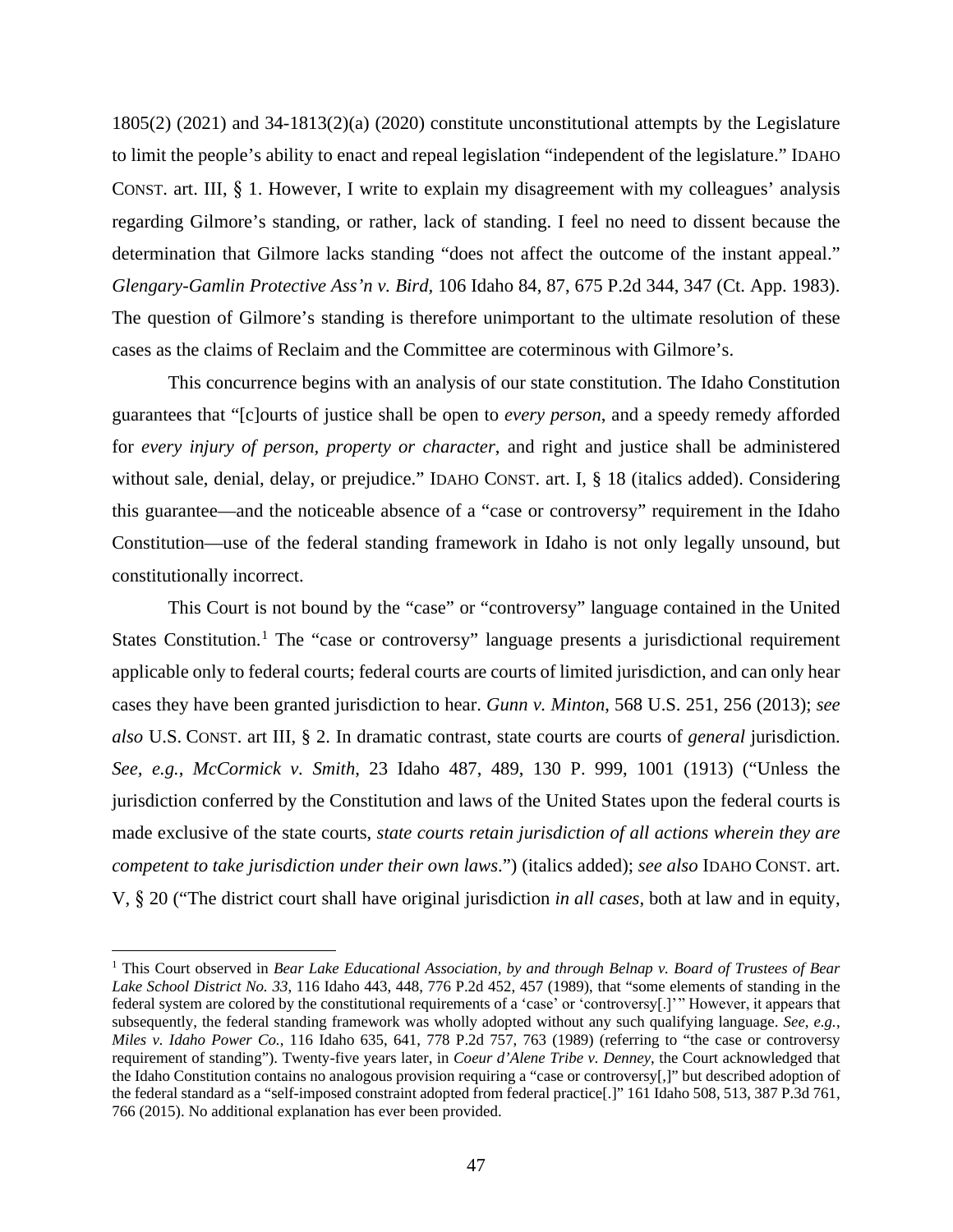1805(2) (2021) and 34-1813(2)(a) (2020) constitute unconstitutional attempts by the Legislature to limit the people's ability to enact and repeal legislation "independent of the legislature." IDAHO CONST. art. III,  $\S$  1. However, I write to explain my disagreement with my colleagues' analysis regarding Gilmore's standing, or rather, lack of standing. I feel no need to dissent because the determination that Gilmore lacks standing "does not affect the outcome of the instant appeal." *Glengary-Gamlin Protective Ass'n v. Bird,* 106 Idaho 84, 87, 675 P.2d 344, 347 (Ct. App. 1983). The question of Gilmore's standing is therefore unimportant to the ultimate resolution of these cases as the claims of Reclaim and the Committee are coterminous with Gilmore's.

This concurrence begins with an analysis of our state constitution. The Idaho Constitution guarantees that "[c]ourts of justice shall be open to *every person*, and a speedy remedy afforded for *every injury of person, property or character*, and right and justice shall be administered without sale, denial, delay, or prejudice." IDAHO CONST. art. I, § 18 (italics added). Considering this guarantee—and the noticeable absence of a "case or controversy" requirement in the Idaho Constitution—use of the federal standing framework in Idaho is not only legally unsound, but constitutionally incorrect.

This Court is not bound by the "case" or "controversy" language contained in the United States Constitution.<sup>[1](#page-46-0)</sup> The "case or controversy" language presents a jurisdictional requirement applicable only to federal courts; federal courts are courts of limited jurisdiction, and can only hear cases they have been granted jurisdiction to hear. *Gunn v. Minton*, 568 U.S. 251, 256 (2013); *see also* U.S. CONST. art III, § 2. In dramatic contrast, state courts are courts of *general* jurisdiction. *See, e.g.*, *McCormick v. Smith*, 23 Idaho 487, 489, 130 P. 999, 1001 (1913) ("Unless the jurisdiction conferred by the Constitution and laws of the United States upon the federal courts is made exclusive of the state courts, *state courts retain jurisdiction of all actions wherein they are competent to take jurisdiction under their own laws*.") (italics added); *see also* IDAHO CONST. art. V, § 20 ("The district court shall have original jurisdiction *in all cases*, both at law and in equity,

<span id="page-46-0"></span><sup>1</sup> This Court observed in *Bear Lake Educational Association, by and through Belnap v. Board of Trustees of Bear Lake School District No. 33*, 116 Idaho 443, 448, 776 P.2d 452, 457 (1989), that "some elements of standing in the federal system are colored by the constitutional requirements of a 'case' or 'controversy[.]' " However, it appears that subsequently, the federal standing framework was wholly adopted without any such qualifying language. *See, e.g.*, *Miles v. Idaho Power Co.*, 116 Idaho 635, 641, 778 P.2d 757, 763 (1989) (referring to "the case or controversy requirement of standing"). Twenty-five years later, in *Coeur d'Alene Tribe v. Denney*, the Court acknowledged that the Idaho Constitution contains no analogous provision requiring a "case or controversy[,]" but described adoption of the federal standard as a "self-imposed constraint adopted from federal practice[.]" 161 Idaho 508, 513, 387 P.3d 761, 766 (2015). No additional explanation has ever been provided.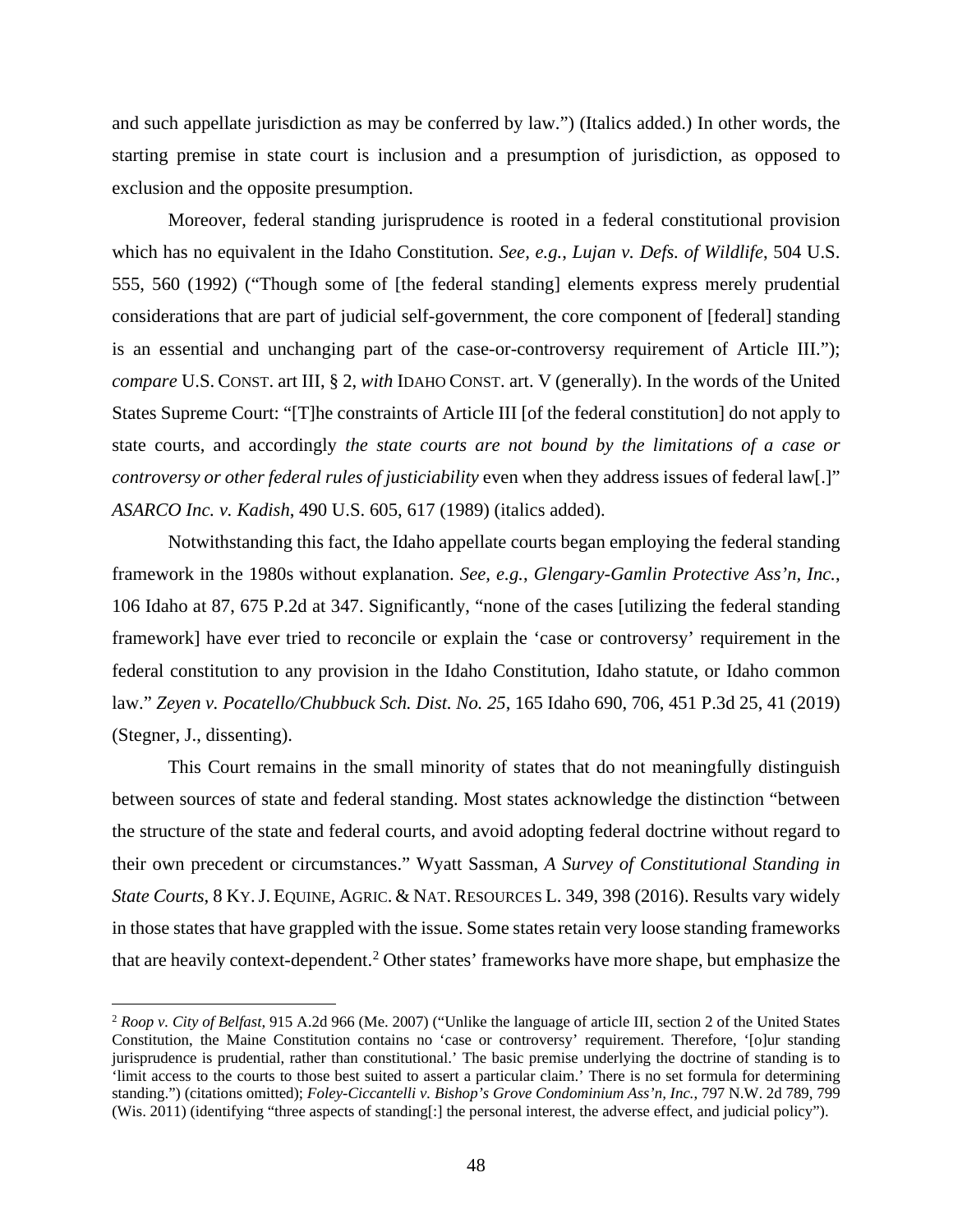and such appellate jurisdiction as may be conferred by law.") (Italics added.) In other words, the starting premise in state court is inclusion and a presumption of jurisdiction, as opposed to exclusion and the opposite presumption.

Moreover, federal standing jurisprudence is rooted in a federal constitutional provision which has no equivalent in the Idaho Constitution. *See, e.g.*, *Lujan v. Defs. of Wildlife*, 504 U.S. 555, 560 (1992) ("Though some of [the federal standing] elements express merely prudential considerations that are part of judicial self-government, the core component of [federal] standing is an essential and unchanging part of the case-or-controversy requirement of Article III."); *compare* U.S. CONST. art III, § 2, *with* IDAHO CONST. art. V (generally). In the words of the United States Supreme Court: "[T]he constraints of Article III [of the federal constitution] do not apply to state courts, and accordingly *the state courts are not bound by the limitations of a case or controversy or other federal rules of justiciability* even when they address issues of federal law[.]" *ASARCO Inc. v. Kadish*, 490 U.S. 605, 617 (1989) (italics added).

Notwithstanding this fact, the Idaho appellate courts began employing the federal standing framework in the 1980s without explanation. *See, e.g.*, *Glengary-Gamlin Protective Ass'n, Inc.*, 106 Idaho at 87, 675 P.2d at 347. Significantly, "none of the cases [utilizing the federal standing framework] have ever tried to reconcile or explain the 'case or controversy' requirement in the federal constitution to any provision in the Idaho Constitution, Idaho statute, or Idaho common law." *Zeyen v. Pocatello/Chubbuck Sch. Dist. No. 25*, 165 Idaho 690, 706, 451 P.3d 25, 41 (2019) (Stegner, J., dissenting).

This Court remains in the small minority of states that do not meaningfully distinguish between sources of state and federal standing. Most states acknowledge the distinction "between the structure of the state and federal courts, and avoid adopting federal doctrine without regard to their own precedent or circumstances." Wyatt Sassman, *A Survey of Constitutional Standing in State Courts*, 8 KY.J. EQUINE, AGRIC. & NAT. RESOURCES L. 349, 398 (2016). Results vary widely in those states that have grappled with the issue. Some states retain very loose standing frameworks that are heavily context-dependent.<sup>[2](#page-47-0)</sup> Other states' frameworks have more shape, but emphasize the

<span id="page-47-0"></span><sup>2</sup> *Roop v. City of Belfast*, 915 A.2d 966 (Me. 2007) ("Unlike the language of article III, section 2 of the United States Constitution, the Maine Constitution contains no 'case or controversy' requirement. Therefore, '[o]ur standing jurisprudence is prudential, rather than constitutional.' The basic premise underlying the doctrine of standing is to 'limit access to the courts to those best suited to assert a particular claim.' There is no set formula for determining standing.") (citations omitted); *Foley-Ciccantelli v. Bishop's Grove Condominium Ass'n, Inc.*, 797 N.W. 2d 789, 799 (Wis. 2011) (identifying "three aspects of standing[:] the personal interest, the adverse effect, and judicial policy").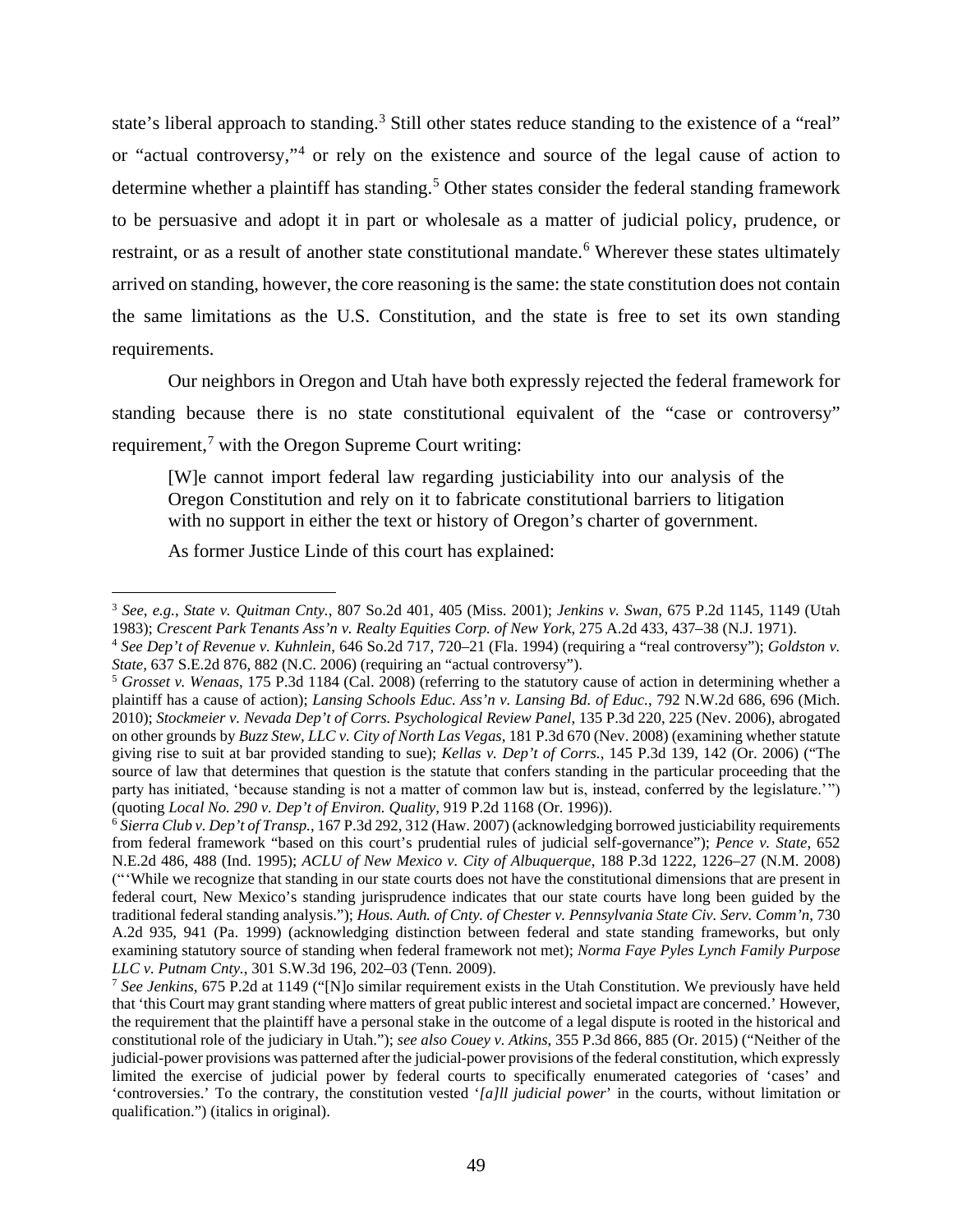state's liberal approach to standing.<sup>[3](#page-48-0)</sup> Still other states reduce standing to the existence of a "real" or "actual controversy,"[4](#page-48-1) or rely on the existence and source of the legal cause of action to determine whether a plaintiff has standing.<sup>[5](#page-48-2)</sup> Other states consider the federal standing framework to be persuasive and adopt it in part or wholesale as a matter of judicial policy, prudence, or restraint, or as a result of another state constitutional mandate.<sup>[6](#page-48-3)</sup> Wherever these states ultimately arrived on standing, however, the core reasoning is the same: the state constitution does not contain the same limitations as the U.S. Constitution, and the state is free to set its own standing requirements.

Our neighbors in Oregon and Utah have both expressly rejected the federal framework for standing because there is no state constitutional equivalent of the "case or controversy" requirement, $\frac{7}{7}$  $\frac{7}{7}$  $\frac{7}{7}$  with the Oregon Supreme Court writing:

[W]e cannot import federal law regarding justiciability into our analysis of the Oregon Constitution and rely on it to fabricate constitutional barriers to litigation with no support in either the text or history of Oregon's charter of government.

As former Justice Linde of this court has explained:

<span id="page-48-0"></span><sup>3</sup> *See*, *e.g.*, *State v. Quitman Cnty.*, 807 So.2d 401, 405 (Miss. 2001); *Jenkins v. Swan*, 675 P.2d 1145, 1149 (Utah 1983); *Crescent Park Tenants Ass'n v. Realty Equities Corp. of New York*, 275 A.2d 433, 437–38 (N.J. 1971).

<span id="page-48-1"></span><sup>4</sup> *See Dep't of Revenue v. Kuhnlein*, 646 So.2d 717, 720–21 (Fla. 1994) (requiring a "real controversy"); *Goldston v. State*, 637 S.E.2d 876, 882 (N.C. 2006) (requiring an "actual controversy").

<span id="page-48-2"></span><sup>5</sup> *Grosset v. Wenaas*, 175 P.3d 1184 (Cal. 2008) (referring to the statutory cause of action in determining whether a plaintiff has a cause of action); *Lansing Schools Educ. Ass'n v. Lansing Bd. of Educ.*, 792 N.W.2d 686, 696 (Mich. 2010); *Stockmeier v. Nevada Dep't of Corrs. Psychological Review Panel*, 135 P.3d 220, 225 (Nev. 2006), abrogated on other grounds by *Buzz Stew, LLC v. City of North Las Vegas*, 181 P.3d 670 (Nev. 2008) (examining whether statute giving rise to suit at bar provided standing to sue); *Kellas v. Dep't of Corrs.*, 145 P.3d 139, 142 (Or. 2006) ("The source of law that determines that question is the statute that confers standing in the particular proceeding that the party has initiated, 'because standing is not a matter of common law but is, instead, conferred by the legislature.' ") (quoting *Local No. 290 v. Dep't of Environ. Quality*, 919 P.2d 1168 (Or. 1996)).

<span id="page-48-3"></span><sup>6</sup> *Sierra Club v. Dep't of Transp.*, 167 P.3d 292, 312 (Haw. 2007) (acknowledging borrowed justiciability requirements from federal framework "based on this court's prudential rules of judicial self-governance"); *Pence v. State*, 652 N.E.2d 486, 488 (Ind. 1995); *ACLU of New Mexico v. City of Albuquerque*, 188 P.3d 1222, 1226–27 (N.M. 2008) (" 'While we recognize that standing in our state courts does not have the constitutional dimensions that are present in federal court, New Mexico's standing jurisprudence indicates that our state courts have long been guided by the traditional federal standing analysis."); *Hous. Auth. of Cnty. of Chester v. Pennsylvania State Civ. Serv. Comm'n*, 730 A.2d 935, 941 (Pa. 1999) (acknowledging distinction between federal and state standing frameworks, but only examining statutory source of standing when federal framework not met); *Norma Faye Pyles Lynch Family Purpose LLC v. Putnam Cnty.*, 301 S.W.3d 196, 202–03 (Tenn. 2009).

<span id="page-48-4"></span><sup>7</sup> *See Jenkins*, 675 P.2d at 1149 ("[N]o similar requirement exists in the Utah Constitution. We previously have held that 'this Court may grant standing where matters of great public interest and societal impact are concerned.' However, the requirement that the plaintiff have a personal stake in the outcome of a legal dispute is rooted in the historical and constitutional role of the judiciary in Utah."); *see also Couey v. Atkins*, 355 P.3d 866, 885 (Or. 2015) ("Neither of the judicial-power provisions was patterned after the judicial-power provisions of the federal constitution, which expressly limited the exercise of judicial power by federal courts to specifically enumerated categories of 'cases' and 'controversies.' To the contrary, the constitution vested '*[a]ll judicial power*' in the courts, without limitation or qualification.") (italics in original).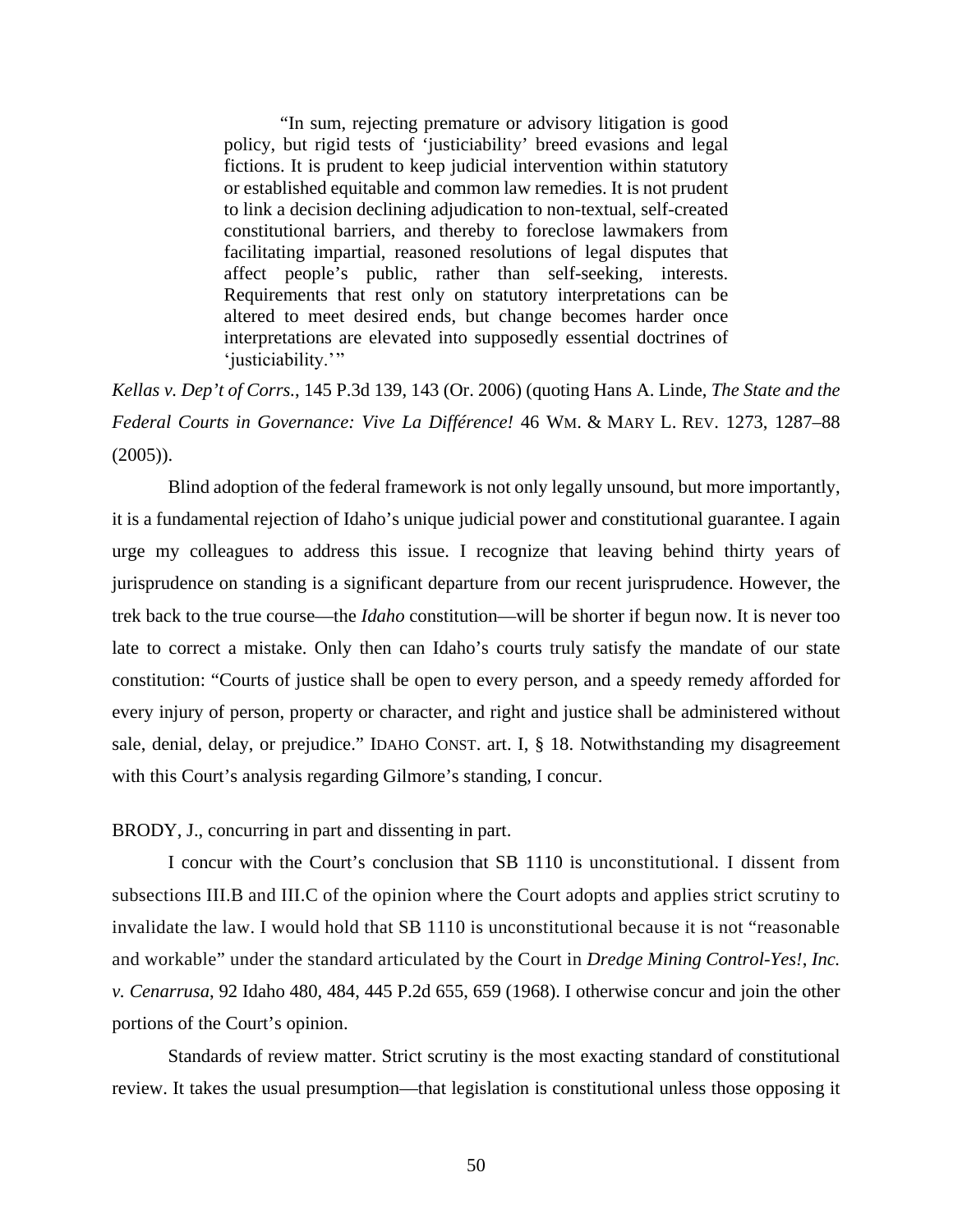"In sum, rejecting premature or advisory litigation is good policy, but rigid tests of 'justiciability' breed evasions and legal fictions. It is prudent to keep judicial intervention within statutory or established equitable and common law remedies. It is not prudent to link a decision declining adjudication to non-textual, self-created constitutional barriers, and thereby to foreclose lawmakers from facilitating impartial, reasoned resolutions of legal disputes that affect people's public, rather than self-seeking, interests. Requirements that rest only on statutory interpretations can be altered to meet desired ends, but change becomes harder once interpretations are elevated into supposedly essential doctrines of 'justiciability.'"

*Kellas v. Dep't of Corrs.*, 145 P.3d 139, 143 (Or. 2006) (quoting Hans A. Linde, *The State and the Federal Courts in Governance: Vive La Différence!* 46 WM. & MARY L. REV. 1273, 1287–88 (2005)).

Blind adoption of the federal framework is not only legally unsound, but more importantly, it is a fundamental rejection of Idaho's unique judicial power and constitutional guarantee. I again urge my colleagues to address this issue. I recognize that leaving behind thirty years of jurisprudence on standing is a significant departure from our recent jurisprudence. However, the trek back to the true course—the *Idaho* constitution—will be shorter if begun now. It is never too late to correct a mistake. Only then can Idaho's courts truly satisfy the mandate of our state constitution: "Courts of justice shall be open to every person, and a speedy remedy afforded for every injury of person, property or character, and right and justice shall be administered without sale, denial, delay, or prejudice." IDAHO CONST. art. I, § 18. Notwithstanding my disagreement with this Court's analysis regarding Gilmore's standing, I concur.

BRODY, J., concurring in part and dissenting in part.

I concur with the Court's conclusion that SB 1110 is unconstitutional. I dissent from subsections III.B and III.C of the opinion where the Court adopts and applies strict scrutiny to invalidate the law. I would hold that SB 1110 is unconstitutional because it is not "reasonable and workable" under the standard articulated by the Court in *Dredge Mining Control-Yes!*, *Inc. v. Cenarrusa*, 92 Idaho 480, 484, 445 P.2d 655, 659 (1968). I otherwise concur and join the other portions of the Court's opinion.

Standards of review matter. Strict scrutiny is the most exacting standard of constitutional review. It takes the usual presumption—that legislation is constitutional unless those opposing it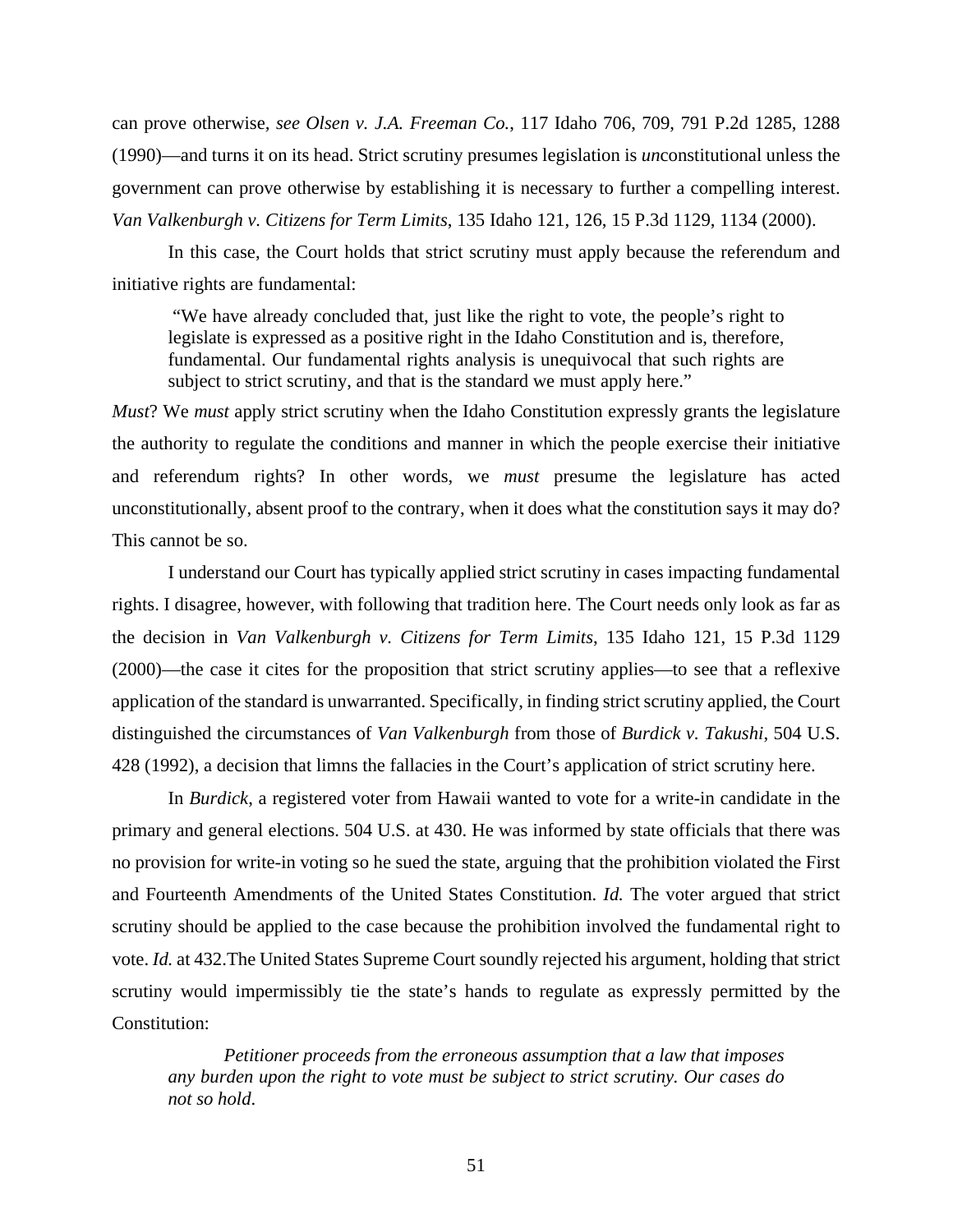can prove otherwise*, see Olsen v. J.A. Freeman Co.*, 117 Idaho 706, 709, 791 P.2d 1285, 1288 (1990)—and turns it on its head. Strict scrutiny presumes legislation is *un*constitutional unless the government can prove otherwise by establishing it is necessary to further a compelling interest. *Van Valkenburgh v. Citizens for Term Limits*, 135 Idaho 121, 126, 15 P.3d 1129, 1134 (2000).

In this case, the Court holds that strict scrutiny must apply because the referendum and initiative rights are fundamental:

"We have already concluded that, just like the right to vote, the people's right to legislate is expressed as a positive right in the Idaho Constitution and is, therefore, fundamental. Our fundamental rights analysis is unequivocal that such rights are subject to strict scrutiny, and that is the standard we must apply here."

*Must*? We *must* apply strict scrutiny when the Idaho Constitution expressly grants the legislature the authority to regulate the conditions and manner in which the people exercise their initiative and referendum rights? In other words, we *must* presume the legislature has acted unconstitutionally, absent proof to the contrary, when it does what the constitution says it may do? This cannot be so.

I understand our Court has typically applied strict scrutiny in cases impacting fundamental rights. I disagree, however, with following that tradition here. The Court needs only look as far as the decision in *Van Valkenburgh v. Citizens for Term Limits*, 135 Idaho 121, 15 P.3d 1129 (2000)—the case it cites for the proposition that strict scrutiny applies—to see that a reflexive application of the standard is unwarranted. Specifically, in finding strict scrutiny applied, the Court distinguished the circumstances of *Van Valkenburgh* from those of *Burdick v. Takushi*, 504 U.S. 428 (1992), a decision that limns the fallacies in the Court's application of strict scrutiny here.

In *Burdick*, a registered voter from Hawaii wanted to vote for a write-in candidate in the primary and general elections. 504 U.S. at 430. He was informed by state officials that there was no provision for write-in voting so he sued the state, arguing that the prohibition violated the First and Fourteenth Amendments of the United States Constitution. *Id.* The voter argued that strict scrutiny should be applied to the case because the prohibition involved the fundamental right to vote. *Id.* at 432.The United States Supreme Court soundly rejected his argument, holding that strict scrutiny would impermissibly tie the state's hands to regulate as expressly permitted by the Constitution:

*Petitioner proceeds from the erroneous assumption that a law that imposes any burden upon the right to vote must be subject to strict scrutiny. Our cases do not so hold*.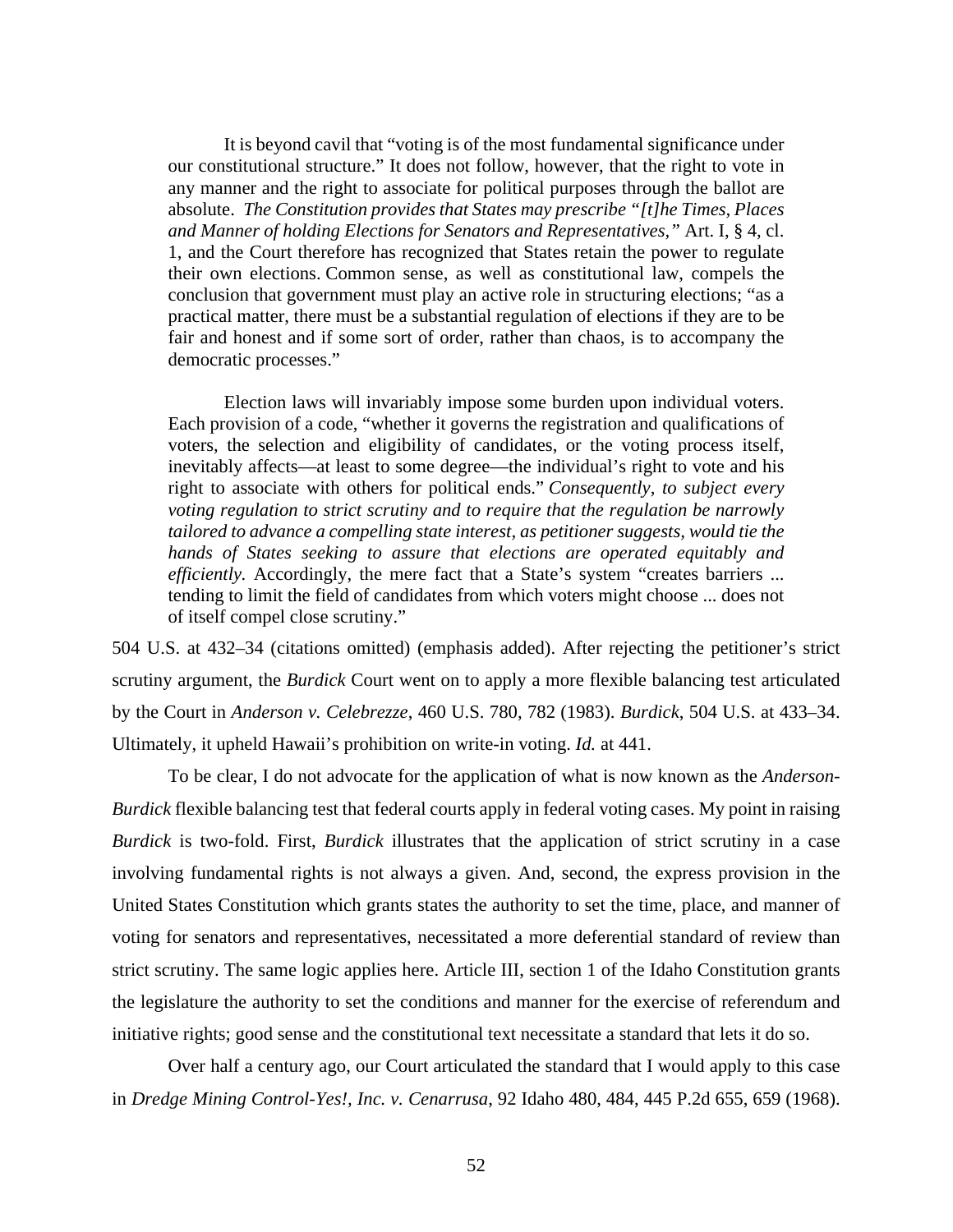It is beyond cavil that "voting is of the most fundamental significance under our constitutional structure." It does not follow, however, that the right to vote in any manner and the right to associate for political purposes through the ballot are absolute. *The Constitution provides that States may prescribe "[t]he Times, Places and Manner of holding Elections for Senators and Representatives,"* Art. I, § 4, cl. 1, and the Court therefore has recognized that States retain the power to regulate their own elections. Common sense, as well as constitutional law, compels the conclusion that government must play an active role in structuring elections; "as a practical matter, there must be a substantial regulation of elections if they are to be fair and honest and if some sort of order, rather than chaos, is to accompany the democratic processes."

Election laws will invariably impose some burden upon individual voters. Each provision of a code, "whether it governs the registration and qualifications of voters, the selection and eligibility of candidates, or the voting process itself, inevitably affects—at least to some degree—the individual's right to vote and his right to associate with others for political ends." *Consequently, to subject every voting regulation to strict scrutiny and to require that the regulation be narrowly tailored to advance a compelling state interest, as petitioner suggests, would tie the hands of States seeking to assure that elections are operated equitably and efficiently.* Accordingly, the mere fact that a State's system "creates barriers ... tending to limit the field of candidates from which voters might choose ... does not of itself compel close scrutiny."

504 U.S. at 432–34 (citations omitted) (emphasis added). After rejecting the petitioner's strict scrutiny argument, the *Burdick* Court went on to apply a more flexible balancing test articulated by the Court in *Anderson v. Celebrezze*, 460 U.S. 780, 782 (1983). *Burdick*, 504 U.S. at 433–34. Ultimately, it upheld Hawaii's prohibition on write-in voting. *Id.* at 441.

To be clear, I do not advocate for the application of what is now known as the *Anderson-Burdick* flexible balancing test that federal courts apply in federal voting cases. My point in raising *Burdick* is two-fold. First, *Burdick* illustrates that the application of strict scrutiny in a case involving fundamental rights is not always a given. And, second, the express provision in the United States Constitution which grants states the authority to set the time, place, and manner of voting for senators and representatives, necessitated a more deferential standard of review than strict scrutiny. The same logic applies here. Article III, section 1 of the Idaho Constitution grants the legislature the authority to set the conditions and manner for the exercise of referendum and initiative rights; good sense and the constitutional text necessitate a standard that lets it do so.

Over half a century ago, our Court articulated the standard that I would apply to this case in *Dredge Mining Control-Yes!, Inc. v. Cenarrusa*, 92 Idaho 480, 484, 445 P.2d 655, 659 (1968).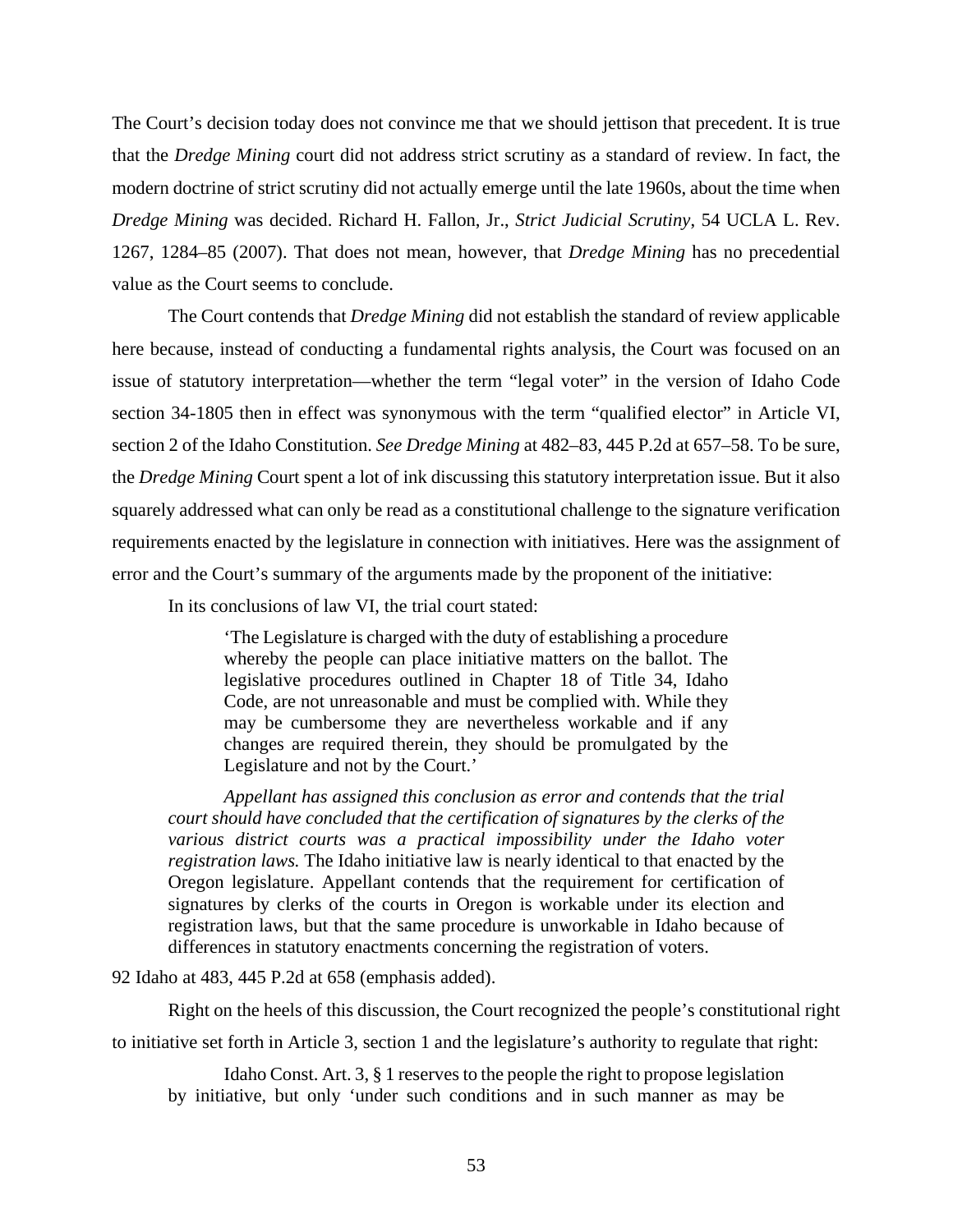The Court's decision today does not convince me that we should jettison that precedent. It is true that the *Dredge Mining* court did not address strict scrutiny as a standard of review. In fact, the modern doctrine of strict scrutiny did not actually emerge until the late 1960s, about the time when *Dredge Mining* was decided. Richard H. Fallon, Jr., *Strict Judicial Scrutiny*, 54 UCLA L. Rev. 1267, 1284–85 (2007). That does not mean, however, that *Dredge Mining* has no precedential value as the Court seems to conclude.

The Court contends that *Dredge Mining* did not establish the standard of review applicable here because, instead of conducting a fundamental rights analysis, the Court was focused on an issue of statutory interpretation—whether the term "legal voter" in the version of Idaho Code section 34-1805 then in effect was synonymous with the term "qualified elector" in Article VI, section 2 of the Idaho Constitution. *See Dredge Mining* at 482–83, 445 P.2d at 657–58. To be sure, the *Dredge Mining* Court spent a lot of ink discussing this statutory interpretation issue. But it also squarely addressed what can only be read as a constitutional challenge to the signature verification requirements enacted by the legislature in connection with initiatives. Here was the assignment of error and the Court's summary of the arguments made by the proponent of the initiative:

In its conclusions of law VI, the trial court stated:

'The Legislature is charged with the duty of establishing a procedure whereby the people can place initiative matters on the ballot. The legislative procedures outlined in Chapter 18 of Title 34, Idaho Code, are not unreasonable and must be complied with. While they may be cumbersome they are nevertheless workable and if any changes are required therein, they should be promulgated by the Legislature and not by the Court.'

*Appellant has assigned this conclusion as error and contends that the trial court should have concluded that the certification of signatures by the clerks of the various district courts was a practical impossibility under the Idaho voter registration laws.* The Idaho initiative law is nearly identical to that enacted by the Oregon legislature. Appellant contends that the requirement for certification of signatures by clerks of the courts in Oregon is workable under its election and registration laws, but that the same procedure is unworkable in Idaho because of differences in statutory enactments concerning the registration of voters.

92 Idaho at 483, 445 P.2d at 658 (emphasis added).

Right on the heels of this discussion, the Court recognized the people's constitutional right to initiative set forth in Article 3, section 1 and the legislature's authority to regulate that right:

Idaho Const. Art. 3, § 1 reserves to the people the right to propose legislation by initiative, but only 'under such conditions and in such manner as may be